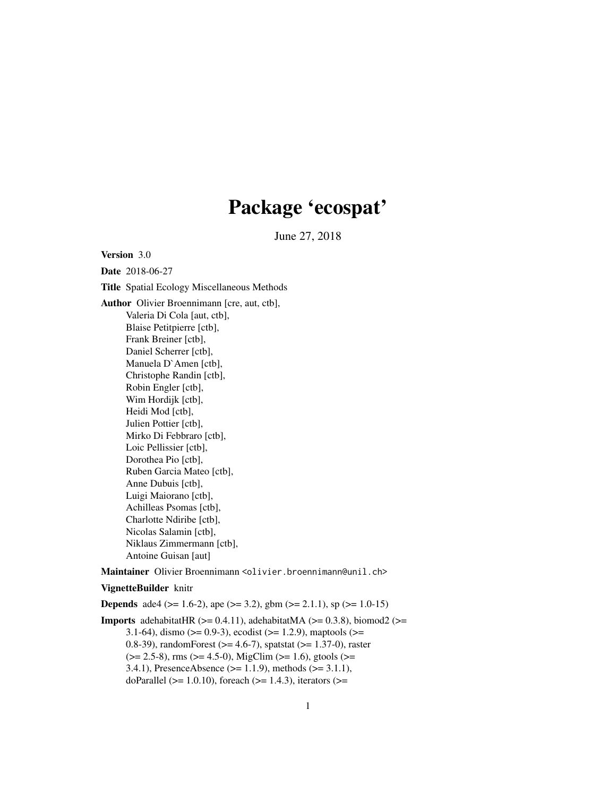# Package 'ecospat'

June 27, 2018

<span id="page-0-0"></span>Version 3.0

Date 2018-06-27 Title Spatial Ecology Miscellaneous Methods Author Olivier Broennimann [cre, aut, ctb], Valeria Di Cola [aut, ctb], Blaise Petitpierre [ctb], Frank Breiner [ctb], Daniel Scherrer [ctb], Manuela D`Amen [ctb], Christophe Randin [ctb], Robin Engler [ctb], Wim Hordijk [ctb], Heidi Mod [ctb], Julien Pottier [ctb], Mirko Di Febbraro [ctb], Loic Pellissier [ctb], Dorothea Pio [ctb], Ruben Garcia Mateo [ctb], Anne Dubuis [ctb], Luigi Maiorano [ctb], Achilleas Psomas [ctb], Charlotte Ndiribe [ctb], Nicolas Salamin [ctb], Niklaus Zimmermann [ctb], Antoine Guisan [aut]

Maintainer Olivier Broennimann <olivier.broennimann@unil.ch>

#### VignetteBuilder knitr

**Depends** ade4 ( $> = 1.6-2$ ), ape ( $>= 3.2$ ), gbm ( $>= 2.1.1$ ), sp ( $>= 1.0-15$ )

**Imports** adehabitatHR  $(>= 0.4.11)$ , adehabitatMA  $(>= 0.3.8)$ , biomod2  $(>= 0.3.8)$ 3.1-64), dismo ( $> = 0.9-3$ ), ecodist ( $> = 1.2.9$ ), maptools ( $> =$ 0.8-39), randomForest ( $> = 4.6-7$ ), spatstat ( $> = 1.37-0$ ), raster  $(>= 2.5-8)$ , rms  $(>= 4.5-0)$ , MigClim  $(>= 1.6)$ , gtools  $(>= 1.6)$ 3.4.1), PresenceAbsence (>= 1.1.9), methods (>= 3.1.1), doParallel ( $>= 1.0.10$ ), foreach ( $>= 1.4.3$ ), iterators ( $>=$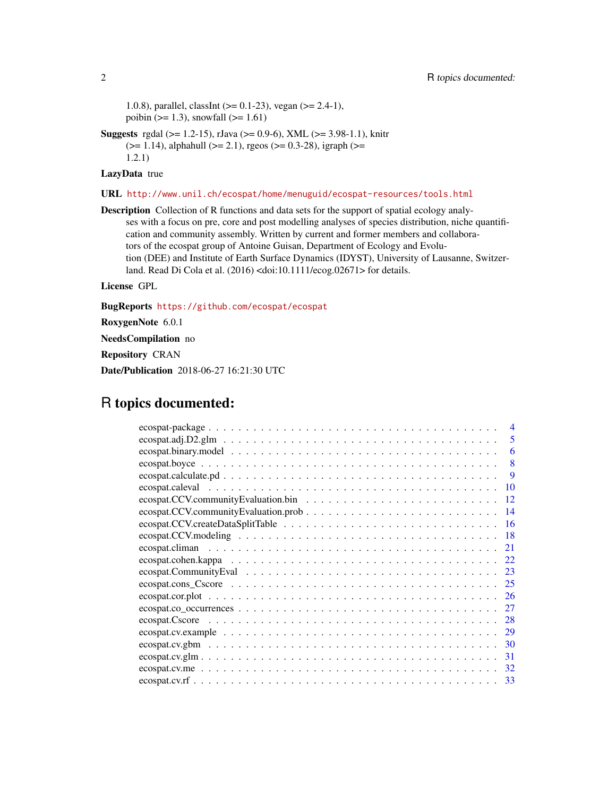1.0.8), parallel, classInt  $(>= 0.1-23)$ , vegan  $(>= 2.4-1)$ , poibin ( $>= 1.3$ ), snowfall ( $>= 1.61$ )

Suggests rgdal (>= 1.2-15), rJava (>= 0.9-6), XML (>= 3.98-1.1), knitr  $(>= 1.14)$ , alphahull  $(>= 2.1)$ , rgeos  $(>= 0.3-28)$ , igraph  $(>= 1.14)$ 1.2.1)

# LazyData true

# URL <http://www.unil.ch/ecospat/home/menuguid/ecospat-resources/tools.html>

Description Collection of R functions and data sets for the support of spatial ecology analyses with a focus on pre, core and post modelling analyses of species distribution, niche quantification and community assembly. Written by current and former members and collaborators of the ecospat group of Antoine Guisan, Department of Ecology and Evolution (DEE) and Institute of Earth Surface Dynamics (IDYST), University of Lausanne, Switzerland. Read Di Cola et al. (2016) <doi:10.1111/ecog.02671> for details.

License GPL

BugReports <https://github.com/ecospat/ecospat>

RoxygenNote 6.0.1

NeedsCompilation no

Repository CRAN

Date/Publication 2018-06-27 16:21:30 UTC

# R topics documented:

| $\overline{4}$                                                                                                                    |
|-----------------------------------------------------------------------------------------------------------------------------------|
| 5                                                                                                                                 |
| 6                                                                                                                                 |
| 8                                                                                                                                 |
| 9                                                                                                                                 |
| - 10                                                                                                                              |
| -12                                                                                                                               |
| -14                                                                                                                               |
| <sup>16</sup>                                                                                                                     |
| -18                                                                                                                               |
| 21                                                                                                                                |
| 22                                                                                                                                |
| 23                                                                                                                                |
|                                                                                                                                   |
| $ecospat.cor. plot                  $<br>26                                                                                       |
| 27<br>$ecospat.co\_occurrences \ldots \ldots \ldots \ldots \ldots \ldots \ldots \ldots \ldots \ldots \ldots \ldots$               |
| 28                                                                                                                                |
| 29<br>$ecospat.cv. example \dots \dots \dots \dots \dots \dots \dots \dots \dots \dots \dots \dots \dots \dots \dots \dots \dots$ |
| 30                                                                                                                                |
| 31<br>$ecospat.cv.glm$                                                                                                            |
| 32                                                                                                                                |
| 33                                                                                                                                |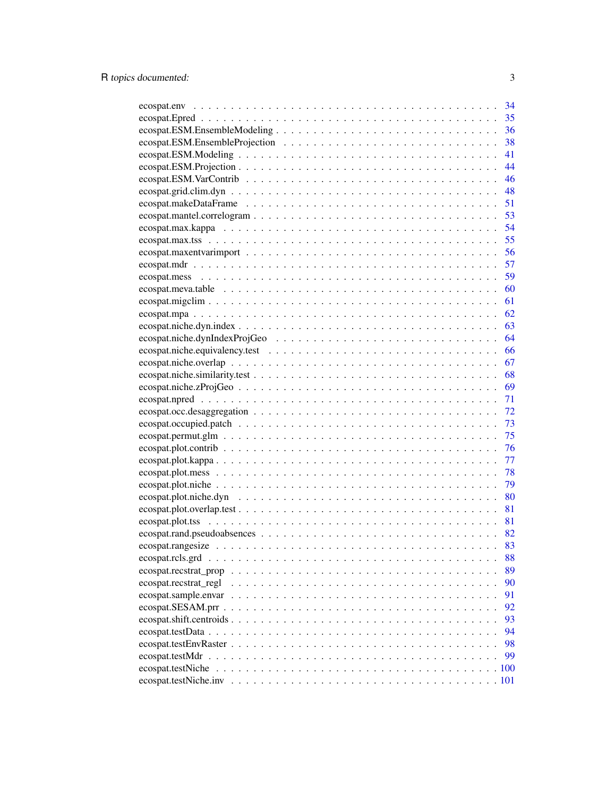|                                                                                                                      | 34       |
|----------------------------------------------------------------------------------------------------------------------|----------|
|                                                                                                                      | 35       |
|                                                                                                                      | 36       |
|                                                                                                                      | 38       |
|                                                                                                                      | 41       |
|                                                                                                                      | 44       |
|                                                                                                                      | 46       |
| $ecospat.grid. clim. dyn \dots \dots \dots \dots \dots \dots \dots \dots \dots \dots \dots \dots \dots \dots \dots$  | 48       |
|                                                                                                                      | 51       |
|                                                                                                                      | 53       |
|                                                                                                                      | 54       |
|                                                                                                                      | 55       |
|                                                                                                                      | 56       |
|                                                                                                                      | 57       |
|                                                                                                                      | 59       |
|                                                                                                                      | 60       |
|                                                                                                                      | 61       |
|                                                                                                                      | 62       |
|                                                                                                                      | 63       |
|                                                                                                                      | 64       |
|                                                                                                                      | 66       |
|                                                                                                                      | 67       |
|                                                                                                                      | 68       |
|                                                                                                                      | 69       |
|                                                                                                                      | 71       |
|                                                                                                                      | 72       |
|                                                                                                                      | 73       |
|                                                                                                                      | 75       |
|                                                                                                                      | 76       |
|                                                                                                                      | 77       |
|                                                                                                                      | 78       |
|                                                                                                                      | 79       |
|                                                                                                                      | 80       |
|                                                                                                                      | 81       |
|                                                                                                                      | 81       |
|                                                                                                                      |          |
|                                                                                                                      |          |
|                                                                                                                      |          |
|                                                                                                                      | 88<br>89 |
| $ecospat. recstrat\_prop \ldots \ldots \ldots \ldots \ldots \ldots \ldots \ldots \ldots \ldots \ldots \ldots \ldots$ |          |
| ecospat.recstrat_regl                                                                                                | 90       |
|                                                                                                                      | 91       |
|                                                                                                                      | 92       |
|                                                                                                                      | 93       |
|                                                                                                                      | 94       |
|                                                                                                                      | 98       |
|                                                                                                                      | 99       |
|                                                                                                                      |          |
|                                                                                                                      |          |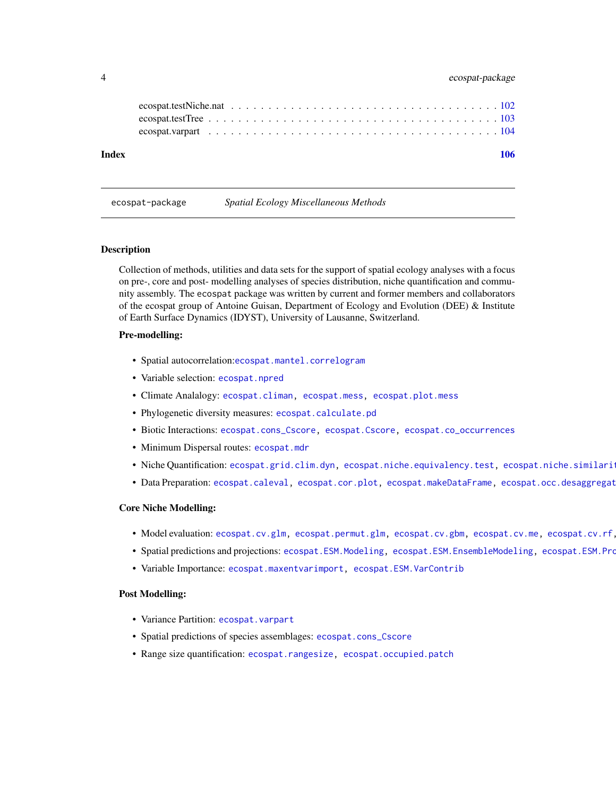# <span id="page-3-0"></span>4 ecospat-package

| Index |  |  |  |  |  |  |  |  |  |  |  |  |  |  |  | 106 |
|-------|--|--|--|--|--|--|--|--|--|--|--|--|--|--|--|-----|
|       |  |  |  |  |  |  |  |  |  |  |  |  |  |  |  |     |
|       |  |  |  |  |  |  |  |  |  |  |  |  |  |  |  |     |
|       |  |  |  |  |  |  |  |  |  |  |  |  |  |  |  |     |
|       |  |  |  |  |  |  |  |  |  |  |  |  |  |  |  |     |

ecospat-package *Spatial Ecology Miscellaneous Methods*

#### Description

Collection of methods, utilities and data sets for the support of spatial ecology analyses with a focus on pre-, core and post- modelling analyses of species distribution, niche quantification and community assembly. The ecospat package was written by current and former members and collaborators of the ecospat group of Antoine Guisan, Department of Ecology and Evolution (DEE) & Institute of Earth Surface Dynamics (IDYST), University of Lausanne, Switzerland.

#### Pre-modelling:

- Spatial autocorrelation:[ecospat.mantel.correlogram](#page-52-1)
- Variable selection: [ecospat.npred](#page-70-1)
- Climate Analalogy: [ecospat.climan,](#page-20-1) [ecospat.mess,](#page-58-1) [ecospat.plot.mess](#page-77-1)
- Phylogenetic diversity measures: [ecospat.calculate.pd](#page-8-1)
- Biotic Interactions: [ecospat.cons\\_Cscore,](#page-24-1) [ecospat.Cscore,](#page-27-1) [ecospat.co\\_occurrences](#page-26-1)
- Minimum Dispersal routes: [ecospat.mdr](#page-56-1)
- . Niche Quantification: [ecospat.grid.clim.dyn,](#page-47-1) [ecospat.niche.equivalency.test,](#page-65-1) ecospat.niche.similari
- Data Preparation: [ecospat.caleval,](#page-9-1) [ecospat.cor.plot,](#page-25-1) [ecospat.makeDataFrame,](#page-50-1) ecospat.occ.desaggregat

#### Core Niche Modelling:

- . Model evaluation: [ecospat.cv.glm,](#page-30-1) [ecospat.permut.glm,](#page-74-1) [ecospat.cv.gbm,](#page-29-1) [ecospat.cv.me,](#page-31-1) ecospat.cv.rf
- Spatial predictions and projections: [ecospat.ESM.Modeling,](#page-40-1) [ecospat.ESM.EnsembleModeling,](#page-35-1) ecospat.ESM.Pro
- Variable Importance: [ecospat.maxentvarimport,](#page-55-1) [ecospat.ESM.VarContrib](#page-45-1)

#### Post Modelling:

- Variance Partition: [ecospat.varpart](#page-103-1)
- Spatial predictions of species assemblages: [ecospat.cons\\_Cscore](#page-24-1)
- Range size quantification: [ecospat.rangesize,](#page-82-1) [ecospat.occupied.patch](#page-72-1)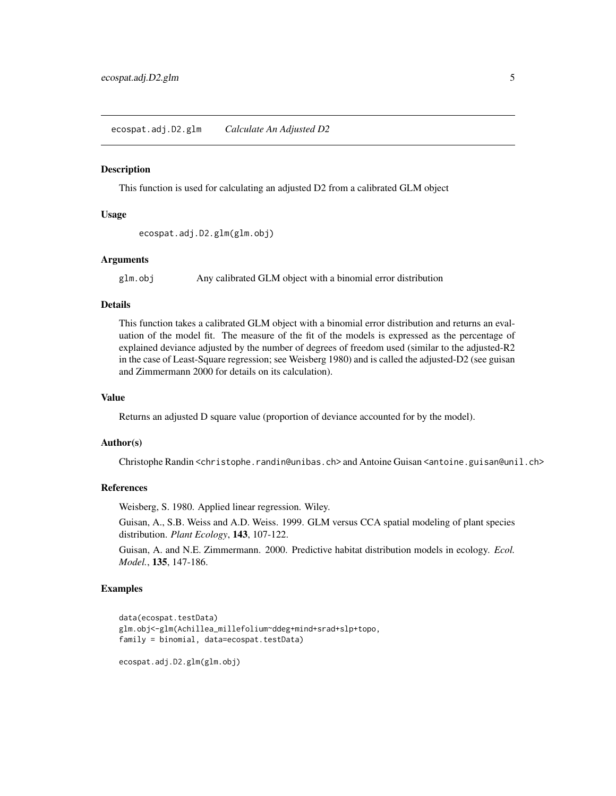#### <span id="page-4-1"></span><span id="page-4-0"></span>**Description**

This function is used for calculating an adjusted D2 from a calibrated GLM object

#### Usage

```
ecospat.adj.D2.glm(glm.obj)
```
#### Arguments

glm.obj Any calibrated GLM object with a binomial error distribution

# Details

This function takes a calibrated GLM object with a binomial error distribution and returns an evaluation of the model fit. The measure of the fit of the models is expressed as the percentage of explained deviance adjusted by the number of degrees of freedom used (similar to the adjusted-R2 in the case of Least-Square regression; see Weisberg 1980) and is called the adjusted-D2 (see guisan and Zimmermann 2000 for details on its calculation).

# Value

Returns an adjusted D square value (proportion of deviance accounted for by the model).

#### Author(s)

Christophe Randin <christophe.randin@unibas.ch> and Antoine Guisan <antoine.guisan@unil.ch>

#### References

Weisberg, S. 1980. Applied linear regression. Wiley.

Guisan, A., S.B. Weiss and A.D. Weiss. 1999. GLM versus CCA spatial modeling of plant species distribution. *Plant Ecology*, 143, 107-122.

Guisan, A. and N.E. Zimmermann. 2000. Predictive habitat distribution models in ecology. *Ecol. Model.*, 135, 147-186.

#### Examples

```
data(ecospat.testData)
glm.obj<-glm(Achillea_millefolium~ddeg+mind+srad+slp+topo,
family = binomial, data=ecospat.testData)
```
ecospat.adj.D2.glm(glm.obj)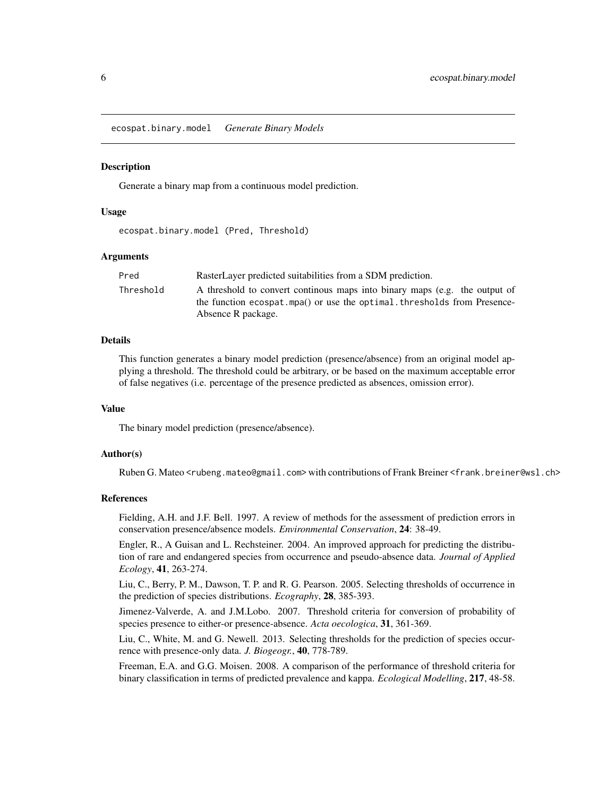<span id="page-5-1"></span><span id="page-5-0"></span>ecospat.binary.model *Generate Binary Models*

#### **Description**

Generate a binary map from a continuous model prediction.

#### Usage

ecospat.binary.model (Pred, Threshold)

#### Arguments

| Pred      | RasterLayer predicted suitabilities from a SDM prediction.                                                                                                                   |
|-----------|------------------------------------------------------------------------------------------------------------------------------------------------------------------------------|
| Threshold | A threshold to convert continuous maps into binary maps (e.g. the output of<br>the function ecospat.mpa() or use the optimal.thresholds from Presence-<br>Absence R package. |

#### Details

This function generates a binary model prediction (presence/absence) from an original model applying a threshold. The threshold could be arbitrary, or be based on the maximum acceptable error of false negatives (i.e. percentage of the presence predicted as absences, omission error).

# Value

The binary model prediction (presence/absence).

# Author(s)

Ruben G. Mateo <rubeng.mateo@gmail.com> with contributions of Frank Breiner <frank.breiner@wsl.ch>

#### References

Fielding, A.H. and J.F. Bell. 1997. A review of methods for the assessment of prediction errors in conservation presence/absence models. *Environmental Conservation*, 24: 38-49.

Engler, R., A Guisan and L. Rechsteiner. 2004. An improved approach for predicting the distribution of rare and endangered species from occurrence and pseudo-absence data. *Journal of Applied Ecology*, 41, 263-274.

Liu, C., Berry, P. M., Dawson, T. P. and R. G. Pearson. 2005. Selecting thresholds of occurrence in the prediction of species distributions. *Ecography*, 28, 385-393.

Jimenez-Valverde, A. and J.M.Lobo. 2007. Threshold criteria for conversion of probability of species presence to either-or presence-absence. *Acta oecologica*, 31, 361-369.

Liu, C., White, M. and G. Newell. 2013. Selecting thresholds for the prediction of species occurrence with presence-only data. *J. Biogeogr.*, 40, 778-789.

Freeman, E.A. and G.G. Moisen. 2008. A comparison of the performance of threshold criteria for binary classification in terms of predicted prevalence and kappa. *Ecological Modelling*, 217, 48-58.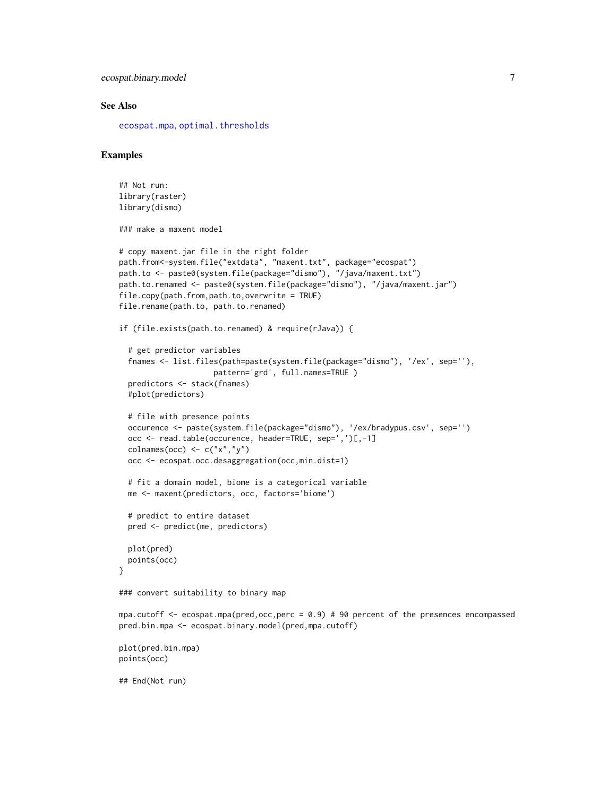```
ecospat.binary.model 7 7
```
## End(Not run)

#### See Also

[ecospat.mpa](#page-61-1), [optimal.thresholds](#page-0-0)

# Examples

```
## Not run:
library(raster)
library(dismo)
### make a maxent model
# copy maxent.jar file in the right folder
path.from<-system.file("extdata", "maxent.txt", package="ecospat")
path.to <- paste0(system.file(package="dismo"), "/java/maxent.txt")
path.to.renamed <- paste0(system.file(package="dismo"), "/java/maxent.jar")
file.copy(path.from,path.to,overwrite = TRUE)
file.rename(path.to, path.to.renamed)
if (file.exists(path.to.renamed) & require(rJava)) {
  # get predictor variables
  fnames <- list.files(path=paste(system.file(package="dismo"), '/ex', sep=''),
                     pattern='grd', full.names=TRUE )
  predictors <- stack(fnames)
  #plot(predictors)
  # file with presence points
  occurence <- paste(system.file(package="dismo"), '/ex/bradypus.csv', sep='')
  occ <- read.table(occurence, header=TRUE, sep=',')[,-1]
  colnames(occ) \leq c("x","y")
  occ <- ecospat.occ.desaggregation(occ,min.dist=1)
  # fit a domain model, biome is a categorical variable
  me <- maxent(predictors, occ, factors='biome')
  # predict to entire dataset
  pred <- predict(me, predictors)
  plot(pred)
  points(occ)
}
### convert suitability to binary map
mpa.cutoff <- ecospat.mpa(pred,occ,perc = 0.9) # 90 percent of the presences encompassed
pred.bin.mpa <- ecospat.binary.model(pred,mpa.cutoff)
plot(pred.bin.mpa)
points(occ)
```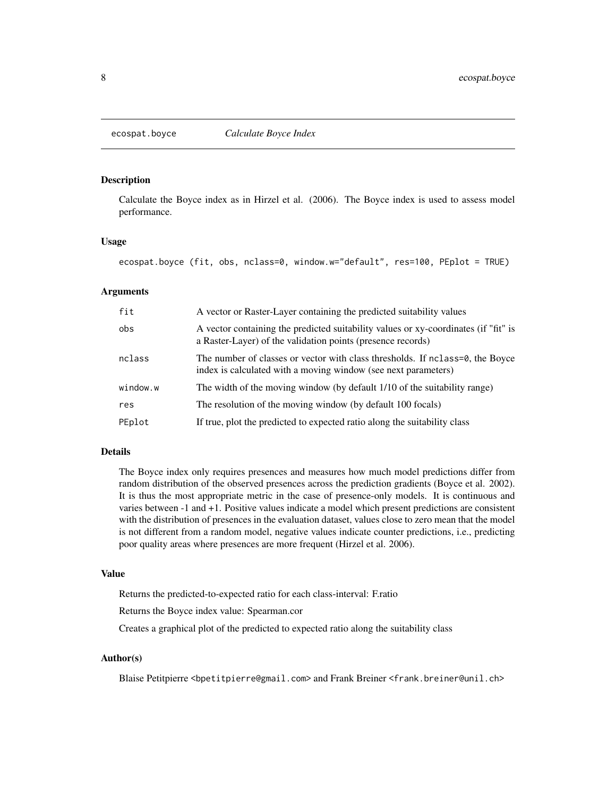#### <span id="page-7-1"></span><span id="page-7-0"></span>Description

Calculate the Boyce index as in Hirzel et al. (2006). The Boyce index is used to assess model performance.

#### Usage

```
ecospat.boyce (fit, obs, nclass=0, window.w="default", res=100, PEplot = TRUE)
```
#### Arguments

| fit      | A vector or Raster-Layer containing the predicted suitability values                                                                               |
|----------|----------------------------------------------------------------------------------------------------------------------------------------------------|
| obs      | A vector containing the predicted suitability values or xy-coordinates (if "fit" is<br>a Raster-Layer) of the validation points (presence records) |
| nclass   | The number of classes or vector with class thresholds. If nclass=0, the Boyce<br>index is calculated with a moving window (see next parameters)    |
| window.w | The width of the moving window (by default 1/10 of the suitability range)                                                                          |
| res      | The resolution of the moving window (by default 100 focals)                                                                                        |
| PEplot   | If true, plot the predicted to expected ratio along the suitability class                                                                          |

# Details

The Boyce index only requires presences and measures how much model predictions differ from random distribution of the observed presences across the prediction gradients (Boyce et al. 2002). It is thus the most appropriate metric in the case of presence-only models. It is continuous and varies between -1 and +1. Positive values indicate a model which present predictions are consistent with the distribution of presences in the evaluation dataset, values close to zero mean that the model is not different from a random model, negative values indicate counter predictions, i.e., predicting poor quality areas where presences are more frequent (Hirzel et al. 2006).

#### Value

Returns the predicted-to-expected ratio for each class-interval: F.ratio

Returns the Boyce index value: Spearman.cor

Creates a graphical plot of the predicted to expected ratio along the suitability class

# Author(s)

Blaise Petitpierre <br/>bpetitpierre@gmail.com> and Frank Breiner <frank.breiner@unil.ch>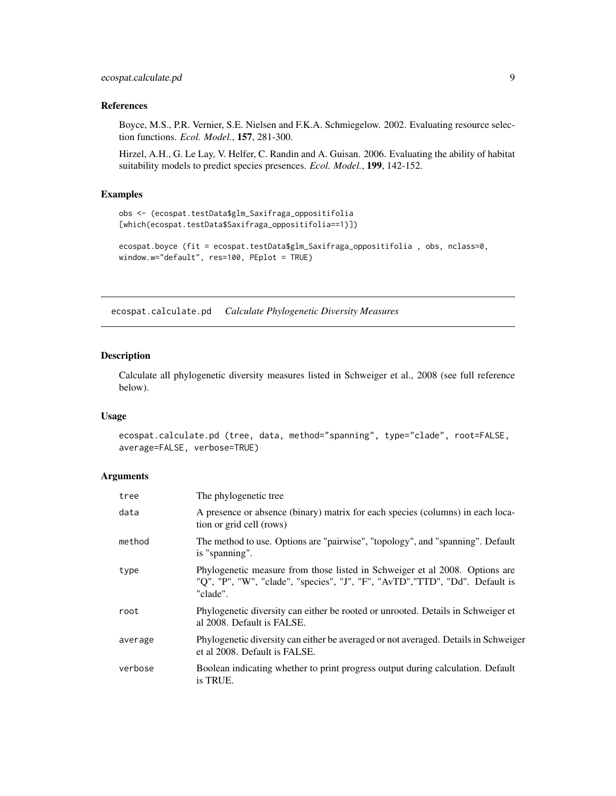# <span id="page-8-0"></span>References

Boyce, M.S., P.R. Vernier, S.E. Nielsen and F.K.A. Schmiegelow. 2002. Evaluating resource selection functions. *Ecol. Model.*, 157, 281-300.

Hirzel, A.H., G. Le Lay, V. Helfer, C. Randin and A. Guisan. 2006. Evaluating the ability of habitat suitability models to predict species presences. *Ecol. Model.*, 199, 142-152.

# Examples

```
obs <- (ecospat.testData$glm_Saxifraga_oppositifolia
[which(ecospat.testData$Saxifraga_oppositifolia==1)])
ecospat.boyce (fit = ecospat.testData$glm_Saxifraga_oppositifolia , obs, nclass=0,
```
window.w="default", res=100, PEplot = TRUE)

<span id="page-8-1"></span>ecospat.calculate.pd *Calculate Phylogenetic Diversity Measures*

# Description

Calculate all phylogenetic diversity measures listed in Schweiger et al., 2008 (see full reference below).

#### Usage

```
ecospat.calculate.pd (tree, data, method="spanning", type="clade", root=FALSE,
average=FALSE, verbose=TRUE)
```
# Arguments

| tree    | The phylogenetic tree                                                                                                                                                   |
|---------|-------------------------------------------------------------------------------------------------------------------------------------------------------------------------|
| data    | A presence or absence (binary) matrix for each species (columns) in each loca-<br>tion or grid cell (rows)                                                              |
| method  | The method to use. Options are "pairwise", "topology", and "spanning". Default<br>is "spanning".                                                                        |
| type    | Phylogenetic measure from those listed in Schweiger et al 2008. Options are<br>"Q", "P", "W", "clade", "species", "J", "F", "AvTD", "TTD", "Dd". Default is<br>"clade". |
| root    | Phylogenetic diversity can either be rooted or unrooted. Details in Schweiger et<br>al 2008. Default is FALSE.                                                          |
| average | Phylogenetic diversity can either be averaged or not averaged. Details in Schweiger<br>et al 2008. Default is FALSE.                                                    |
| verbose | Boolean indicating whether to print progress output during calculation. Default<br>is TRUE.                                                                             |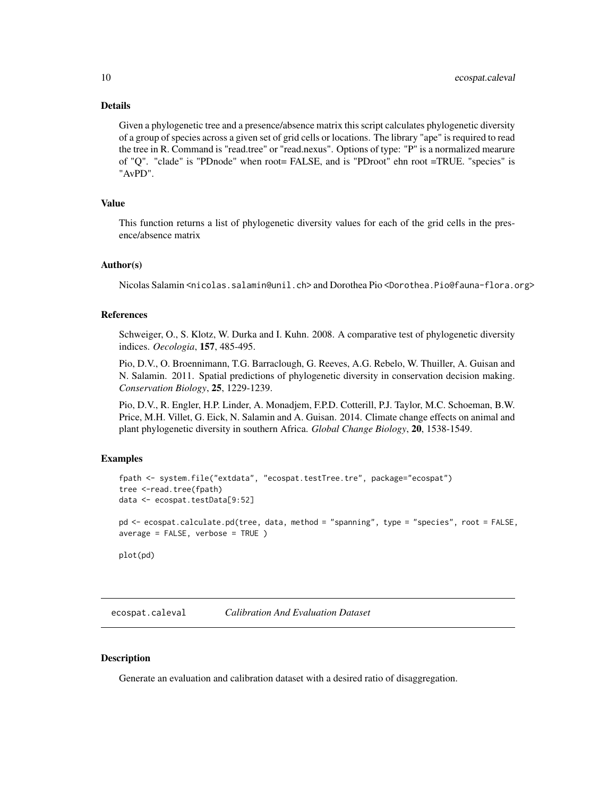# <span id="page-9-0"></span>Details

Given a phylogenetic tree and a presence/absence matrix this script calculates phylogenetic diversity of a group of species across a given set of grid cells or locations. The library "ape" is required to read the tree in R. Command is "read.tree" or "read.nexus". Options of type: "P" is a normalized mearure of "Q". "clade" is "PDnode" when root= FALSE, and is "PDroot" ehn root =TRUE. "species" is "AvPD".

# Value

This function returns a list of phylogenetic diversity values for each of the grid cells in the presence/absence matrix

#### Author(s)

Nicolas Salamin <nicolas.salamin@unil.ch> and Dorothea Pio <Dorothea.Pio@fauna-flora.org>

#### References

Schweiger, O., S. Klotz, W. Durka and I. Kuhn. 2008. A comparative test of phylogenetic diversity indices. *Oecologia*, 157, 485-495.

Pio, D.V., O. Broennimann, T.G. Barraclough, G. Reeves, A.G. Rebelo, W. Thuiller, A. Guisan and N. Salamin. 2011. Spatial predictions of phylogenetic diversity in conservation decision making. *Conservation Biology*, 25, 1229-1239.

Pio, D.V., R. Engler, H.P. Linder, A. Monadjem, F.P.D. Cotterill, P.J. Taylor, M.C. Schoeman, B.W. Price, M.H. Villet, G. Eick, N. Salamin and A. Guisan. 2014. Climate change effects on animal and plant phylogenetic diversity in southern Africa. *Global Change Biology*, 20, 1538-1549.

### Examples

```
fpath <- system.file("extdata", "ecospat.testTree.tre", package="ecospat")
tree <-read.tree(fpath)
data <- ecospat.testData[9:52]
pd <- ecospat.calculate.pd(tree, data, method = "spanning", type = "species", root = FALSE,
average = FALSE, verbose = TRUE)
plot(pd)
```
<span id="page-9-1"></span>ecospat.caleval *Calibration And Evaluation Dataset*

# **Description**

Generate an evaluation and calibration dataset with a desired ratio of disaggregation.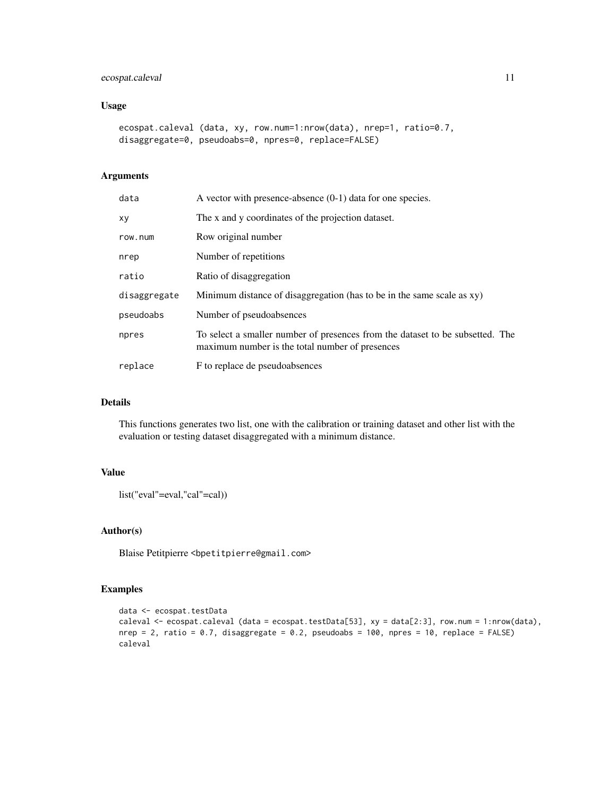# ecospat.caleval 11

# Usage

```
ecospat.caleval (data, xy, row.num=1:nrow(data), nrep=1, ratio=0.7,
disaggregate=0, pseudoabs=0, npres=0, replace=FALSE)
```
# Arguments

| data         | A vector with presence-absence $(0-1)$ data for one species.                                                                     |
|--------------|----------------------------------------------------------------------------------------------------------------------------------|
| хy           | The x and y coordinates of the projection dataset.                                                                               |
| row.num      | Row original number                                                                                                              |
| nrep         | Number of repetitions                                                                                                            |
| ratio        | Ratio of disaggregation                                                                                                          |
| disaggregate | Minimum distance of disaggregation (has to be in the same scale as xy)                                                           |
| pseudoabs    | Number of pseudoabsences                                                                                                         |
| npres        | To select a smaller number of presences from the dataset to be subsetted. The<br>maximum number is the total number of presences |
| replace      | F to replace de pseudoabsences                                                                                                   |

# Details

This functions generates two list, one with the calibration or training dataset and other list with the evaluation or testing dataset disaggregated with a minimum distance.

# Value

```
list("eval"=eval,"cal"=cal))
```
# Author(s)

Blaise Petitpierre <bpetitpierre@gmail.com>

# Examples

```
data <- ecospat.testData
caleval <- ecospat.caleval (data = ecospat.testData[53], xy = data[2:3], row.num = 1:nrow(data),
nrep = 2, ratio = 0.7, disaggregate = 0.2, pseudoabs = 100, npres = 10, replace = FALSE)
caleval
```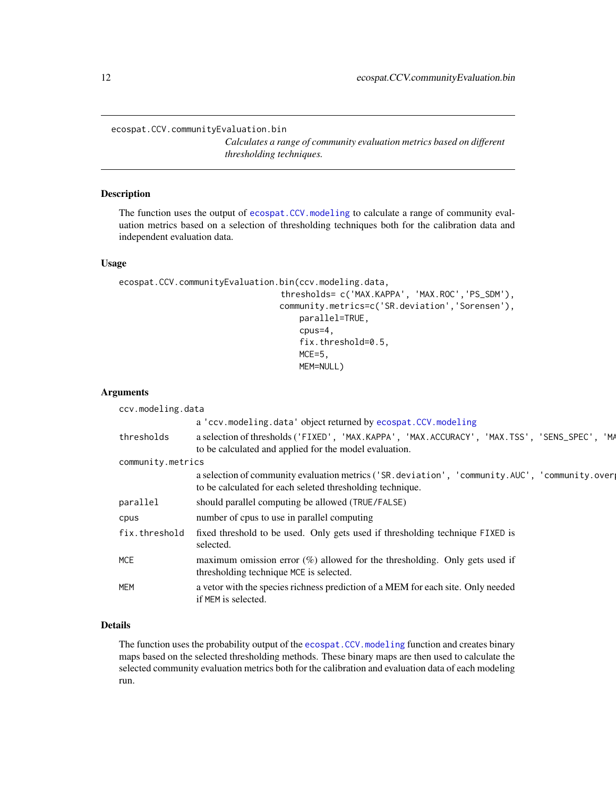<span id="page-11-1"></span><span id="page-11-0"></span>ecospat.CCV.communityEvaluation.bin

*Calculates a range of community evaluation metrics based on different thresholding techniques.*

# Description

The function uses the output of [ecospat.CCV.modeling](#page-17-1) to calculate a range of community evaluation metrics based on a selection of thresholding techniques both for the calibration data and independent evaluation data.

#### Usage

```
ecospat.CCV.communityEvaluation.bin(ccv.modeling.data,
                                 thresholds= c('MAX.KAPPA', 'MAX.ROC','PS_SDM'),
                                 community.metrics=c('SR.deviation','Sorensen'),
                                    parallel=TRUE,
                                     cpus=4,
                                     fix.threshold=0.5,
                                    MCE=5,
                                    MEM=NULL)
```
#### Arguments

| ccv.modeling.data                                                                                                                                             |
|---------------------------------------------------------------------------------------------------------------------------------------------------------------|
| a 'ccv.modeling.data' object returned by ecospat.CCV.modeling                                                                                                 |
| a selection of thresholds ('FIXED', 'MAX.KAPPA', 'MAX.ACCURACY', 'MAX.TSS', 'SENS_SPEC', 'MA<br>to be calculated and applied for the model evaluation.        |
| community.metrics                                                                                                                                             |
| a selection of community evaluation metrics ('SR. deviation', 'community. AUC', 'community. over<br>to be calculated for each seleted thresholding technique. |
| should parallel computing be allowed (TRUE/FALSE)                                                                                                             |
| number of cpus to use in parallel computing                                                                                                                   |
| fixed threshold to be used. Only gets used if thresholding technique FIXED is<br>selected.                                                                    |
| maximum omission error $(\%)$ allowed for the thresholding. Only gets used if<br>thresholding technique MCE is selected.                                      |
| a vetor with the species richness prediction of a MEM for each site. Only needed<br>if MEM is selected.                                                       |
|                                                                                                                                                               |

# Details

The function uses the probability output of the ecospat.CCV. modeling function and creates binary maps based on the selected thresholding methods. These binary maps are then used to calculate the selected community evaluation metrics both for the calibration and evaluation data of each modeling run.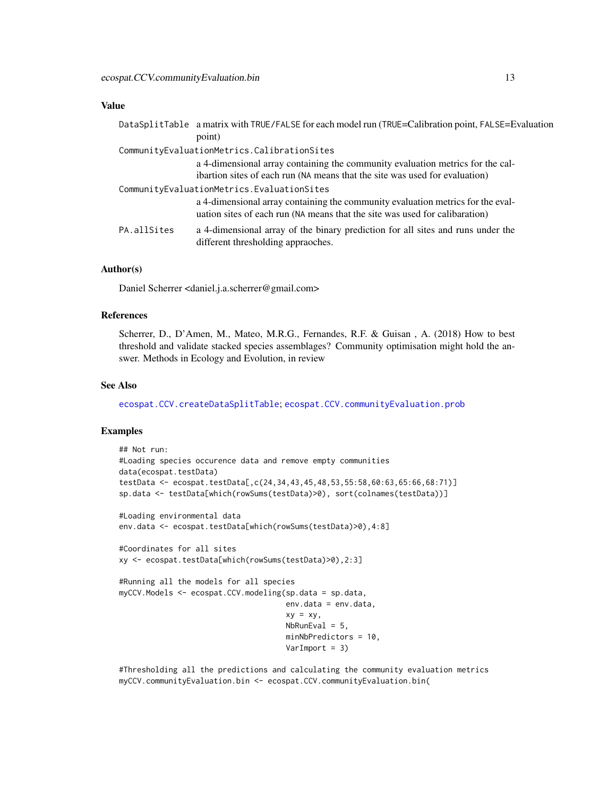#### Value

|             | DataSplitTable a matrix with TRUE/FALSE for each model run (TRUE=Calibration point, FALSE=Evaluation                                                           |
|-------------|----------------------------------------------------------------------------------------------------------------------------------------------------------------|
|             | point)                                                                                                                                                         |
|             | CommunityEvaluationMetrics.CalibrationSites                                                                                                                    |
|             | a 4-dimensional array containing the community evaluation metrics for the cal-                                                                                 |
|             | ibartion sites of each run (NA means that the site was used for evaluation)                                                                                    |
|             | CommunityEvaluationMetrics.EvaluationSites                                                                                                                     |
|             | a 4-dimensional array containing the community evaluation metrics for the eval-<br>uation sites of each run (NA means that the site was used for calibaration) |
| PA.allSites | a 4-dimensional array of the binary prediction for all sites and runs under the<br>different thresholding appraoches.                                          |

# Author(s)

Daniel Scherrer <daniel.j.a.scherrer@gmail.com>

#### References

Scherrer, D., D'Amen, M., Mateo, M.R.G., Fernandes, R.F. & Guisan , A. (2018) How to best threshold and validate stacked species assemblages? Community optimisation might hold the answer. Methods in Ecology and Evolution, in review

#### See Also

[ecospat.CCV.createDataSplitTable](#page-15-1); [ecospat.CCV.communityEvaluation.prob](#page-13-1)

# Examples

```
## Not run:
#Loading species occurence data and remove empty communities
data(ecospat.testData)
testData <- ecospat.testData[,c(24,34,43,45,48,53,55:58,60:63,65:66,68:71)]
sp.data <- testData[which(rowSums(testData)>0), sort(colnames(testData))]
#Loading environmental data
env.data <- ecospat.testData[which(rowSums(testData)>0),4:8]
#Coordinates for all sites
xy <- ecospat.testData[which(rowSums(testData)>0),2:3]
#Running all the models for all species
myCCV.Models <- ecospat.CCV.modeling(sp.data = sp.data,
                                     env.data = env.data,
                                     xy = xy,
                                     NbRunEval = 5,
                                     minNbPredictors = 10,
                                     VarImport = 3)
```
#Thresholding all the predictions and calculating the community evaluation metrics myCCV.communityEvaluation.bin <- ecospat.CCV.communityEvaluation.bin(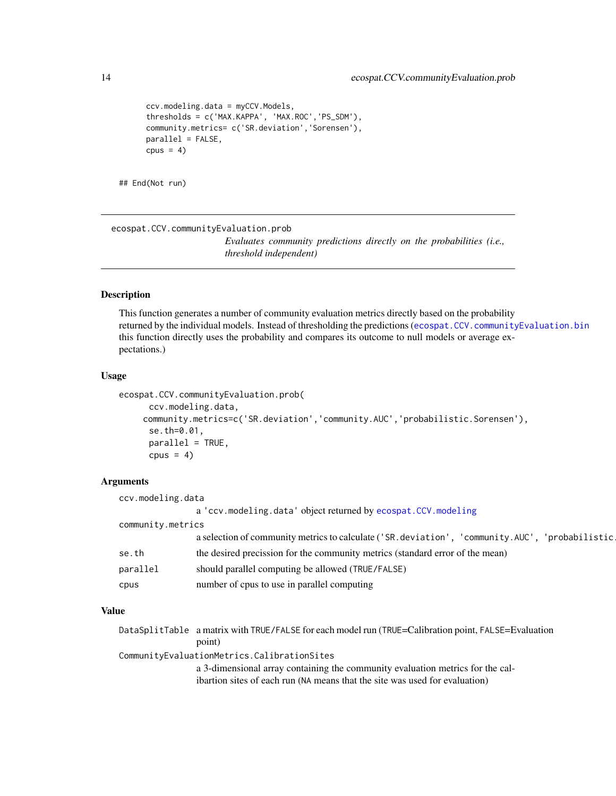```
ccv.modeling.data = myCCV.Models,
      thresholds = c('MAX.KAPPA', 'MAX.ROC','PS_SDM'),
     community.metrics= c('SR.deviation','Sorensen'),
     parallel = FALSE,
     cpus = 4)
## End(Not run)
```
<span id="page-13-1"></span>ecospat.CCV.communityEvaluation.prob

*Evaluates community predictions directly on the probabilities (i.e., threshold independent)*

#### Description

This function generates a number of community evaluation metrics directly based on the probability returned by the individual models. Instead of thresholding the predictions ([ecospat.CCV.communityEvaluation.bin](#page-11-1) this function directly uses the probability and compares its outcome to null models or average expectations.)

#### Usage

```
ecospat.CCV.communityEvaluation.prob(
      ccv.modeling.data,
    community.metrics=c('SR.deviation','community.AUC','probabilistic.Sorensen'),
      se.th=0.01,
      parallel = TRUE,
      cpus = 4)
```
# Arguments

| ccv.modeling.data |                                                                                                      |  |  |  |
|-------------------|------------------------------------------------------------------------------------------------------|--|--|--|
|                   | a 'ccv.modeling.data' object returned by ecospat.CCV.modeling                                        |  |  |  |
| community.metrics |                                                                                                      |  |  |  |
|                   | a selection of community metrics to calculate ('SR. deviation', 'community. AUC',<br>'probabilistic. |  |  |  |
| se.th             | the desired precission for the community metrics (standard error of the mean)                        |  |  |  |
| parallel          | should parallel computing be allowed (TRUE/FALSE)                                                    |  |  |  |
| cpus              | number of cpus to use in parallel computing                                                          |  |  |  |

# Value

|                                             | DataSplitTable a matrix with TRUE/FALSE for each model run (TRUE=Calibration point, FALSE=Evaluation |  |  |  |  |
|---------------------------------------------|------------------------------------------------------------------------------------------------------|--|--|--|--|
|                                             | point)                                                                                               |  |  |  |  |
| CommunityEvaluationMetrics.CalibrationSites |                                                                                                      |  |  |  |  |
|                                             | a 3-dimensional array containing the community evaluation metrics for the cal-                       |  |  |  |  |
|                                             | ibartion sites of each run (NA means that the site was used for evaluation)                          |  |  |  |  |

<span id="page-13-0"></span>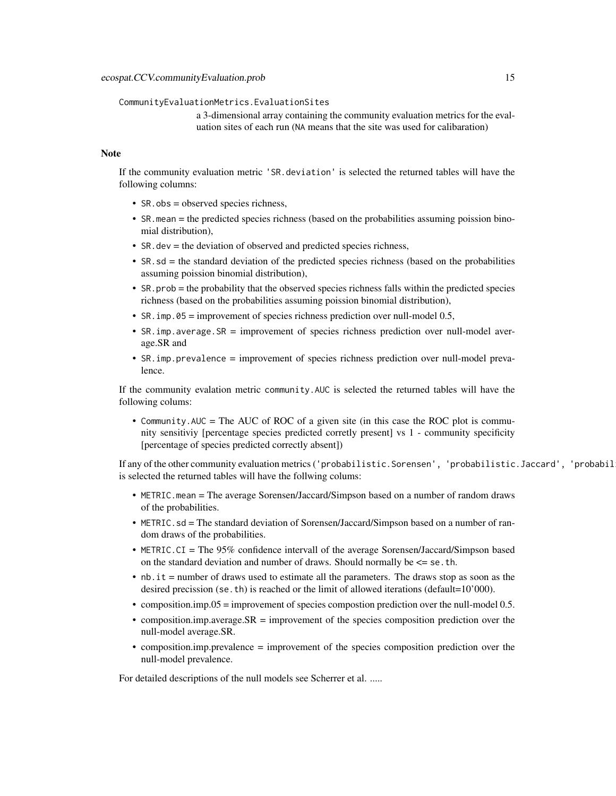#### CommunityEvaluationMetrics.EvaluationSites

a 3-dimensional array containing the community evaluation metrics for the evaluation sites of each run (NA means that the site was used for calibaration)

#### **Note**

If the community evaluation metric 'SR.deviation' is selected the returned tables will have the following columns:

- SR.obs = observed species richness,
- SR.mean = the predicted species richness (based on the probabilities assuming poission binomial distribution),
- SR.dev = the deviation of observed and predicted species richness,
- SR, sd = the standard deviation of the predicted species richness (based on the probabilities assuming poission binomial distribution),
- SR.prob = the probability that the observed species richness falls within the predicted species richness (based on the probabilities assuming poission binomial distribution),
- SR. imp.  $05 =$  improvement of species richness prediction over null-model 0.5,
- SR.imp.average.SR = improvement of species richness prediction over null-model average.SR and
- SR.imp.prevalence = improvement of species richness prediction over null-model prevalence.

If the community evalation metric community.AUC is selected the returned tables will have the following colums:

• Community. AUC = The AUC of ROC of a given site (in this case the ROC plot is community sensitiviy [percentage species predicted corretly present] vs 1 - community specificity [percentage of species predicted correctly absent])

If any of the other community evaluation metrics ('probabilistic.Sorensen', 'probabilistic.Jaccard', 'probabil is selected the returned tables will have the follwing colums:

- METRIC.mean = The average Sorensen/Jaccard/Simpson based on a number of random draws of the probabilities.
- METRIC. sd = The standard deviation of Sorensen/Jaccard/Simpson based on a number of random draws of the probabilities.
- METRIC.CI = The 95% confidence intervall of the average Sorensen/Jaccard/Simpson based on the standard deviation and number of draws. Should normally be  $\leq$  se. th.
- nb.it = number of draws used to estimate all the parameters. The draws stop as soon as the desired precission (se.th) is reached or the limit of allowed iterations (default=10'000).
- composition.imp.05 = improvement of species compostion prediction over the null-model 0.5.
- composition.imp.average.SR = improvement of the species composition prediction over the null-model average.SR.
- composition.imp.prevalence = improvement of the species composition prediction over the null-model prevalence.

For detailed descriptions of the null models see Scherrer et al. .....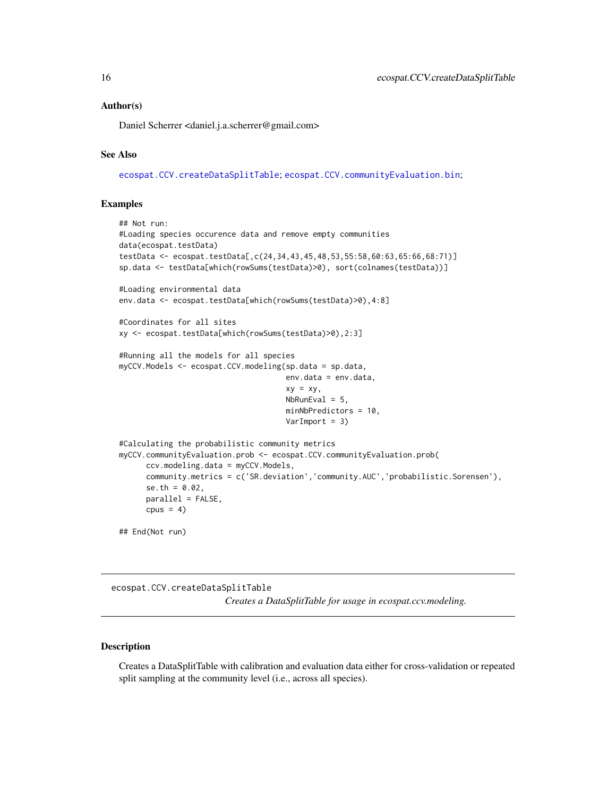#### <span id="page-15-0"></span>Author(s)

Daniel Scherrer <daniel.j.a.scherrer@gmail.com>

# See Also

[ecospat.CCV.createDataSplitTable](#page-15-1); [ecospat.CCV.communityEvaluation.bin](#page-11-1);

#### Examples

```
## Not run:
#Loading species occurence data and remove empty communities
data(ecospat.testData)
testData <- ecospat.testData[,c(24,34,43,45,48,53,55:58,60:63,65:66,68:71)]
sp.data <- testData[which(rowSums(testData)>0), sort(colnames(testData))]
#Loading environmental data
env.data <- ecospat.testData[which(rowSums(testData)>0),4:8]
#Coordinates for all sites
xy <- ecospat.testData[which(rowSums(testData)>0),2:3]
#Running all the models for all species
myCCV.Models <- ecospat.CCV.modeling(sp.data = sp.data,
                                     env.data = env.data,
                                     xy = xy,
                                     NbRunEval = 5,
                                     minNbPredictors = 10,
                                     VarImport = 3)#Calculating the probabilistic community metrics
myCCV.communityEvaluation.prob <- ecospat.CCV.communityEvaluation.prob(
     ccv.modeling.data = myCCV.Models,
     community.metrics = c('SR.deviation','community.AUC','probabilistic.Sorensen'),
     se.th = 0.02,
     parallel = FALSE,
     cpus = 4)
## End(Not run)
```
<span id="page-15-1"></span>ecospat.CCV.createDataSplitTable *Creates a DataSplitTable for usage in ecospat.ccv.modeling.*

# Description

Creates a DataSplitTable with calibration and evaluation data either for cross-validation or repeated split sampling at the community level (i.e., across all species).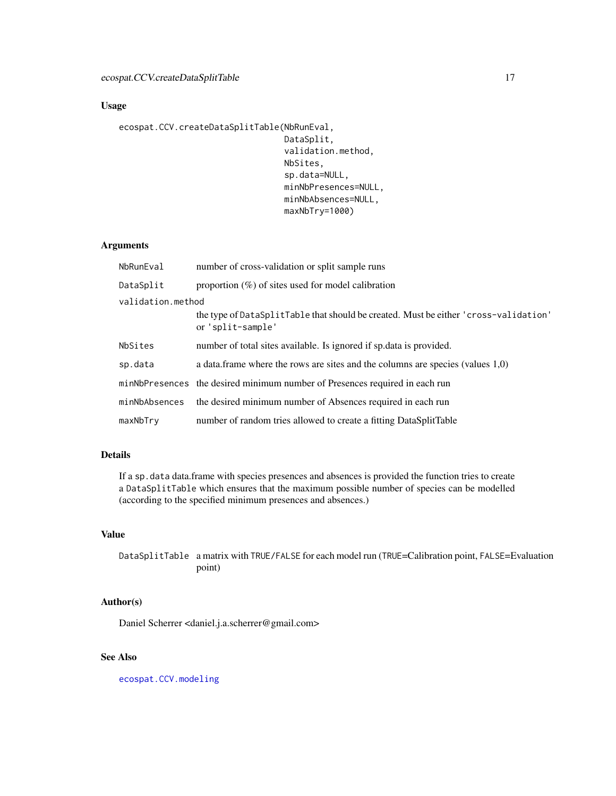# Usage

```
ecospat.CCV.createDataSplitTable(NbRunEval,
                                 DataSplit,
                                 validation.method,
                                 NbSites,
                                 sp.data=NULL,
                                 minNbPresences=NULL,
                                 minNbAbsences=NULL,
                                 maxNbTry=1000)
```
# Arguments

| NbRunEval         | number of cross-validation or split sample runs                                                           |
|-------------------|-----------------------------------------------------------------------------------------------------------|
| DataSplit         | proportion $(\%)$ of sites used for model calibration                                                     |
| validation.method |                                                                                                           |
|                   | the type of DataSplitTable that should be created. Must be either 'cross-validation'<br>or 'split-sample' |
| NbSites           | number of total sites available. Is ignored if sp. data is provided.                                      |
| sp.data           | a data. frame where the rows are sites and the columns are species (values $1,0$ )                        |
|                   | minNbPresences the desired minimum number of Presences required in each run                               |
| minNbAbsences     | the desired minimum number of Absences required in each run                                               |
| maxNbTry          | number of random tries allowed to create a fitting DataSplitTable                                         |

# Details

If a sp.data data.frame with species presences and absences is provided the function tries to create a DataSplitTable which ensures that the maximum possible number of species can be modelled (according to the specified minimum presences and absences.)

# Value

DataSplitTable a matrix with TRUE/FALSE for each model run (TRUE=Calibration point, FALSE=Evaluation point)

# Author(s)

Daniel Scherrer <daniel.j.a.scherrer@gmail.com>

# See Also

[ecospat.CCV.modeling](#page-17-1)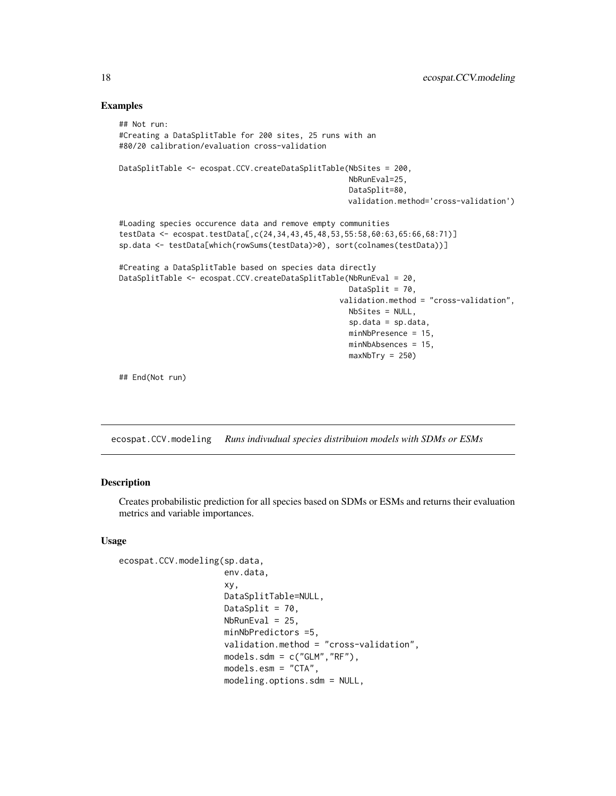#### Examples

```
## Not run:
#Creating a DataSplitTable for 200 sites, 25 runs with an
#80/20 calibration/evaluation cross-validation
DataSplitTable <- ecospat.CCV.createDataSplitTable(NbSites = 200,
                                                   NbRunEval=25,
                                                   DataSplit=80,
                                                   validation.method='cross-validation')
#Loading species occurence data and remove empty communities
testData <- ecospat.testData[,c(24,34,43,45,48,53,55:58,60:63,65:66,68:71)]
sp.data <- testData[which(rowSums(testData)>0), sort(colnames(testData))]
#Creating a DataSplitTable based on species data directly
DataSplitTable <- ecospat.CCV.createDataSplitTable(NbRunEval = 20,
                                                   DataSplit = 70,
                                                 validation.method = "cross-validation",
                                                   NbSites = NULL,
                                                   sp.data = sp.data,
                                                   minNbPresence = 15,
                                                   minNbAbsences = 15,
                                                   maxNbTry = 250
```
## End(Not run)

<span id="page-17-1"></span>ecospat.CCV.modeling *Runs indivudual species distribuion models with SDMs or ESMs*

### **Description**

Creates probabilistic prediction for all species based on SDMs or ESMs and returns their evaluation metrics and variable importances.

#### Usage

```
ecospat.CCV.modeling(sp.data,
                     env.data,
                     xy,
                     DataSplitTable=NULL,
                     DataSplit = 70,
                     NbRunEval = 25,
                     minNbPredictors =5,
                     validation.method = "cross-validation",
                     models.sdm = c("GLM", "RF"),
                     models.esm = "CTA",
                     modeling.options.sdm = NULL,
```
<span id="page-17-0"></span>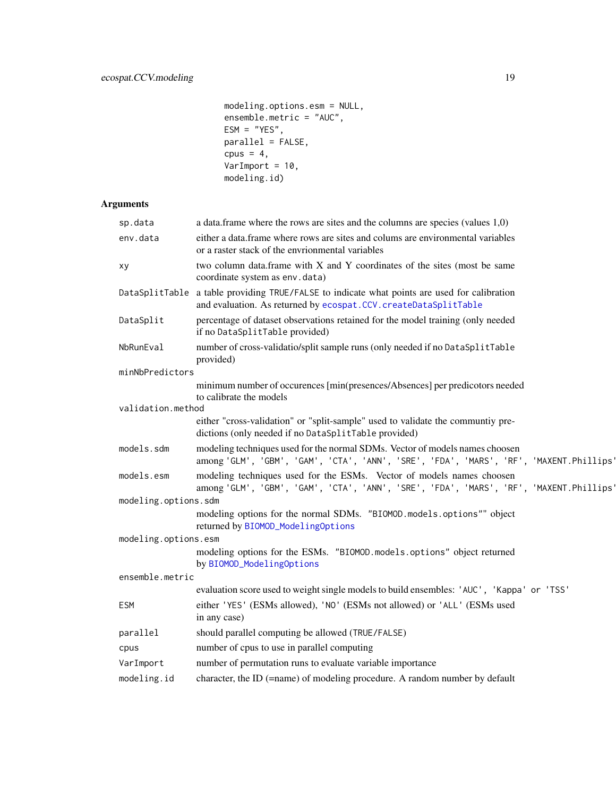```
modeling.options.esm = NULL,
ensemble.metric = "AUC",
ESM = "YES",parallel = FALSE,
cpus = 4,VarImport = 10,modeling.id)
```
# Arguments

| sp.data              | a data. frame where the rows are sites and the columns are species (values $1,0$ )                                                                                     |
|----------------------|------------------------------------------------------------------------------------------------------------------------------------------------------------------------|
| env.data             | either a data frame where rows are sites and colums are environmental variables<br>or a raster stack of the envrionmental variables                                    |
| xy                   | two column data.frame with X and Y coordinates of the sites (most be same<br>coordinate system as env.data)                                                            |
|                      | DataSplitTable a table providing TRUE/FALSE to indicate what points are used for calibration<br>and evaluation. As returned by ecospat. CCV. createDataSplitTable      |
| DataSplit            | percentage of dataset observations retained for the model training (only needed<br>if no DataSplitTable provided)                                                      |
| NbRunEval            | number of cross-validatio/split sample runs (only needed if no DataSplitTable<br>provided)                                                                             |
| minNbPredictors      |                                                                                                                                                                        |
|                      | minimum number of occurences [min(presences/Absences] per predicotors needed<br>to calibrate the models                                                                |
| validation.method    |                                                                                                                                                                        |
|                      | either "cross-validation" or "split-sample" used to validate the communtiy pre-<br>dictions (only needed if no DataSplitTable provided)                                |
| models.sdm           | modeling techniques used for the normal SDMs. Vector of models names choosen<br>among 'GLM', 'GBM', 'GAM', 'CTA', 'ANN', 'SRE', 'FDA', 'MARS', 'RF', 'MAXENT.Phillips' |
| models.esm           | modeling techniques used for the ESMs. Vector of models names choosen<br>among 'GLM', 'GBM', 'GAM', 'CTA', 'ANN', 'SRE', 'FDA', 'MARS', 'RF', 'MAXENT.Phillips'        |
| modeling.options.sdm |                                                                                                                                                                        |
|                      | modeling options for the normal SDMs. "BIOMOD.models.options"" object<br>returned by BIOMOD_ModelingOptions                                                            |
| modeling.options.esm |                                                                                                                                                                        |
|                      | modeling options for the ESMs. "BIOMOD.models.options" object returned<br>by BIOMOD_ModelingOptions                                                                    |
| ensemble.metric      |                                                                                                                                                                        |
|                      | evaluation score used to weight single models to build ensembles: 'AUC', 'Kappa' or 'TSS'                                                                              |
| <b>ESM</b>           | either 'YES' (ESMs allowed), 'NO' (ESMs not allowed) or 'ALL' (ESMs used<br>in any case)                                                                               |
| parallel             | should parallel computing be allowed (TRUE/FALSE)                                                                                                                      |
| cpus                 | number of cpus to use in parallel computing                                                                                                                            |
| VarImport            | number of permutation runs to evaluate variable importance                                                                                                             |
| modeling.id          | character, the ID (=name) of modeling procedure. A random number by default                                                                                            |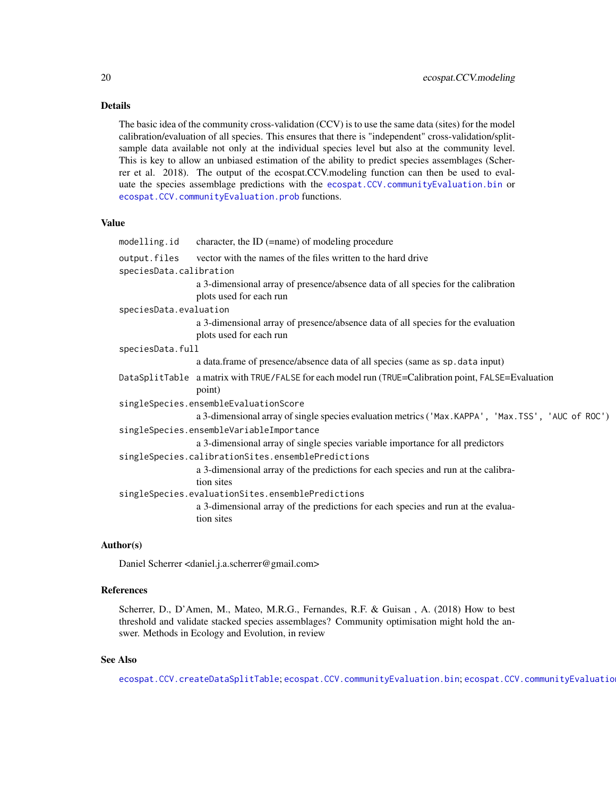# Details

The basic idea of the community cross-validation (CCV) is to use the same data (sites) for the model calibration/evaluation of all species. This ensures that there is "independent" cross-validation/splitsample data available not only at the individual species level but also at the community level. This is key to allow an unbiased estimation of the ability to predict species assemblages (Scherrer et al. 2018). The output of the ecospat.CCV.modeling function can then be used to evaluate the species assemblage predictions with the [ecospat.CCV.communityEvaluation.bin](#page-11-1) or [ecospat.CCV.communityEvaluation.prob](#page-13-1) functions.

#### Value

| modelling.id            | character, the ID $(=\text{name})$ of modeling procedure                                                       |
|-------------------------|----------------------------------------------------------------------------------------------------------------|
| output.files            | vector with the names of the files written to the hard drive                                                   |
| speciesData.calibration |                                                                                                                |
|                         | a 3-dimensional array of presence/absence data of all species for the calibration<br>plots used for each run   |
| speciesData.evaluation  |                                                                                                                |
|                         | a 3-dimensional array of presence/absence data of all species for the evaluation<br>plots used for each run    |
| speciesData.full        |                                                                                                                |
|                         | a data.frame of presence/absence data of all species (same as sp. data input)                                  |
|                         | DataSplitTable a matrix with TRUE/FALSE for each model run (TRUE=Calibration point, FALSE=Evaluation<br>point) |
|                         | singleSpecies.ensembleEvaluationScore                                                                          |
|                         | a 3-dimensional array of single species evaluation metrics ('Max.KAPPA', 'Max.TSS', 'AUC of ROC')              |
|                         | singleSpecies.ensembleVariableImportance                                                                       |
|                         | a 3-dimensional array of single species variable importance for all predictors                                 |
|                         | singleSpecies.calibrationSites.ensemblePredictions                                                             |
|                         | a 3-dimensional array of the predictions for each species and run at the calibra-<br>tion sites                |
|                         | singleSpecies.evaluationSites.ensemblePredictions                                                              |
|                         | a 3-dimensional array of the predictions for each species and run at the evalua-<br>tion sites                 |

# Author(s)

Daniel Scherrer <daniel.j.a.scherrer@gmail.com>

#### References

Scherrer, D., D'Amen, M., Mateo, M.R.G., Fernandes, R.F. & Guisan , A. (2018) How to best threshold and validate stacked species assemblages? Community optimisation might hold the answer. Methods in Ecology and Evolution, in review

# See Also

[ecospat.CCV.createDataSplitTable](#page-15-1); [ecospat.CCV.communityEvaluation.bin](#page-11-1); ecospat.CCV.communityEvaluatio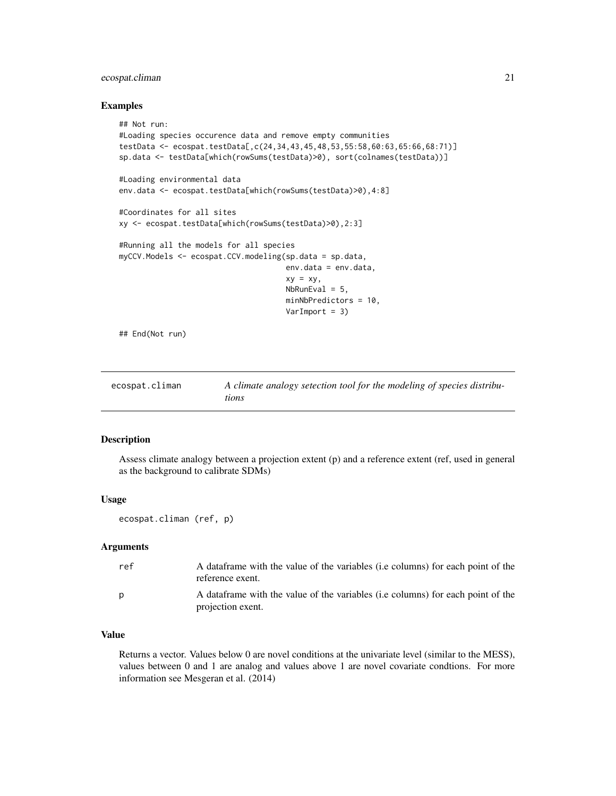# <span id="page-20-0"></span>ecospat.climan 21

#### Examples

```
## Not run:
#Loading species occurence data and remove empty communities
testData <- ecospat.testData[,c(24,34,43,45,48,53,55:58,60:63,65:66,68:71)]
sp.data <- testData[which(rowSums(testData)>0), sort(colnames(testData))]
#Loading environmental data
env.data <- ecospat.testData[which(rowSums(testData)>0),4:8]
#Coordinates for all sites
xy <- ecospat.testData[which(rowSums(testData)>0),2:3]
#Running all the models for all species
myCCV.Models <- ecospat.CCV.modeling(sp.data = sp.data,
                                     env.data = env.data,
                                     xy = xy.
                                     NbRunEval = 5,
                                     minNbPredictors = 10,
                                     VarImport = 3)
## End(Not run)
```
<span id="page-20-1"></span>

| ecospat.climan | A climate analogy setection tool for the modeling of species distribu- |
|----------------|------------------------------------------------------------------------|
|                | tions                                                                  |

#### Description

Assess climate analogy between a projection extent (p) and a reference extent (ref, used in general as the background to calibrate SDMs)

#### Usage

ecospat.climan (ref, p)

# Arguments

| ref | A data frame with the value of the variables ( <i>i.e columns</i> ) for each point of the<br>reference exent.  |
|-----|----------------------------------------------------------------------------------------------------------------|
| p   | A data frame with the value of the variables ( <i>i.e columns</i> ) for each point of the<br>projection exent. |

# Value

Returns a vector. Values below 0 are novel conditions at the univariate level (similar to the MESS), values between 0 and 1 are analog and values above 1 are novel covariate condtions. For more information see Mesgeran et al. (2014)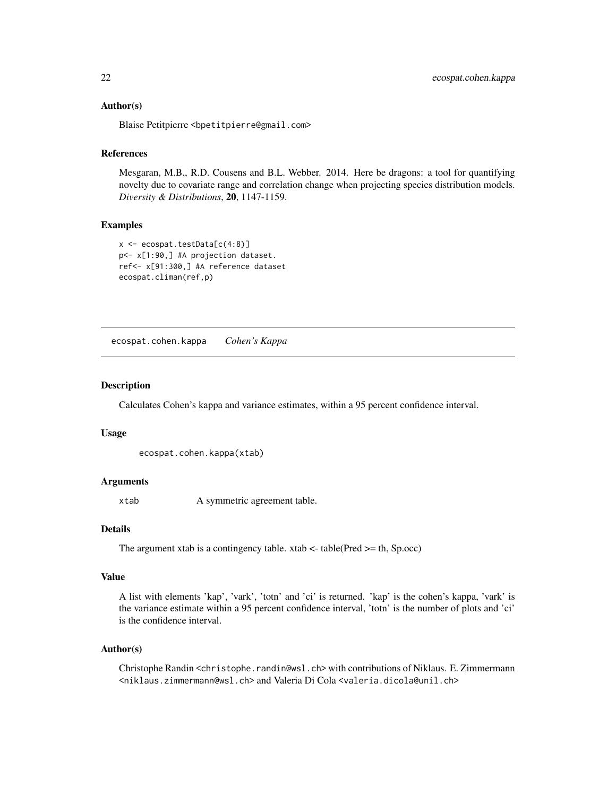### <span id="page-21-0"></span>Author(s)

Blaise Petitpierre <bpetitpierre@gmail.com>

#### References

Mesgaran, M.B., R.D. Cousens and B.L. Webber. 2014. Here be dragons: a tool for quantifying novelty due to covariate range and correlation change when projecting species distribution models. *Diversity & Distributions*, 20, 1147-1159.

#### Examples

```
x \leftarrow e \cos p \cdot t \cdot \t{testData[c(4:8)]}p<- x[1:90,] #A projection dataset.
ref<- x[91:300,] #A reference dataset
ecospat.climan(ref,p)
```
<span id="page-21-1"></span>ecospat.cohen.kappa *Cohen's Kappa*

#### Description

Calculates Cohen's kappa and variance estimates, within a 95 percent confidence interval.

#### Usage

```
ecospat.cohen.kappa(xtab)
```
#### Arguments

xtab A symmetric agreement table.

# **Details**

The argument xtab is a contingency table. xtab  $\lt$ -table(Pred  $\gt$ = th, Sp.occ)

#### Value

A list with elements 'kap', 'vark', 'totn' and 'ci' is returned. 'kap' is the cohen's kappa, 'vark' is the variance estimate within a 95 percent confidence interval, 'totn' is the number of plots and 'ci' is the confidence interval.

#### Author(s)

Christophe Randin <christophe.randin@wsl.ch> with contributions of Niklaus. E. Zimmermann <niklaus.zimmermann@wsl.ch> and Valeria Di Cola <valeria.dicola@unil.ch>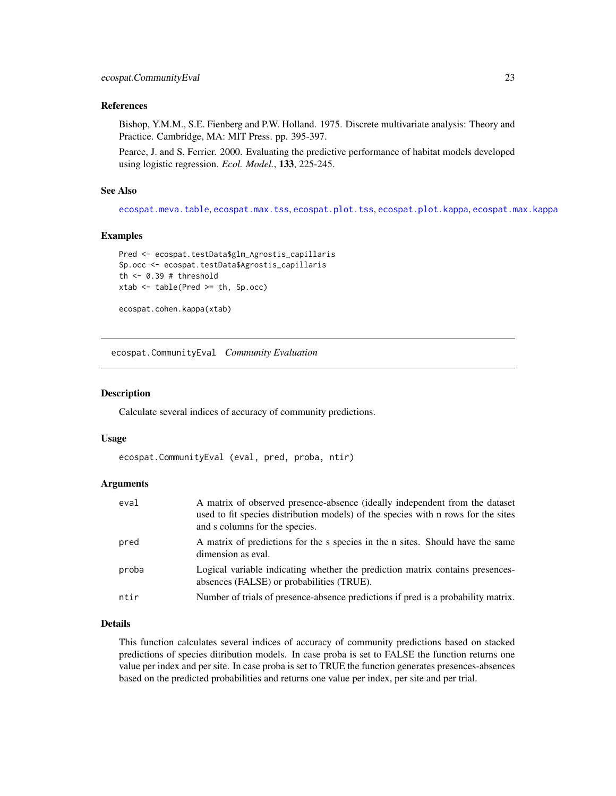# <span id="page-22-0"></span>References

Bishop, Y.M.M., S.E. Fienberg and P.W. Holland. 1975. Discrete multivariate analysis: Theory and Practice. Cambridge, MA: MIT Press. pp. 395-397.

Pearce, J. and S. Ferrier. 2000. Evaluating the predictive performance of habitat models developed using logistic regression. *Ecol. Model.*, 133, 225-245.

### See Also

[ecospat.meva.table](#page-59-1), [ecospat.max.tss](#page-54-1), [ecospat.plot.tss](#page-80-2), [ecospat.plot.kappa](#page-76-1), [ecospat.max.kappa](#page-53-1)

#### Examples

```
Pred <- ecospat.testData$glm_Agrostis_capillaris
Sp.occ <- ecospat.testData$Agrostis_capillaris
th <- 0.39 # threshold
xtab <- table(Pred >= th, Sp.occ)
```

```
ecospat.cohen.kappa(xtab)
```
<span id="page-22-1"></span>ecospat.CommunityEval *Community Evaluation*

#### Description

Calculate several indices of accuracy of community predictions.

#### Usage

```
ecospat.CommunityEval (eval, pred, proba, ntir)
```
### Arguments

| A matrix of predictions for the s species in the n sites. Should have the same<br>dimension as eval.<br>Logical variable indicating whether the prediction matrix contains presences-<br>absences (FALSE) or probabilities (TRUE).<br>Number of trials of presence-absence predictions if pred is a probability matrix. | eval  | A matrix of observed presence-absence (ideally independent from the dataset<br>used to fit species distribution models) of the species with n rows for the sites<br>and s columns for the species. |
|-------------------------------------------------------------------------------------------------------------------------------------------------------------------------------------------------------------------------------------------------------------------------------------------------------------------------|-------|----------------------------------------------------------------------------------------------------------------------------------------------------------------------------------------------------|
|                                                                                                                                                                                                                                                                                                                         | pred  |                                                                                                                                                                                                    |
|                                                                                                                                                                                                                                                                                                                         | proba |                                                                                                                                                                                                    |
|                                                                                                                                                                                                                                                                                                                         | ntir  |                                                                                                                                                                                                    |

#### Details

This function calculates several indices of accuracy of community predictions based on stacked predictions of species ditribution models. In case proba is set to FALSE the function returns one value per index and per site. In case proba is set to TRUE the function generates presences-absences based on the predicted probabilities and returns one value per index, per site and per trial.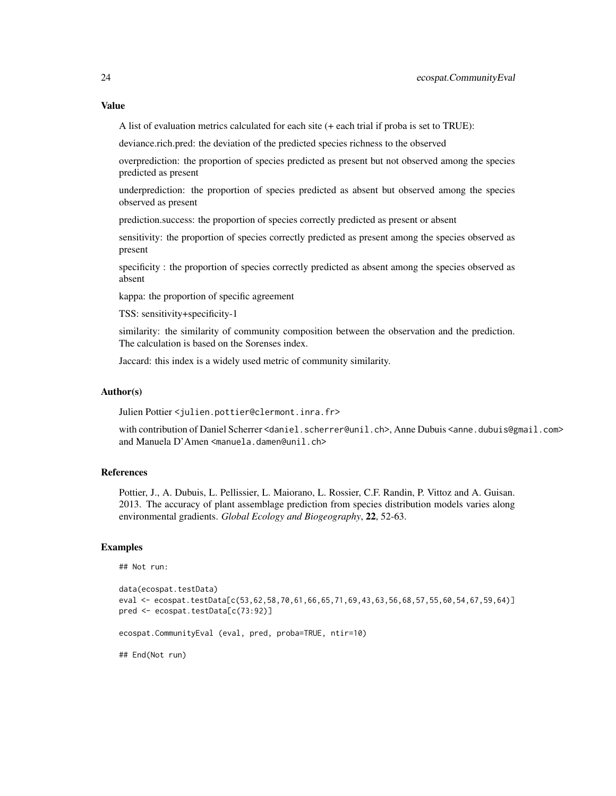# Value

A list of evaluation metrics calculated for each site (+ each trial if proba is set to TRUE):

deviance.rich.pred: the deviation of the predicted species richness to the observed

overprediction: the proportion of species predicted as present but not observed among the species predicted as present

underprediction: the proportion of species predicted as absent but observed among the species observed as present

prediction.success: the proportion of species correctly predicted as present or absent

sensitivity: the proportion of species correctly predicted as present among the species observed as present

specificity : the proportion of species correctly predicted as absent among the species observed as absent

kappa: the proportion of specific agreement

TSS: sensitivity+specificity-1

similarity: the similarity of community composition between the observation and the prediction. The calculation is based on the Sorenses index.

Jaccard: this index is a widely used metric of community similarity.

#### Author(s)

Julien Pottier <julien.pottier@clermont.inra.fr>

with contribution of Daniel Scherrer <daniel.scherrer@unil.ch>, Anne Dubuis <anne.dubuis@gmail.com> and Manuela D'Amen <manuela.damen@unil.ch>

# References

Pottier, J., A. Dubuis, L. Pellissier, L. Maiorano, L. Rossier, C.F. Randin, P. Vittoz and A. Guisan. 2013. The accuracy of plant assemblage prediction from species distribution models varies along environmental gradients. *Global Ecology and Biogeography*, 22, 52-63.

# Examples

```
## Not run:
```

```
data(ecospat.testData)
eval <- ecospat.testData[c(53,62,58,70,61,66,65,71,69,43,63,56,68,57,55,60,54,67,59,64)]
pred <- ecospat.testData[c(73:92)]
ecospat.CommunityEval (eval, pred, proba=TRUE, ntir=10)
## End(Not run)
```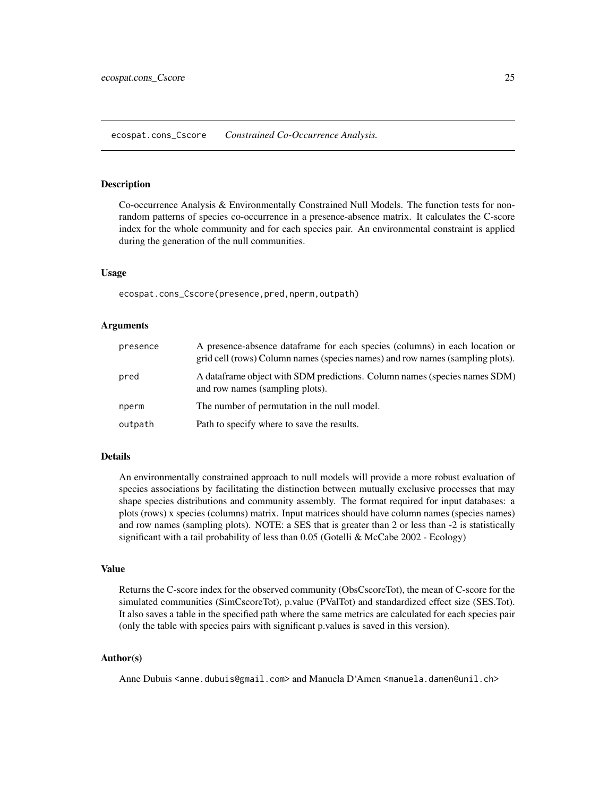<span id="page-24-1"></span><span id="page-24-0"></span>ecospat.cons\_Cscore *Constrained Co-Occurrence Analysis.*

#### Description

Co-occurrence Analysis & Environmentally Constrained Null Models. The function tests for nonrandom patterns of species co-occurrence in a presence-absence matrix. It calculates the C-score index for the whole community and for each species pair. An environmental constraint is applied during the generation of the null communities.

#### Usage

ecospat.cons\_Cscore(presence,pred,nperm,outpath)

#### Arguments

| presence | A presence-absence data frame for each species (columns) in each location or<br>grid cell (rows) Column names (species names) and row names (sampling plots). |
|----------|---------------------------------------------------------------------------------------------------------------------------------------------------------------|
| pred     | A dataframe object with SDM predictions. Column names (species names SDM)<br>and row names (sampling plots).                                                  |
| nperm    | The number of permutation in the null model.                                                                                                                  |
| outpath  | Path to specify where to save the results.                                                                                                                    |

#### Details

An environmentally constrained approach to null models will provide a more robust evaluation of species associations by facilitating the distinction between mutually exclusive processes that may shape species distributions and community assembly. The format required for input databases: a plots (rows) x species (columns) matrix. Input matrices should have column names (species names) and row names (sampling plots). NOTE: a SES that is greater than 2 or less than -2 is statistically significant with a tail probability of less than 0.05 (Gotelli & McCabe 2002 - Ecology)

### Value

Returns the C-score index for the observed community (ObsCscoreTot), the mean of C-score for the simulated communities (SimCscoreTot), p.value (PValTot) and standardized effect size (SES.Tot). It also saves a table in the specified path where the same metrics are calculated for each species pair (only the table with species pairs with significant p.values is saved in this version).

### Author(s)

Anne Dubuis <anne.dubuis@gmail.com> and Manuela D'Amen <manuela.damen@unil.ch>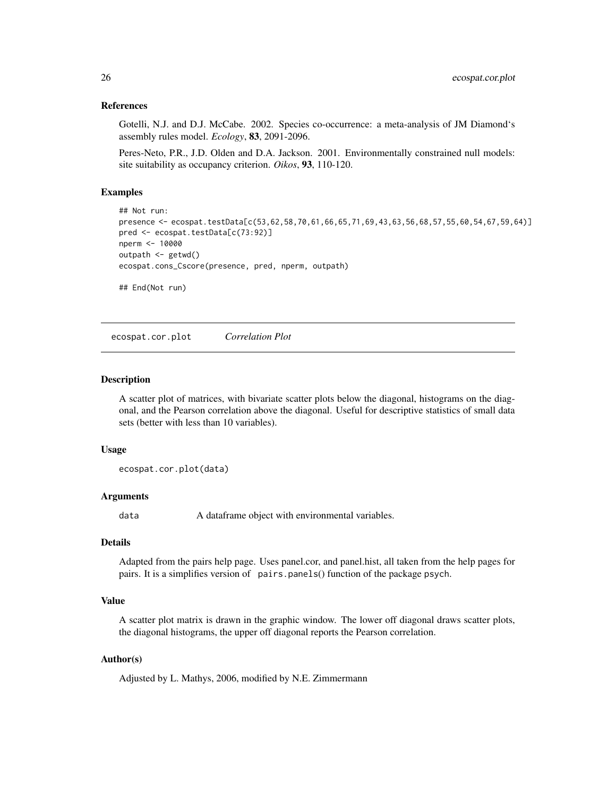#### <span id="page-25-0"></span>References

Gotelli, N.J. and D.J. McCabe. 2002. Species co-occurrence: a meta-analysis of JM Diamond's assembly rules model. *Ecology*, 83, 2091-2096.

Peres-Neto, P.R., J.D. Olden and D.A. Jackson. 2001. Environmentally constrained null models: site suitability as occupancy criterion. *Oikos*, 93, 110-120.

# Examples

```
## Not run:
presence <- ecospat.testData[c(53,62,58,70,61,66,65,71,69,43,63,56,68,57,55,60,54,67,59,64)]
pred <- ecospat.testData[c(73:92)]
nperm <- 10000
outpath <- getwd()
ecospat.cons_Cscore(presence, pred, nperm, outpath)
## End(Not run)
```
<span id="page-25-1"></span>ecospat.cor.plot *Correlation Plot*

#### Description

A scatter plot of matrices, with bivariate scatter plots below the diagonal, histograms on the diagonal, and the Pearson correlation above the diagonal. Useful for descriptive statistics of small data sets (better with less than 10 variables).

#### Usage

ecospat.cor.plot(data)

### Arguments

data A dataframe object with environmental variables.

# Details

Adapted from the pairs help page. Uses panel.cor, and panel.hist, all taken from the help pages for pairs. It is a simplifies version of pairs.panels() function of the package psych.

#### Value

A scatter plot matrix is drawn in the graphic window. The lower off diagonal draws scatter plots, the diagonal histograms, the upper off diagonal reports the Pearson correlation.

#### Author(s)

Adjusted by L. Mathys, 2006, modified by N.E. Zimmermann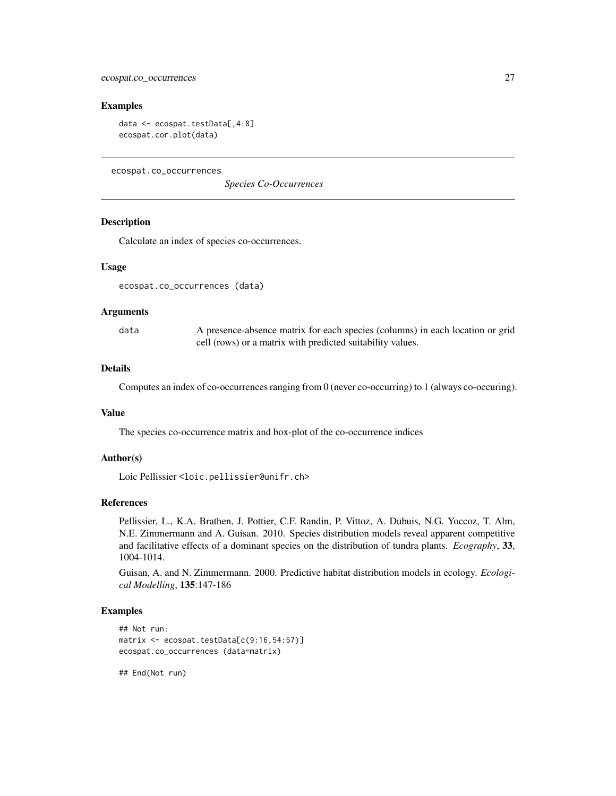#### <span id="page-26-0"></span>Examples

```
data <- ecospat.testData[,4:8]
ecospat.cor.plot(data)
```
<span id="page-26-1"></span>ecospat.co\_occurrences

*Species Co-Occurrences*

# **Description**

Calculate an index of species co-occurrences.

#### Usage

ecospat.co\_occurrences (data)

#### Arguments

data A presence-absence matrix for each species (columns) in each location or grid cell (rows) or a matrix with predicted suitability values.

#### Details

Computes an index of co-occurrences ranging from 0 (never co-occurring) to 1 (always co-occuring).

#### Value

The species co-occurrence matrix and box-plot of the co-occurrence indices

### Author(s)

Loic Pellissier <loic.pellissier@unifr.ch>

#### References

Pellissier, L., K.A. Brathen, J. Pottier, C.F. Randin, P. Vittoz, A. Dubuis, N.G. Yoccoz, T. Alm, N.E. Zimmermann and A. Guisan. 2010. Species distribution models reveal apparent competitive and facilitative effects of a dominant species on the distribution of tundra plants. *Ecography*, 33, 1004-1014.

Guisan, A. and N. Zimmermann. 2000. Predictive habitat distribution models in ecology. *Ecological Modelling*, 135:147-186

#### Examples

```
## Not run:
matrix <- ecospat.testData[c(9:16,54:57)]
ecospat.co_occurrences (data=matrix)
```
## End(Not run)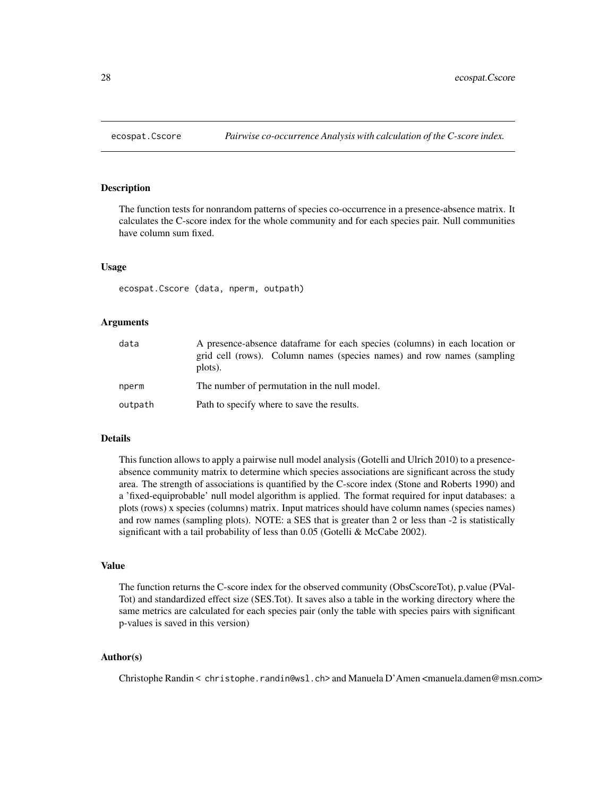<span id="page-27-1"></span><span id="page-27-0"></span>

#### Description

The function tests for nonrandom patterns of species co-occurrence in a presence-absence matrix. It calculates the C-score index for the whole community and for each species pair. Null communities have column sum fixed.

#### Usage

ecospat.Cscore (data, nperm, outpath)

#### Arguments

| data    | A presence-absence dataframe for each species (columns) in each location or<br>grid cell (rows). Column names (species names) and row names (sampling<br>plots). |  |
|---------|------------------------------------------------------------------------------------------------------------------------------------------------------------------|--|
| nperm   | The number of permutation in the null model.                                                                                                                     |  |
| outpath | Path to specify where to save the results.                                                                                                                       |  |

# Details

This function allows to apply a pairwise null model analysis (Gotelli and Ulrich 2010) to a presenceabsence community matrix to determine which species associations are significant across the study area. The strength of associations is quantified by the C-score index (Stone and Roberts 1990) and a 'fixed-equiprobable' null model algorithm is applied. The format required for input databases: a plots (rows) x species (columns) matrix. Input matrices should have column names (species names) and row names (sampling plots). NOTE: a SES that is greater than 2 or less than -2 is statistically significant with a tail probability of less than 0.05 (Gotelli & McCabe 2002).

#### Value

The function returns the C-score index for the observed community (ObsCscoreTot), p.value (PVal-Tot) and standardized effect size (SES.Tot). It saves also a table in the working directory where the same metrics are calculated for each species pair (only the table with species pairs with significant p-values is saved in this version)

### Author(s)

Christophe Randin < christophe.randin@wsl.ch> and Manuela D'Amen <manuela.damen@msn.com>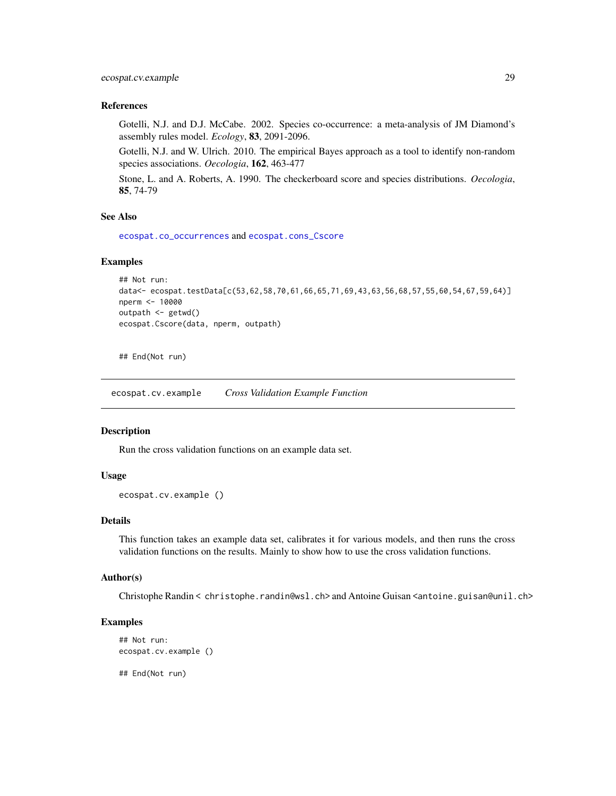# <span id="page-28-0"></span>ecospat.cv.example 29

# References

Gotelli, N.J. and D.J. McCabe. 2002. Species co-occurrence: a meta-analysis of JM Diamond's assembly rules model. *Ecology*, 83, 2091-2096.

Gotelli, N.J. and W. Ulrich. 2010. The empirical Bayes approach as a tool to identify non-random species associations. *Oecologia*, 162, 463-477

Stone, L. and A. Roberts, A. 1990. The checkerboard score and species distributions. *Oecologia*, 85, 74-79

# See Also

[ecospat.co\\_occurrences](#page-26-1) and [ecospat.cons\\_Cscore](#page-24-1)

# Examples

```
## Not run:
data<- ecospat.testData[c(53,62,58,70,61,66,65,71,69,43,63,56,68,57,55,60,54,67,59,64)]
nperm <- 10000
outpath <- getwd()
ecospat.Cscore(data, nperm, outpath)
```
## End(Not run)

ecospat.cv.example *Cross Validation Example Function*

#### Description

Run the cross validation functions on an example data set.

# Usage

```
ecospat.cv.example ()
```
# Details

This function takes an example data set, calibrates it for various models, and then runs the cross validation functions on the results. Mainly to show how to use the cross validation functions.

#### Author(s)

Christophe Randin < christophe.randin@wsl.ch> and Antoine Guisan <antoine.guisan@unil.ch>

#### Examples

```
## Not run:
ecospat.cv.example ()
```
## End(Not run)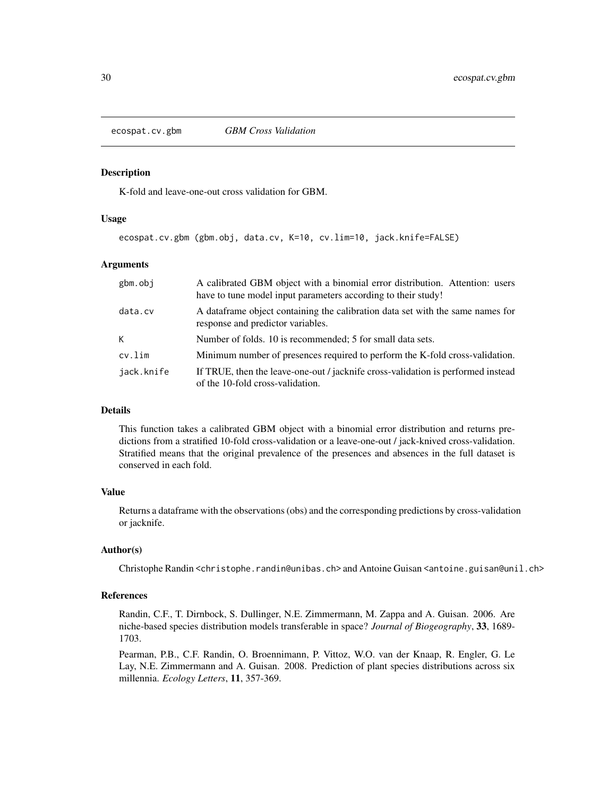<span id="page-29-1"></span><span id="page-29-0"></span>ecospat.cv.gbm *GBM Cross Validation*

#### Description

K-fold and leave-one-out cross validation for GBM.

#### Usage

ecospat.cv.gbm (gbm.obj, data.cv, K=10, cv.lim=10, jack.knife=FALSE)

# Arguments

| gbm.obj    | A calibrated GBM object with a binomial error distribution. Attention: users<br>have to tune model input parameters according to their study! |  |
|------------|-----------------------------------------------------------------------------------------------------------------------------------------------|--|
| data.cv    | A dataframe object containing the calibration data set with the same names for<br>response and predictor variables.                           |  |
| K          | Number of folds. 10 is recommended; 5 for small data sets.                                                                                    |  |
| cv.lim     | Minimum number of presences required to perform the K-fold cross-validation.                                                                  |  |
| jack.knife | If TRUE, then the leave-one-out / jacknife cross-validation is performed instead<br>of the 10-fold cross-validation.                          |  |

# Details

This function takes a calibrated GBM object with a binomial error distribution and returns predictions from a stratified 10-fold cross-validation or a leave-one-out / jack-knived cross-validation. Stratified means that the original prevalence of the presences and absences in the full dataset is conserved in each fold.

# Value

Returns a dataframe with the observations (obs) and the corresponding predictions by cross-validation or jacknife.

#### Author(s)

Christophe Randin <christophe.randin@unibas.ch> and Antoine Guisan <antoine.guisan@unil.ch>

#### References

Randin, C.F., T. Dirnbock, S. Dullinger, N.E. Zimmermann, M. Zappa and A. Guisan. 2006. Are niche-based species distribution models transferable in space? *Journal of Biogeography*, 33, 1689- 1703.

Pearman, P.B., C.F. Randin, O. Broennimann, P. Vittoz, W.O. van der Knaap, R. Engler, G. Le Lay, N.E. Zimmermann and A. Guisan. 2008. Prediction of plant species distributions across six millennia. *Ecology Letters*, 11, 357-369.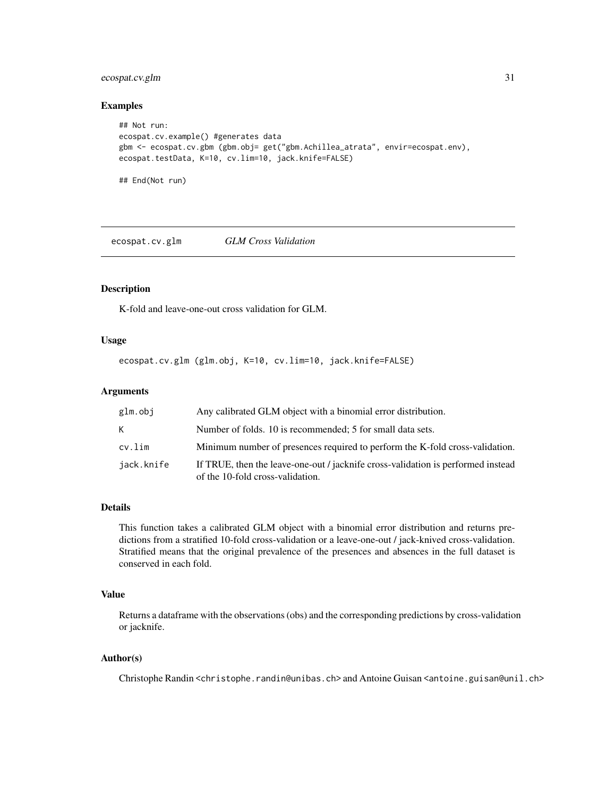# <span id="page-30-0"></span>ecospat.cv.glm 31

#### Examples

```
## Not run:
ecospat.cv.example() #generates data
gbm <- ecospat.cv.gbm (gbm.obj= get("gbm.Achillea_atrata", envir=ecospat.env),
ecospat.testData, K=10, cv.lim=10, jack.knife=FALSE)
## End(Not run)
```
<span id="page-30-1"></span>ecospat.cv.glm *GLM Cross Validation*

### Description

K-fold and leave-one-out cross validation for GLM.

#### Usage

ecospat.cv.glm (glm.obj, K=10, cv.lim=10, jack.knife=FALSE)

# Arguments

| glm.obj    | Any calibrated GLM object with a binomial error distribution.                                                        |
|------------|----------------------------------------------------------------------------------------------------------------------|
| K          | Number of folds. 10 is recommended; 5 for small data sets.                                                           |
| cv.lim     | Minimum number of presences required to perform the K-fold cross-validation.                                         |
| jack.knife | If TRUE, then the leave-one-out / jacknife cross-validation is performed instead<br>of the 10-fold cross-validation. |

# Details

This function takes a calibrated GLM object with a binomial error distribution and returns predictions from a stratified 10-fold cross-validation or a leave-one-out / jack-knived cross-validation. Stratified means that the original prevalence of the presences and absences in the full dataset is conserved in each fold.

#### Value

Returns a dataframe with the observations (obs) and the corresponding predictions by cross-validation or jacknife.

### Author(s)

Christophe Randin <christophe.randin@unibas.ch> and Antoine Guisan <antoine.guisan@unil.ch>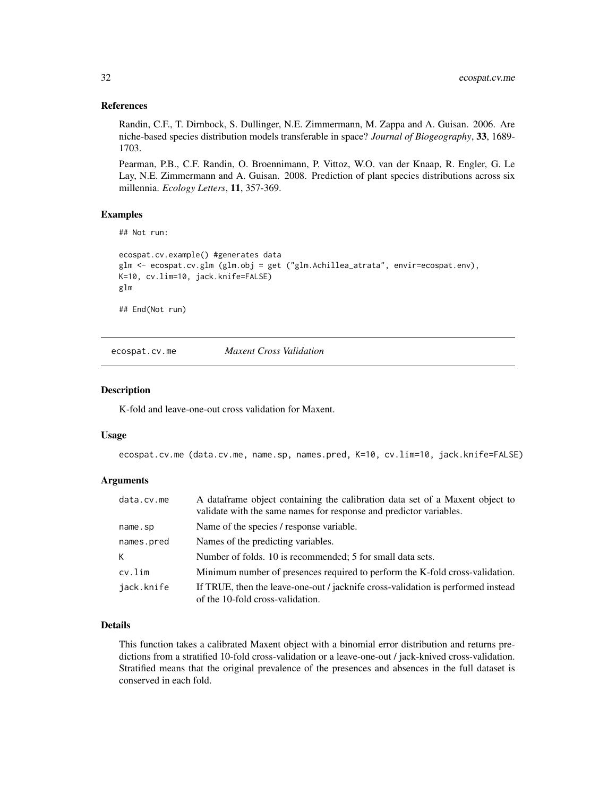# <span id="page-31-0"></span>References

Randin, C.F., T. Dirnbock, S. Dullinger, N.E. Zimmermann, M. Zappa and A. Guisan. 2006. Are niche-based species distribution models transferable in space? *Journal of Biogeography*, 33, 1689- 1703.

Pearman, P.B., C.F. Randin, O. Broennimann, P. Vittoz, W.O. van der Knaap, R. Engler, G. Le Lay, N.E. Zimmermann and A. Guisan. 2008. Prediction of plant species distributions across six millennia. *Ecology Letters*, 11, 357-369.

#### Examples

```
## Not run:
```

```
ecospat.cv.example() #generates data
glm <- ecospat.cv.glm (glm.obj = get ("glm.Achillea_atrata", envir=ecospat.env),
K=10, cv.lim=10, jack.knife=FALSE)
glm
```
## End(Not run)

<span id="page-31-1"></span>ecospat.cv.me *Maxent Cross Validation*

#### Description

K-fold and leave-one-out cross validation for Maxent.

#### Usage

ecospat.cv.me (data.cv.me, name.sp, names.pred, K=10, cv.lim=10, jack.knife=FALSE)

# Arguments

| data.cv.me | A data frame object containing the calibration data set of a Maxent object to<br>validate with the same names for response and predictor variables. |
|------------|-----------------------------------------------------------------------------------------------------------------------------------------------------|
| name.sp    | Name of the species / response variable.                                                                                                            |
| names.pred | Names of the predicting variables.                                                                                                                  |
| K          | Number of folds. 10 is recommended; 5 for small data sets.                                                                                          |
| cv.lim     | Minimum number of presences required to perform the K-fold cross-validation.                                                                        |
| jack.knife | If TRUE, then the leave-one-out / jacknife cross-validation is performed instead<br>of the 10-fold cross-validation.                                |

# Details

This function takes a calibrated Maxent object with a binomial error distribution and returns predictions from a stratified 10-fold cross-validation or a leave-one-out / jack-knived cross-validation. Stratified means that the original prevalence of the presences and absences in the full dataset is conserved in each fold.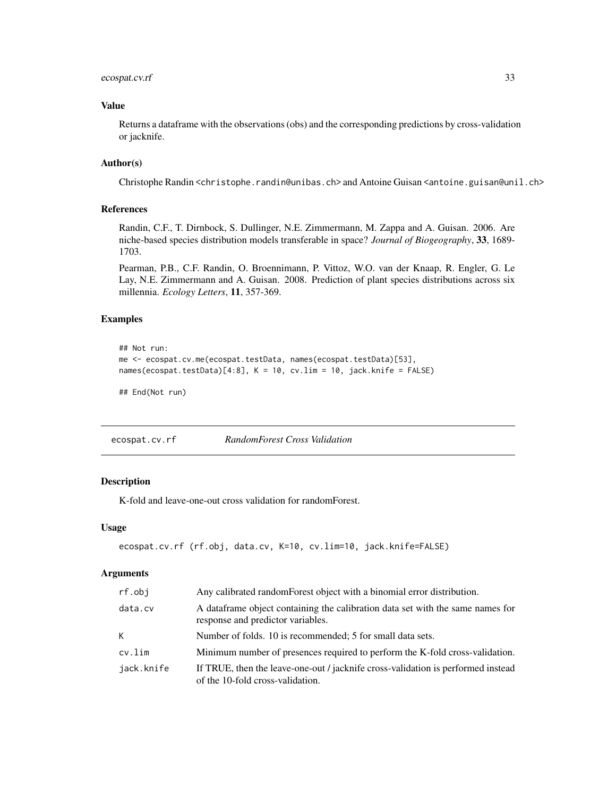# <span id="page-32-0"></span>ecospat.cv.rf 33

# Value

Returns a dataframe with the observations (obs) and the corresponding predictions by cross-validation or jacknife.

# Author(s)

Christophe Randin <christophe.randin@unibas.ch> and Antoine Guisan <antoine.guisan@unil.ch>

### References

Randin, C.F., T. Dirnbock, S. Dullinger, N.E. Zimmermann, M. Zappa and A. Guisan. 2006. Are niche-based species distribution models transferable in space? *Journal of Biogeography*, 33, 1689- 1703.

Pearman, P.B., C.F. Randin, O. Broennimann, P. Vittoz, W.O. van der Knaap, R. Engler, G. Le Lay, N.E. Zimmermann and A. Guisan. 2008. Prediction of plant species distributions across six millennia. *Ecology Letters*, 11, 357-369.

# Examples

```
## Not run:
me <- ecospat.cv.me(ecospat.testData, names(ecospat.testData)[53],
names(ecospat.testData)[4:8], K = 10, cv.lim = 10, jack.knife = FALSE)
```
## End(Not run)

<span id="page-32-1"></span>ecospat.cv.rf *RandomForest Cross Validation*

# Description

K-fold and leave-one-out cross validation for randomForest.

#### Usage

```
ecospat.cv.rf (rf.obj, data.cv, K=10, cv.lim=10, jack.knife=FALSE)
```
#### Arguments

| rf.obj     | Any calibrated random Forest object with a binomial error distribution.                                              |
|------------|----------------------------------------------------------------------------------------------------------------------|
| data.cv    | A dataframe object containing the calibration data set with the same names for<br>response and predictor variables.  |
| K          | Number of folds. 10 is recommended; 5 for small data sets.                                                           |
| cv.lim     | Minimum number of presences required to perform the K-fold cross-validation.                                         |
| jack.knife | If TRUE, then the leave-one-out / jacknife cross-validation is performed instead<br>of the 10-fold cross-validation. |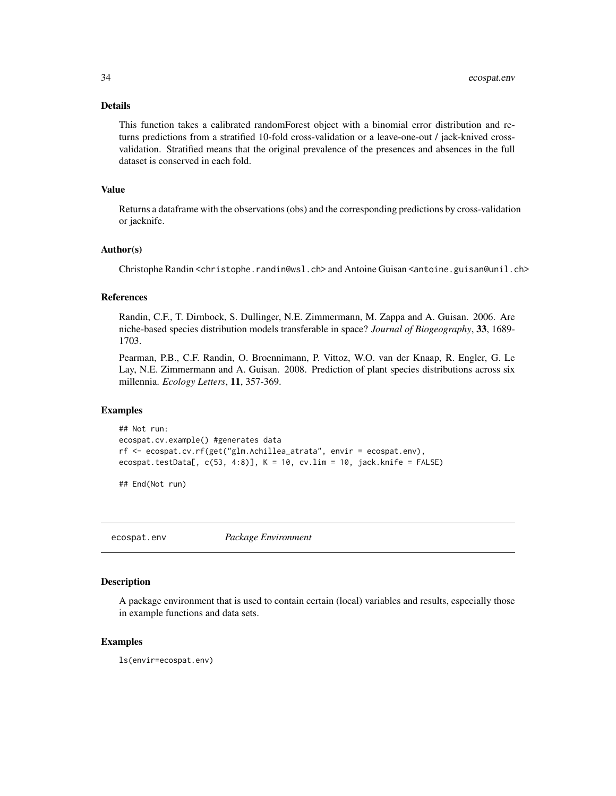#### <span id="page-33-0"></span>Details

This function takes a calibrated randomForest object with a binomial error distribution and returns predictions from a stratified 10-fold cross-validation or a leave-one-out / jack-knived crossvalidation. Stratified means that the original prevalence of the presences and absences in the full dataset is conserved in each fold.

# Value

Returns a dataframe with the observations (obs) and the corresponding predictions by cross-validation or jacknife.

#### Author(s)

Christophe Randin <christophe.randin@wsl.ch> and Antoine Guisan <antoine.guisan@unil.ch>

### References

Randin, C.F., T. Dirnbock, S. Dullinger, N.E. Zimmermann, M. Zappa and A. Guisan. 2006. Are niche-based species distribution models transferable in space? *Journal of Biogeography*, 33, 1689- 1703.

Pearman, P.B., C.F. Randin, O. Broennimann, P. Vittoz, W.O. van der Knaap, R. Engler, G. Le Lay, N.E. Zimmermann and A. Guisan. 2008. Prediction of plant species distributions across six millennia. *Ecology Letters*, 11, 357-369.

#### Examples

```
## Not run:
ecospat.cv.example() #generates data
rf <- ecospat.cv.rf(get("glm.Achillea_atrata", envir = ecospat.env),
ecospat.testData[, c(53, 4:8)], K = 10, cv.lim = 10, jack.knife = FALSE)
```
## End(Not run)

ecospat.env *Package Environment*

#### **Description**

A package environment that is used to contain certain (local) variables and results, especially those in example functions and data sets.

#### Examples

ls(envir=ecospat.env)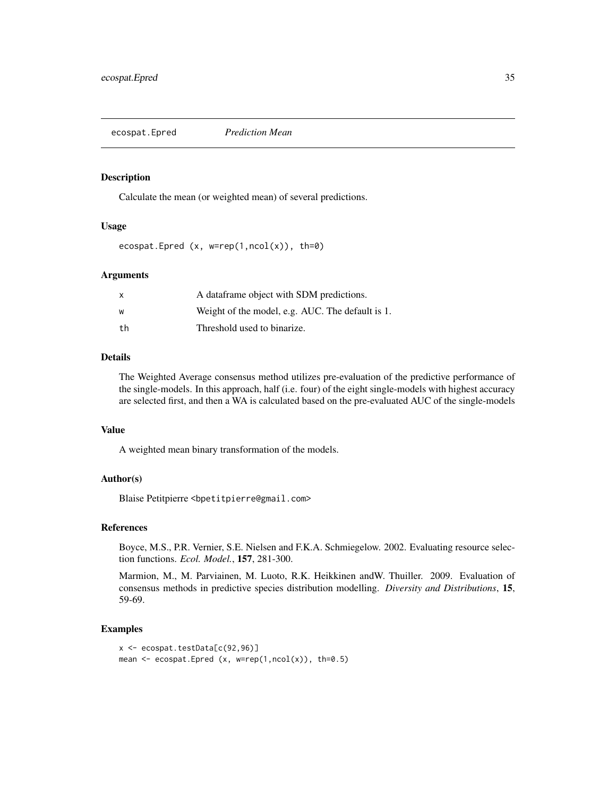<span id="page-34-1"></span><span id="page-34-0"></span>ecospat.Epred *Prediction Mean*

#### Description

Calculate the mean (or weighted mean) of several predictions.

# Usage

```
ecospat.Epred (x, w=rep(1, ncol(x)), th=0)
```
#### Arguments

| X   | A dataframe object with SDM predictions.         |
|-----|--------------------------------------------------|
| W   | Weight of the model, e.g. AUC. The default is 1. |
| th. | Threshold used to binarize.                      |

#### Details

The Weighted Average consensus method utilizes pre-evaluation of the predictive performance of the single-models. In this approach, half (i.e. four) of the eight single-models with highest accuracy are selected first, and then a WA is calculated based on the pre-evaluated AUC of the single-models

#### Value

A weighted mean binary transformation of the models.

# Author(s)

Blaise Petitpierre <bpetitpierre@gmail.com>

#### References

Boyce, M.S., P.R. Vernier, S.E. Nielsen and F.K.A. Schmiegelow. 2002. Evaluating resource selection functions. *Ecol. Model.*, 157, 281-300.

Marmion, M., M. Parviainen, M. Luoto, R.K. Heikkinen andW. Thuiller. 2009. Evaluation of consensus methods in predictive species distribution modelling. *Diversity and Distributions*, 15, 59-69.

# Examples

```
x <- ecospat.testData[c(92,96)]
mean \leq ecospat. Epred (x, w=rep(1, ncol(x)), th=0.5)
```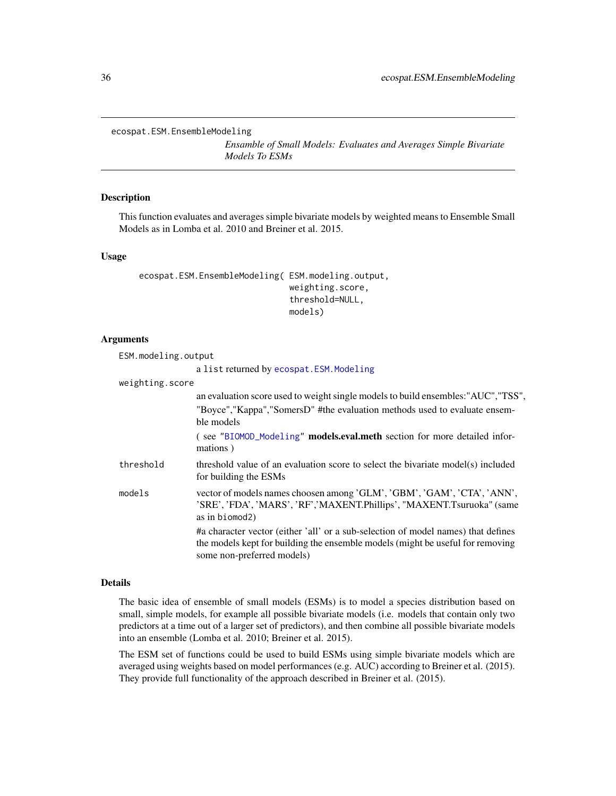<span id="page-35-1"></span><span id="page-35-0"></span>ecospat.ESM.EnsembleModeling

*Ensamble of Small Models: Evaluates and Averages Simple Bivariate Models To ESMs*

### Description

This function evaluates and averages simple bivariate models by weighted means to Ensemble Small Models as in Lomba et al. 2010 and Breiner et al. 2015.

#### Usage

```
ecospat.ESM.EnsembleModeling( ESM.modeling.output,
                              weighting.score,
                              threshold=NULL,
                              models)
```
#### Arguments

ESM.modeling.output

a list returned by [ecospat.ESM.Modeling](#page-40-1)

| weighting.score |                                                                                                                                                                                                   |
|-----------------|---------------------------------------------------------------------------------------------------------------------------------------------------------------------------------------------------|
|                 | an evaluation score used to weight single models to build ensembles: "AUC", "TSS",                                                                                                                |
|                 | "Boyce", "Kappa", "SomersD" #the evaluation methods used to evaluate ensem-<br>ble models                                                                                                         |
|                 | (see "BIOMOD_Modeling" models.eval.meth section for more detailed infor-<br>mations)                                                                                                              |
| threshold       | threshold value of an evaluation score to select the bivariate model(s) included<br>for building the ESMs                                                                                         |
| models          | vector of models names choosen among 'GLM', 'GBM', 'GAM', 'CTA', 'ANN',<br>'SRE', 'FDA', 'MARS', 'RF','MAXENT.Phillips', "MAXENT.Tsuruoka" (same<br>as in biomod2)                                |
|                 | #a character vector (either 'all' or a sub-selection of model names) that defines<br>the models kept for building the ensemble models (might be useful for removing<br>some non-preferred models) |

### Details

The basic idea of ensemble of small models (ESMs) is to model a species distribution based on small, simple models, for example all possible bivariate models (i.e. models that contain only two predictors at a time out of a larger set of predictors), and then combine all possible bivariate models into an ensemble (Lomba et al. 2010; Breiner et al. 2015).

The ESM set of functions could be used to build ESMs using simple bivariate models which are averaged using weights based on model performances (e.g. AUC) according to Breiner et al. (2015). They provide full functionality of the approach described in Breiner et al. (2015).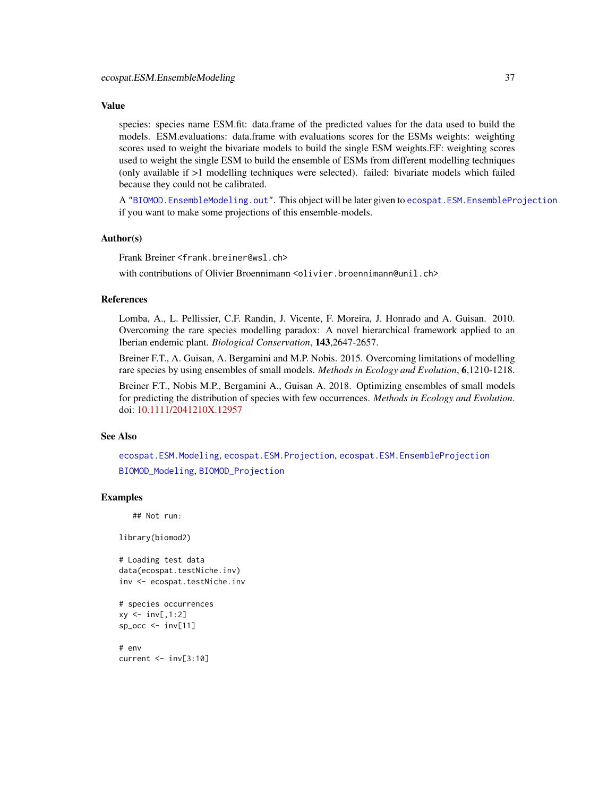## Value

species: species name ESM.fit: data.frame of the predicted values for the data used to build the models. ESM.evaluations: data.frame with evaluations scores for the ESMs weights: weighting scores used to weight the bivariate models to build the single ESM weights.EF: weighting scores used to weight the single ESM to build the ensemble of ESMs from different modelling techniques (only available if >1 modelling techniques were selected). failed: bivariate models which failed because they could not be calibrated.

A ["BIOMOD.EnsembleModeling.out"](#page-0-0). This object will be later given to [ecospat.ESM.EnsembleProjection](#page-37-0) if you want to make some projections of this ensemble-models.

#### Author(s)

Frank Breiner <frank.breiner@wsl.ch>

with contributions of Olivier Broennimann <olivier.broennimann@unil.ch>

#### References

Lomba, A., L. Pellissier, C.F. Randin, J. Vicente, F. Moreira, J. Honrado and A. Guisan. 2010. Overcoming the rare species modelling paradox: A novel hierarchical framework applied to an Iberian endemic plant. *Biological Conservation*, 143,2647-2657.

Breiner F.T., A. Guisan, A. Bergamini and M.P. Nobis. 2015. Overcoming limitations of modelling rare species by using ensembles of small models. *Methods in Ecology and Evolution*, 6,1210-1218.

Breiner F.T., Nobis M.P., Bergamini A., Guisan A. 2018. Optimizing ensembles of small models for predicting the distribution of species with few occurrences. *Methods in Ecology and Evolution*. doi: [10.1111/2041210X.12957](http://doi.org/10.1111/2041-210X.12957)

#### See Also

[ecospat.ESM.Modeling](#page-40-0), [ecospat.ESM.Projection](#page-43-0), [ecospat.ESM.EnsembleProjection](#page-37-0) [BIOMOD\\_Modeling](#page-0-0), [BIOMOD\\_Projection](#page-0-0)

### Examples

## Not run:

library(biomod2)

# Loading test data data(ecospat.testNiche.inv) inv <- ecospat.testNiche.inv

```
# species occurrences
xy \le -inv[,1:2]
sp\_occ < -inv[11]
```
# env current <- inv[3:10]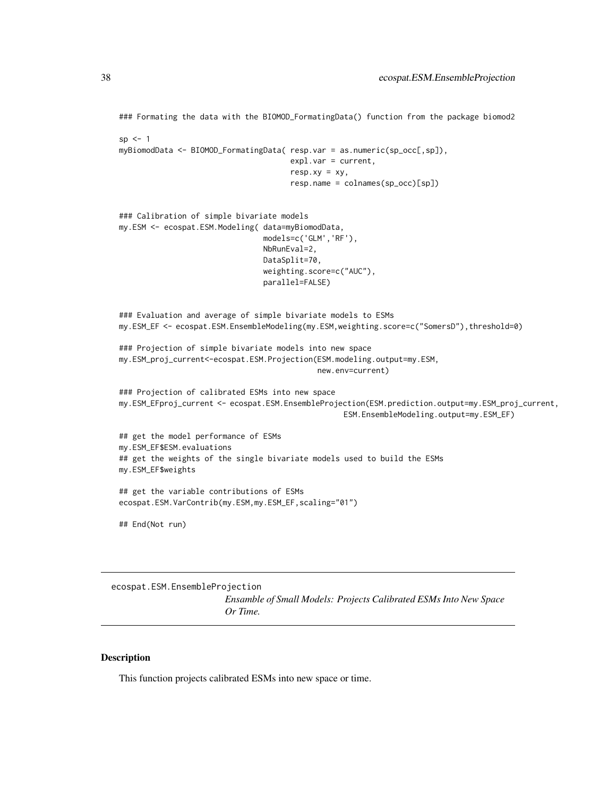```
### Formating the data with the BIOMOD_FormatingData() function from the package biomod2
sp < -1myBiomodData <- BIOMOD_FormatingData( resp.var = as.numeric(sp_occ[,sp]),
                                      expl.var = current,
                                      resp. xy = xy,resp.name = colnames(sp_occ)[sp])
### Calibration of simple bivariate models
my.ESM <- ecospat.ESM.Modeling( data=myBiomodData,
                                models=c('GLM','RF'),
                                NbRunEval=2,
                                DataSplit=70,
                                weighting.score=c("AUC"),
                                parallel=FALSE)
### Evaluation and average of simple bivariate models to ESMs
my.ESM_EF <- ecospat.ESM.EnsembleModeling(my.ESM,weighting.score=c("SomersD"),threshold=0)
### Projection of simple bivariate models into new space
my.ESM_proj_current<-ecospat.ESM.Projection(ESM.modeling.output=my.ESM,
                                            new.env=current)
### Projection of calibrated ESMs into new space
my.ESM_EFproj_current <- ecospat.ESM.EnsembleProjection(ESM.prediction.output=my.ESM_proj_current,
                                                  ESM.EnsembleModeling.output=my.ESM_EF)
## get the model performance of ESMs
my.ESM_EF$ESM.evaluations
## get the weights of the single bivariate models used to build the ESMs
my.ESM_EF$weights
## get the variable contributions of ESMs
ecospat.ESM.VarContrib(my.ESM,my.ESM_EF,scaling="01")
## End(Not run)
```
<span id="page-37-0"></span>ecospat.ESM.EnsembleProjection

*Ensamble of Small Models: Projects Calibrated ESMs Into New Space Or Time.*

### Description

This function projects calibrated ESMs into new space or time.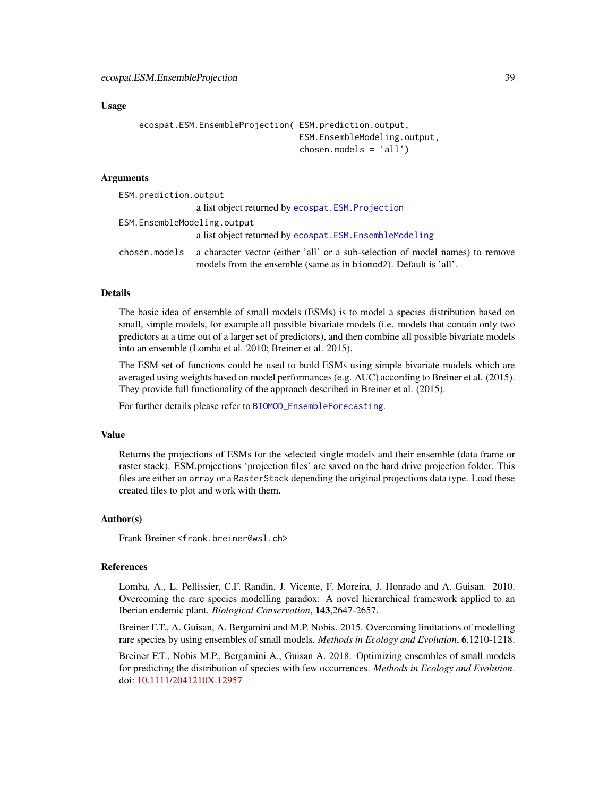### Usage

```
ecospat.ESM.EnsembleProjection( ESM.prediction.output,
                                ESM.EnsembleModeling.output,
                                chosen.models = 'all')
```
### Arguments

| ESM.prediction.output       |                                                                                                                                                   |  |
|-----------------------------|---------------------------------------------------------------------------------------------------------------------------------------------------|--|
|                             | a list object returned by ecospat. ESM. Projection                                                                                                |  |
| ESM.EnsembleModeling.output |                                                                                                                                                   |  |
|                             | a list object returned by ecospat. ESM. Ensemble Modeling                                                                                         |  |
| chosen.models               | a character vector (either 'all' or a sub-selection of model names) to remove<br>models from the ensemble (same as in biomod2). Default is 'all'. |  |

## Details

The basic idea of ensemble of small models (ESMs) is to model a species distribution based on small, simple models, for example all possible bivariate models (i.e. models that contain only two predictors at a time out of a larger set of predictors), and then combine all possible bivariate models into an ensemble (Lomba et al. 2010; Breiner et al. 2015).

The ESM set of functions could be used to build ESMs using simple bivariate models which are averaged using weights based on model performances (e.g. AUC) according to Breiner et al. (2015). They provide full functionality of the approach described in Breiner et al. (2015).

For further details please refer to [BIOMOD\\_EnsembleForecasting](#page-0-0).

#### Value

Returns the projections of ESMs for the selected single models and their ensemble (data frame or raster stack). ESM.projections 'projection files' are saved on the hard drive projection folder. This files are either an array or a RasterStack depending the original projections data type. Load these created files to plot and work with them.

#### Author(s)

Frank Breiner <frank.breiner@wsl.ch>

#### References

Lomba, A., L. Pellissier, C.F. Randin, J. Vicente, F. Moreira, J. Honrado and A. Guisan. 2010. Overcoming the rare species modelling paradox: A novel hierarchical framework applied to an Iberian endemic plant. *Biological Conservation*, 143,2647-2657.

Breiner F.T., A. Guisan, A. Bergamini and M.P. Nobis. 2015. Overcoming limitations of modelling rare species by using ensembles of small models. *Methods in Ecology and Evolution*, 6,1210-1218.

Breiner F.T., Nobis M.P., Bergamini A., Guisan A. 2018. Optimizing ensembles of small models for predicting the distribution of species with few occurrences. *Methods in Ecology and Evolution*. doi: [10.1111/2041210X.12957](http://doi.org/10.1111/2041-210X.12957)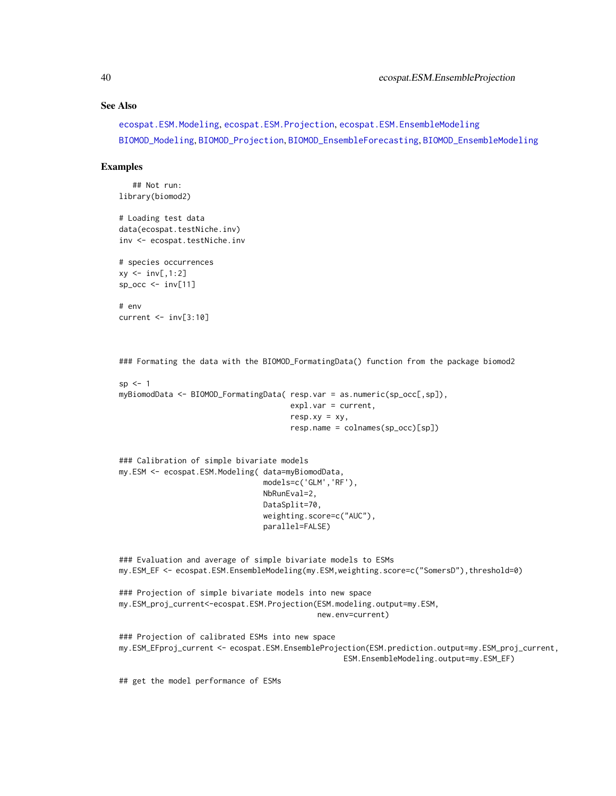#### See Also

[ecospat.ESM.Modeling](#page-40-0), [ecospat.ESM.Projection](#page-43-0), [ecospat.ESM.EnsembleModeling](#page-35-0) [BIOMOD\\_Modeling](#page-0-0), [BIOMOD\\_Projection](#page-0-0), [BIOMOD\\_EnsembleForecasting](#page-0-0), [BIOMOD\\_EnsembleModeling](#page-0-0)

### Examples

```
## Not run:
library(biomod2)
```
# Loading test data data(ecospat.testNiche.inv) inv <- ecospat.testNiche.inv

```
# species occurrences
xy \leftarrow inv[, 1:2]sp\_occ \leftarrow inv[11]
```
# env current <- inv[3:10]

```
### Formating the data with the BIOMOD_FormatingData() function from the package biomod2
```

```
sp \leftarrow 1myBiomodData <- BIOMOD_FormatingData( resp.var = as.numeric(sp_occ[,sp]),
                                        expl.var = current,
                                        resp.xv = xy,
                                        resp.name = colnames(sp_occ)[sp])
```

```
### Calibration of simple bivariate models
my.ESM <- ecospat.ESM.Modeling( data=myBiomodData,
                                models=c('GLM','RF'),
                                NbRunEval=2,
                                DataSplit=70,
                                weighting.score=c("AUC"),
                                parallel=FALSE)
```
### Evaluation and average of simple bivariate models to ESMs my.ESM\_EF <- ecospat.ESM.EnsembleModeling(my.ESM,weighting.score=c("SomersD"),threshold=0)

```
### Projection of simple bivariate models into new space
my.ESM_proj_current<-ecospat.ESM.Projection(ESM.modeling.output=my.ESM,
                                            new.env=current)
```
### Projection of calibrated ESMs into new space my.ESM\_EFproj\_current <- ecospat.ESM.EnsembleProjection(ESM.prediction.output=my.ESM\_proj\_current, ESM.EnsembleModeling.output=my.ESM\_EF)

## get the model performance of ESMs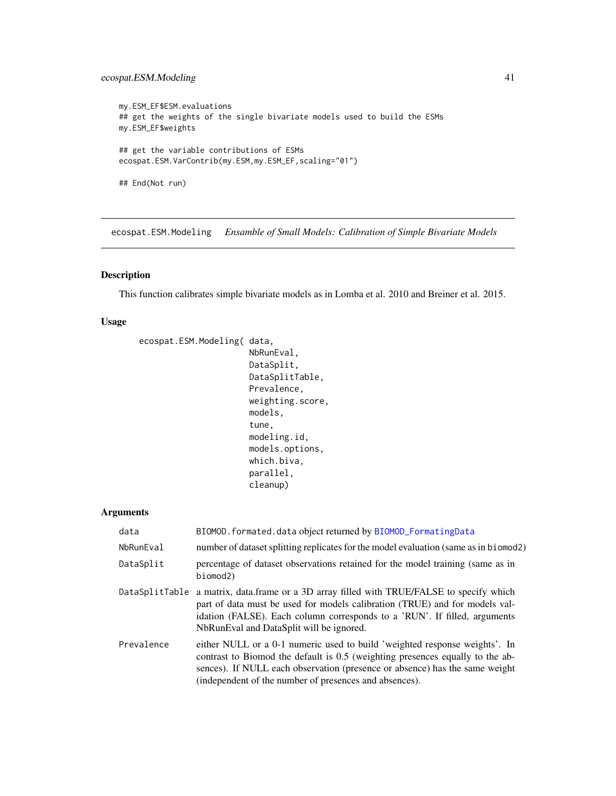# ecospat.ESM.Modeling 41

```
my.ESM_EF$ESM.evaluations
## get the weights of the single bivariate models used to build the ESMs
my.ESM_EF$weights
## get the variable contributions of ESMs
ecospat.ESM.VarContrib(my.ESM,my.ESM_EF,scaling="01")
## End(Not run)
```
<span id="page-40-0"></span>ecospat.ESM.Modeling *Ensamble of Small Models: Calibration of Simple Bivariate Models*

# Description

This function calibrates simple bivariate models as in Lomba et al. 2010 and Breiner et al. 2015.

## Usage

```
ecospat.ESM.Modeling( data,
```

```
NbRunEval,
DataSplit,
DataSplitTable,
Prevalence,
weighting.score,
models,
tune,
modeling.id,
models.options,
which.biva,
parallel,
cleanup)
```

| data           | BIOMOD. formated. data object returned by BIOMOD_FormatingData                                                                                                                                                                                                                                       |
|----------------|------------------------------------------------------------------------------------------------------------------------------------------------------------------------------------------------------------------------------------------------------------------------------------------------------|
| NbRunEval      | number of dataset splitting replicates for the model evaluation (same as in biomod2)                                                                                                                                                                                                                 |
| DataSplit      | percentage of dataset observations retained for the model training (same as in<br>biomod2)                                                                                                                                                                                                           |
| DataSplitTable | a matrix, data.frame or a 3D array filled with TRUE/FALSE to specify which<br>part of data must be used for models calibration (TRUE) and for models val-<br>idation (FALSE). Each column corresponds to a 'RUN'. If filled, arguments<br>NbRunEval and DataSplit will be ignored.                   |
| Prevalence     | either NULL or a 0-1 numeric used to build 'weighted response weights'. In<br>contrast to Biomod the default is 0.5 (weighting presences equally to the ab-<br>sences). If NULL each observation (presence or absence) has the same weight<br>(independent of the number of presences and absences). |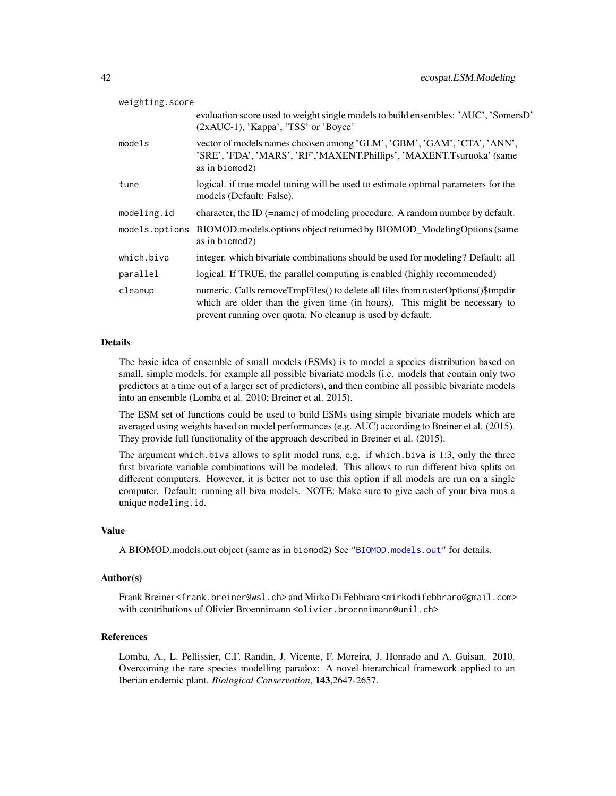| weighting.score |                                                                                                                                                                                                                              |  |
|-----------------|------------------------------------------------------------------------------------------------------------------------------------------------------------------------------------------------------------------------------|--|
|                 | evaluation score used to weight single models to build ensembles: 'AUC', 'SomersD'<br>(2xAUC-1), 'Kappa', 'TSS' or 'Boyce'                                                                                                   |  |
| models          | vector of models names choosen among 'GLM', 'GBM', 'GAM', 'CTA', 'ANN',<br>'SRE', 'FDA', 'MARS', 'RF','MAXENT.Phillips', 'MAXENT.Tsuruoka' (same<br>as in biomod2)                                                           |  |
| tune            | logical. if true model tuning will be used to estimate optimal parameters for the<br>models (Default: False).                                                                                                                |  |
| modeling.id     | character, the ID (=name) of modeling procedure. A random number by default.                                                                                                                                                 |  |
| models.options  | BIOMOD.models.options object returned by BIOMOD_ModelingOptions (same<br>as in biomod2)                                                                                                                                      |  |
| which.biva      | integer, which bivariate combinations should be used for modeling? Default: all                                                                                                                                              |  |
| parallel        | logical. If TRUE, the parallel computing is enabled (highly recommended)                                                                                                                                                     |  |
| cleanup         | numeric. Calls removeTmpFiles() to delete all files from rasterOptions()\$tmpdir<br>which are older than the given time (in hours). This might be necessary to<br>prevent running over quota. No cleanup is used by default. |  |

The basic idea of ensemble of small models (ESMs) is to model a species distribution based on small, simple models, for example all possible bivariate models (i.e. models that contain only two predictors at a time out of a larger set of predictors), and then combine all possible bivariate models into an ensemble (Lomba et al. 2010; Breiner et al. 2015).

The ESM set of functions could be used to build ESMs using simple bivariate models which are averaged using weights based on model performances (e.g. AUC) according to Breiner et al. (2015). They provide full functionality of the approach described in Breiner et al. (2015).

The argument which.biva allows to split model runs, e.g. if which.biva is 1:3, only the three first bivariate variable combinations will be modeled. This allows to run different biva splits on different computers. However, it is better not to use this option if all models are run on a single computer. Default: running all biva models. NOTE: Make sure to give each of your biva runs a unique modeling.id.

# Value

A BIOMOD.models.out object (same as in biomod2) See ["BIOMOD.models.out"](#page-0-0) for details.

#### Author(s)

Frank Breiner <frank.breiner@wsl.ch> and Mirko Di Febbraro <mirkodifebbraro@gmail.com> with contributions of Olivier Broennimann <olivier.broennimann@unil.ch>

## References

Lomba, A., L. Pellissier, C.F. Randin, J. Vicente, F. Moreira, J. Honrado and A. Guisan. 2010. Overcoming the rare species modelling paradox: A novel hierarchical framework applied to an Iberian endemic plant. *Biological Conservation*, 143,2647-2657.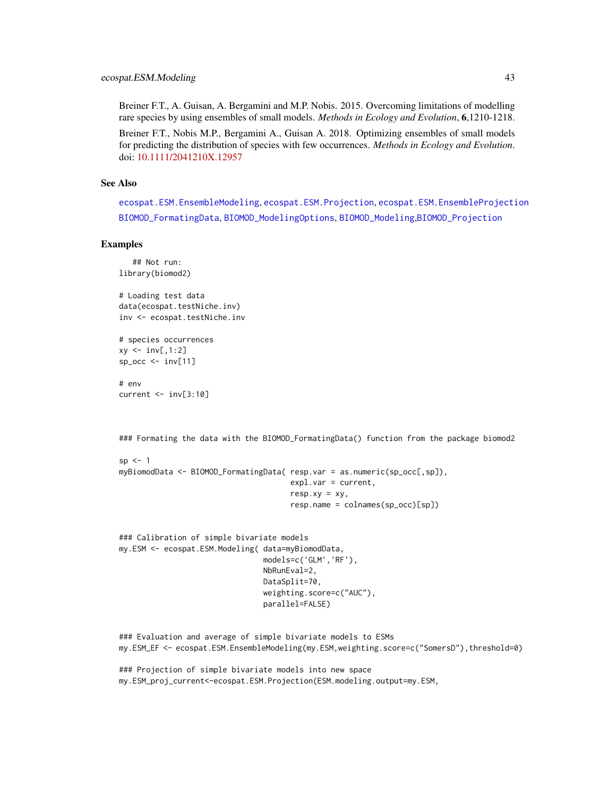Breiner F.T., A. Guisan, A. Bergamini and M.P. Nobis. 2015. Overcoming limitations of modelling rare species by using ensembles of small models. *Methods in Ecology and Evolution*, 6,1210-1218.

Breiner F.T., Nobis M.P., Bergamini A., Guisan A. 2018. Optimizing ensembles of small models for predicting the distribution of species with few occurrences. *Methods in Ecology and Evolution*. doi: [10.1111/2041210X.12957](http://doi.org/10.1111/2041-210X.12957)

#### See Also

[ecospat.ESM.EnsembleModeling](#page-35-0), [ecospat.ESM.Projection](#page-43-0), [ecospat.ESM.EnsembleProjection](#page-37-0) [BIOMOD\\_FormatingData](#page-0-0), [BIOMOD\\_ModelingOptions](#page-0-0), [BIOMOD\\_Modeling](#page-0-0),[BIOMOD\\_Projection](#page-0-0)

#### Examples

```
## Not run:
library(biomod2)
```
# Loading test data data(ecospat.testNiche.inv) inv <- ecospat.testNiche.inv

```
# species occurrences
xy \le -i nv[,1:2]
sp\_occ \leftarrow inv[11]
```
# env current  $\le$  inv[3:10]

### Formating the data with the BIOMOD\_FormatingData() function from the package biomod2

```
sp < -1myBiomodData <- BIOMOD_FormatingData( resp.var = as.numeric(sp_occ[,sp]),
                                      expl.var = current,
                                      resp. xy = xy,resp.name = colnames(sp_occ)[sp])
```

```
### Calibration of simple bivariate models
my.ESM <- ecospat.ESM.Modeling( data=myBiomodData,
                                models=c('GLM','RF'),
                                NbRunEval=2,
                                DataSplit=70,
                                weighting.score=c("AUC"),
                                parallel=FALSE)
```
### Evaluation and average of simple bivariate models to ESMs my.ESM\_EF <- ecospat.ESM.EnsembleModeling(my.ESM,weighting.score=c("SomersD"),threshold=0)

### Projection of simple bivariate models into new space my.ESM\_proj\_current<-ecospat.ESM.Projection(ESM.modeling.output=my.ESM,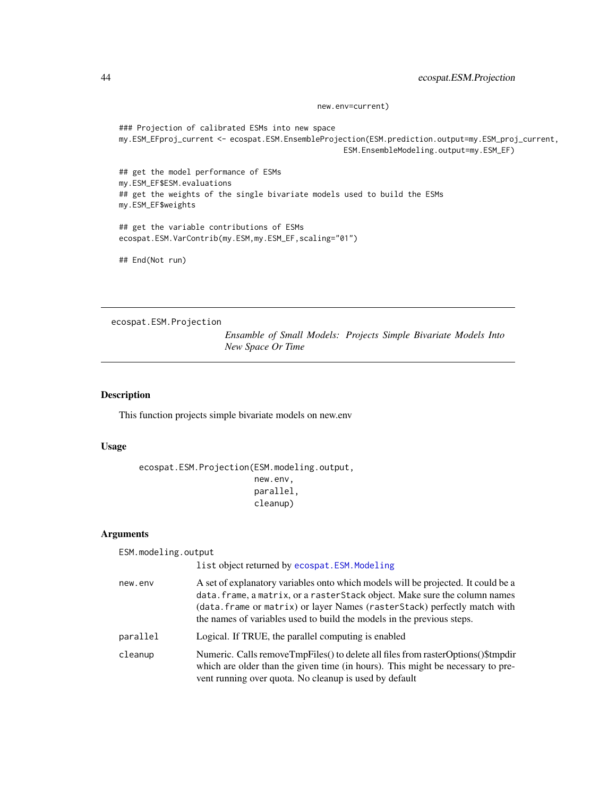new.env=current)

```
### Projection of calibrated ESMs into new space
my.ESM_EFproj_current <- ecospat.ESM.EnsembleProjection(ESM.prediction.output=my.ESM_proj_current,
                                                  ESM.EnsembleModeling.output=my.ESM_EF)
## get the model performance of ESMs
my.ESM_EF$ESM.evaluations
## get the weights of the single bivariate models used to build the ESMs
my.ESM_EF$weights
## get the variable contributions of ESMs
ecospat.ESM.VarContrib(my.ESM,my.ESM_EF,scaling="01")
## End(Not run)
```
<span id="page-43-0"></span>ecospat.ESM.Projection

*Ensamble of Small Models: Projects Simple Bivariate Models Into New Space Or Time*

### Description

This function projects simple bivariate models on new.env

# Usage

ecospat.ESM.Projection(ESM.modeling.output, new.env, parallel, cleanup)

| ESM.modeling.output | list object returned by ecospat. ESM. Modeling                                                                                                                                                                                                                                                                         |
|---------------------|------------------------------------------------------------------------------------------------------------------------------------------------------------------------------------------------------------------------------------------------------------------------------------------------------------------------|
|                     |                                                                                                                                                                                                                                                                                                                        |
| new.env             | A set of explanatory variables onto which models will be projected. It could be a<br>data. frame, a matrix, or a rasterStack object. Make sure the column names<br>(data. frame or matrix) or layer Names (rasterStack) perfectly match with<br>the names of variables used to build the models in the previous steps. |
| parallel            | Logical. If TRUE, the parallel computing is enabled                                                                                                                                                                                                                                                                    |
| cleanup             | Numeric. Calls remove Tmp Files () to delete all files from raster Options () \$tmp dir<br>which are older than the given time (in hours). This might be necessary to pre-<br>vent running over quota. No cleanup is used by default                                                                                   |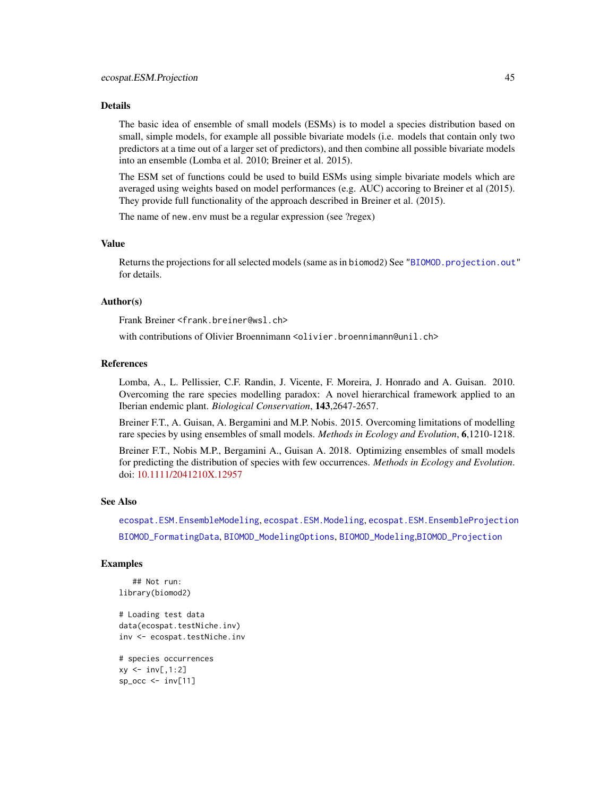The basic idea of ensemble of small models (ESMs) is to model a species distribution based on small, simple models, for example all possible bivariate models (i.e. models that contain only two predictors at a time out of a larger set of predictors), and then combine all possible bivariate models into an ensemble (Lomba et al. 2010; Breiner et al. 2015).

The ESM set of functions could be used to build ESMs using simple bivariate models which are averaged using weights based on model performances (e.g. AUC) accoring to Breiner et al (2015). They provide full functionality of the approach described in Breiner et al. (2015).

The name of new.env must be a regular expression (see ?regex)

### Value

Returns the projections for all selected models (same as in biomod2) See ["BIOMOD.projection.out"](#page-0-0) for details.

#### Author(s)

Frank Breiner <frank.breiner@wsl.ch>

with contributions of Olivier Broennimann <olivier.broennimann@unil.ch>

# References

Lomba, A., L. Pellissier, C.F. Randin, J. Vicente, F. Moreira, J. Honrado and A. Guisan. 2010. Overcoming the rare species modelling paradox: A novel hierarchical framework applied to an Iberian endemic plant. *Biological Conservation*, 143,2647-2657.

Breiner F.T., A. Guisan, A. Bergamini and M.P. Nobis. 2015. Overcoming limitations of modelling rare species by using ensembles of small models. *Methods in Ecology and Evolution*, 6,1210-1218.

Breiner F.T., Nobis M.P., Bergamini A., Guisan A. 2018. Optimizing ensembles of small models for predicting the distribution of species with few occurrences. *Methods in Ecology and Evolution*. doi: [10.1111/2041210X.12957](http://doi.org/10.1111/2041-210X.12957)

### See Also

[ecospat.ESM.EnsembleModeling](#page-35-0), [ecospat.ESM.Modeling](#page-40-0), [ecospat.ESM.EnsembleProjection](#page-37-0) [BIOMOD\\_FormatingData](#page-0-0), [BIOMOD\\_ModelingOptions](#page-0-0), [BIOMOD\\_Modeling](#page-0-0),[BIOMOD\\_Projection](#page-0-0)

### Examples

```
## Not run:
library(biomod2)
# Loading test data
data(ecospat.testNiche.inv)
inv <- ecospat.testNiche.inv
```

```
# species occurrences
xy \leftarrow inv[, 1:2]sp\_occ < -inv[11]
```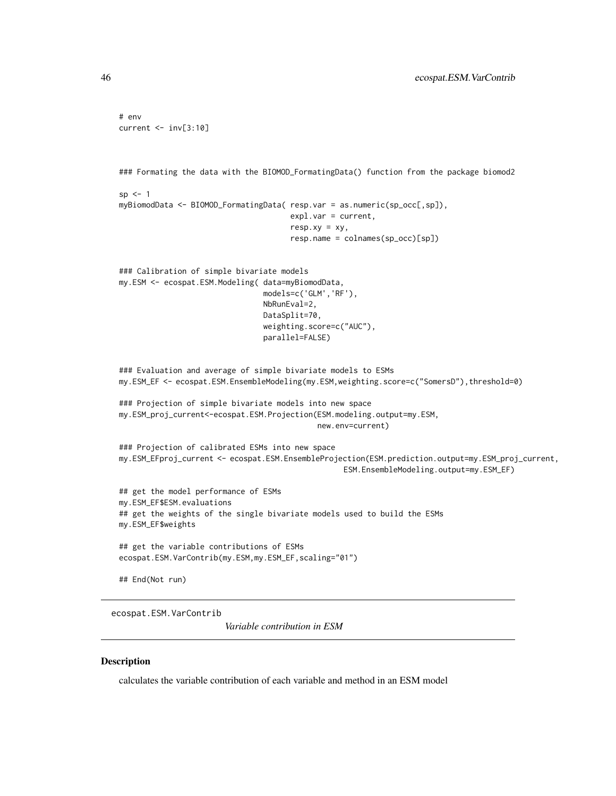```
# env
current <- inv[3:10]
### Formating the data with the BIOMOD_FormatingData() function from the package biomod2
sp < -1myBiomodData <- BIOMOD_FormatingData( resp.var = as.numeric(sp_occ[,sp]),
                                      expl.var = current,
                                      resp.xy = xy,
                                      resp.name = colnames(sp_occ)[sp])
### Calibration of simple bivariate models
my.ESM <- ecospat.ESM.Modeling( data=myBiomodData,
                                models=c('GLM','RF'),
                                NbRunEval=2,
                                DataSplit=70,
                                weighting.score=c("AUC"),
                                parallel=FALSE)
### Evaluation and average of simple bivariate models to ESMs
my.ESM_EF <- ecospat.ESM.EnsembleModeling(my.ESM,weighting.score=c("SomersD"),threshold=0)
### Projection of simple bivariate models into new space
my.ESM_proj_current<-ecospat.ESM.Projection(ESM.modeling.output=my.ESM,
                                            new.env=current)
### Projection of calibrated ESMs into new space
my.ESM_EFproj_current <- ecospat.ESM.EnsembleProjection(ESM.prediction.output=my.ESM_proj_current,
                                                  ESM.EnsembleModeling.output=my.ESM_EF)
## get the model performance of ESMs
my.ESM_EF$ESM.evaluations
## get the weights of the single bivariate models used to build the ESMs
my.ESM_EF$weights
## get the variable contributions of ESMs
ecospat.ESM.VarContrib(my.ESM,my.ESM_EF,scaling="01")
## End(Not run)
```
ecospat.ESM.VarContrib

*Variable contribution in ESM*

### **Description**

calculates the variable contribution of each variable and method in an ESM model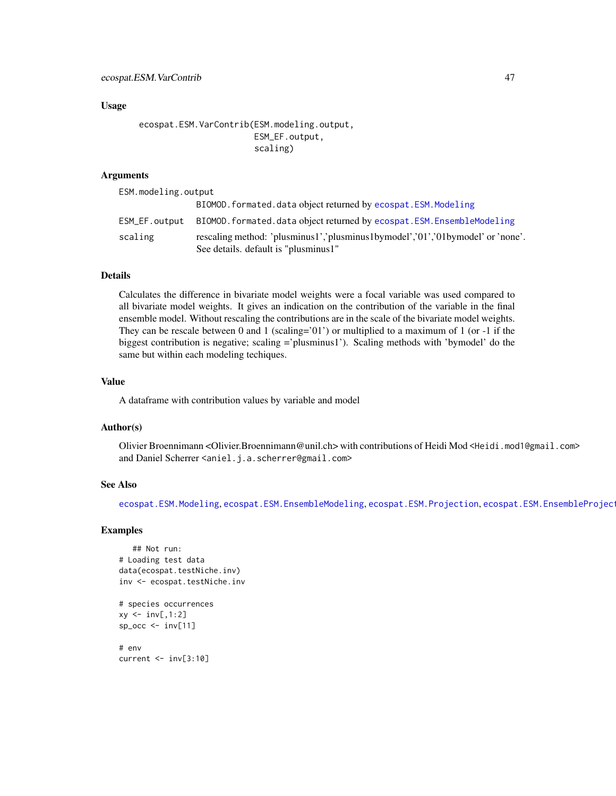### Usage

```
ecospat.ESM.VarContrib(ESM.modeling.output,
                       ESM_EF.output,
                       scaling)
```
## Arguments

ESM.modeling.output

|         | BIOMOD. formated. data object returned by ecospat. ESM. Modeling                                                       |
|---------|------------------------------------------------------------------------------------------------------------------------|
|         | ESM_EF.output BIOMOD.formated.data object returned by ecospat.ESM.EnsembleModeling                                     |
| scaling | rescaling method: 'plusminus1','plusminus1bymodel','01','01bymodel' or 'none'.<br>See details. default is "plusminus1" |

### Details

Calculates the difference in bivariate model weights were a focal variable was used compared to all bivariate model weights. It gives an indication on the contribution of the variable in the final ensemble model. Without rescaling the contributions are in the scale of the bivariate model weights. They can be rescale between  $0$  and  $1$  (scaling='01') or multiplied to a maximum of  $1$  (or -1 if the biggest contribution is negative; scaling ='plusminus1'). Scaling methods with 'bymodel' do the same but within each modeling techiques.

# Value

A dataframe with contribution values by variable and model

## Author(s)

Olivier Broennimann <Olivier.Broennimann@unil.ch> with contributions of Heidi Mod <Heidi.mod1@gmail.com> and Daniel Scherrer <aniel.j.a.scherrer@gmail.com>

### See Also

[ecospat.ESM.Modeling](#page-40-0), [ecospat.ESM.EnsembleModeling](#page-35-0), [ecospat.ESM.Projection](#page-43-0), [ecospat.ESM.EnsembleProjection](#page-37-0),

### Examples

```
## Not run:
# Loading test data
data(ecospat.testNiche.inv)
inv <- ecospat.testNiche.inv
# species occurrences
xy \leftarrow inv[, 1:2]sp\_occ \leftarrow inv[11]# env
current <- inv[3:10]
```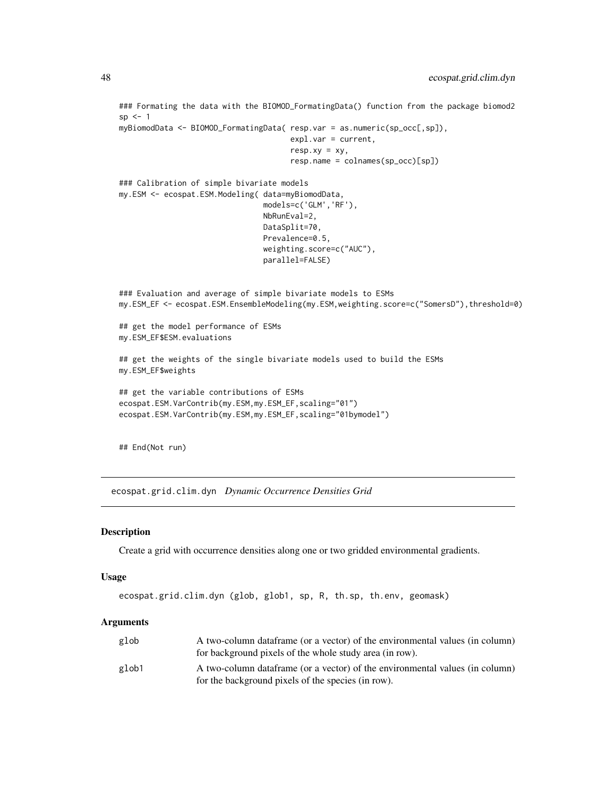```
### Formating the data with the BIOMOD_FormatingData() function from the package biomod2
sp < -1myBiomodData <- BIOMOD_FormatingData( resp.var = as.numeric(sp_occ[,sp]),
                                      expl.var = current,
                                      resp. xy = xy,resp.name = colnames(sp_occ)[sp])
### Calibration of simple bivariate models
my.ESM <- ecospat.ESM.Modeling( data=myBiomodData,
                                models=c('GLM','RF'),
                                NbRunEval=2,
                                DataSplit=70,
                                Prevalence=0.5,
                                weighting.score=c("AUC"),
                                parallel=FALSE)
### Evaluation and average of simple bivariate models to ESMs
my.ESM_EF <- ecospat.ESM.EnsembleModeling(my.ESM,weighting.score=c("SomersD"),threshold=0)
## get the model performance of ESMs
my.ESM_EF$ESM.evaluations
## get the weights of the single bivariate models used to build the ESMs
my.ESM_EF$weights
## get the variable contributions of ESMs
ecospat.ESM.VarContrib(my.ESM,my.ESM_EF,scaling="01")
ecospat.ESM.VarContrib(my.ESM,my.ESM_EF,scaling="01bymodel")
## End(Not run)
```
<span id="page-47-0"></span>ecospat.grid.clim.dyn *Dynamic Occurrence Densities Grid*

#### Description

Create a grid with occurrence densities along one or two gridded environmental gradients.

#### Usage

```
ecospat.grid.clim.dyn (glob, glob1, sp, R, th.sp, th.env, geomask)
```

| glob  | A two-column dataframe (or a vector) of the environmental values (in column) |
|-------|------------------------------------------------------------------------------|
|       | for background pixels of the whole study area (in row).                      |
| glob1 | A two-column dataframe (or a vector) of the environmental values (in column) |
|       | for the background pixels of the species (in row).                           |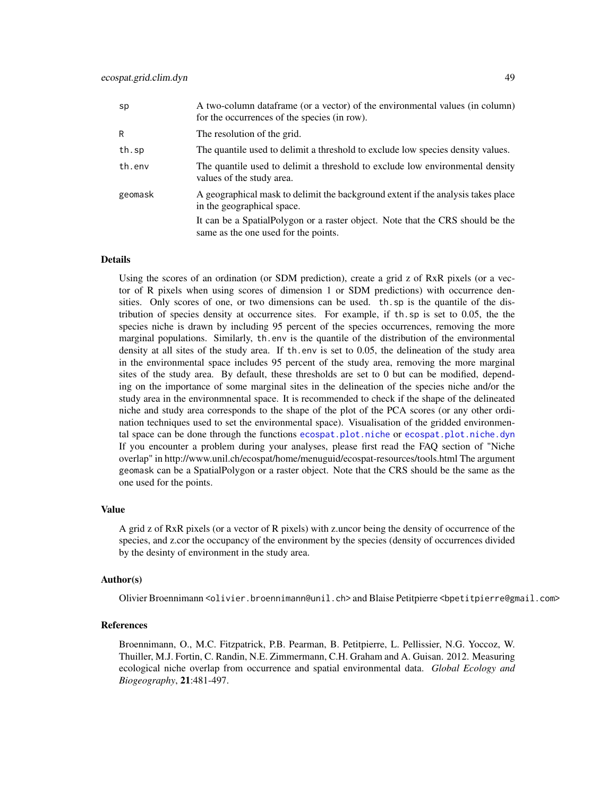| A two-column dataframe (or a vector) of the environmental values (in column)<br>for the occurrences of the species (in row). |
|------------------------------------------------------------------------------------------------------------------------------|
| The resolution of the grid.                                                                                                  |
| The quantile used to delimit a threshold to exclude low species density values.                                              |
| The quantile used to delimit a threshold to exclude low environmental density<br>values of the study area.                   |
| A geographical mask to delimit the background extent if the analysis takes place<br>in the geographical space.               |
| It can be a SpatialPolygon or a raster object. Note that the CRS should be the<br>same as the one used for the points.       |
|                                                                                                                              |

Using the scores of an ordination (or SDM prediction), create a grid z of RxR pixels (or a vector of R pixels when using scores of dimension 1 or SDM predictions) with occurrence densities. Only scores of one, or two dimensions can be used. th.sp is the quantile of the distribution of species density at occurrence sites. For example, if th.sp is set to 0.05, the the species niche is drawn by including 95 percent of the species occurrences, removing the more marginal populations. Similarly, th.env is the quantile of the distribution of the environmental density at all sites of the study area. If th.env is set to 0.05, the delineation of the study area in the environmental space includes 95 percent of the study area, removing the more marginal sites of the study area. By default, these thresholds are set to 0 but can be modified, depending on the importance of some marginal sites in the delineation of the species niche and/or the study area in the environmnental space. It is recommended to check if the shape of the delineated niche and study area corresponds to the shape of the plot of the PCA scores (or any other ordination techniques used to set the environmental space). Visualisation of the gridded environmental space can be done through the functions [ecospat.plot.niche](#page-78-0) or [ecospat.plot.niche.dyn](#page-79-0) If you encounter a problem during your analyses, please first read the FAQ section of "Niche overlap" in http://www.unil.ch/ecospat/home/menuguid/ecospat-resources/tools.html The argument geomask can be a SpatialPolygon or a raster object. Note that the CRS should be the same as the one used for the points.

#### Value

A grid z of RxR pixels (or a vector of R pixels) with z.uncor being the density of occurrence of the species, and z.cor the occupancy of the environment by the species (density of occurrences divided by the desinty of environment in the study area.

#### Author(s)

Olivier Broennimann <olivier.broennimann@unil.ch> and Blaise Petitpierre <bpetitpierre@gmail.com>

#### References

Broennimann, O., M.C. Fitzpatrick, P.B. Pearman, B. Petitpierre, L. Pellissier, N.G. Yoccoz, W. Thuiller, M.J. Fortin, C. Randin, N.E. Zimmermann, C.H. Graham and A. Guisan. 2012. Measuring ecological niche overlap from occurrence and spatial environmental data. *Global Ecology and Biogeography*, 21:481-497.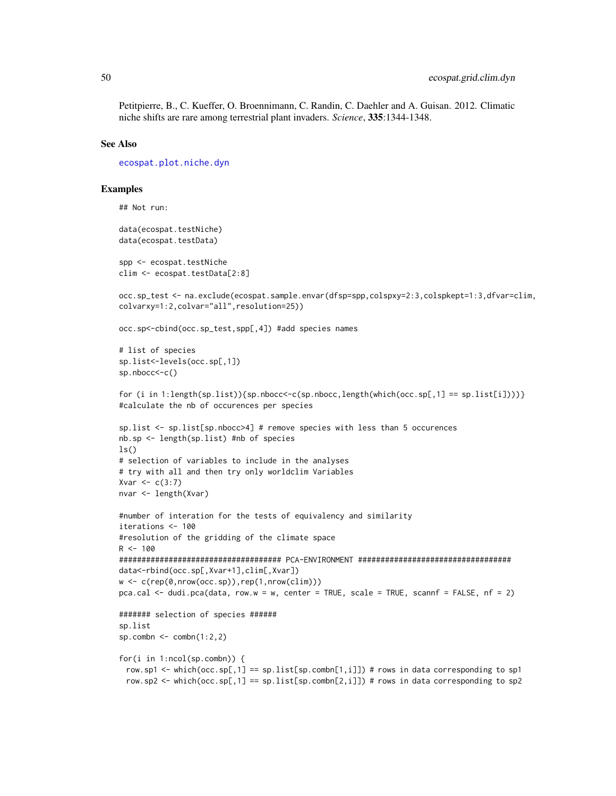Petitpierre, B., C. Kueffer, O. Broennimann, C. Randin, C. Daehler and A. Guisan. 2012. Climatic niche shifts are rare among terrestrial plant invaders. *Science*, 335:1344-1348.

#### See Also

[ecospat.plot.niche.dyn](#page-79-0)

### Examples

```
## Not run:
data(ecospat.testNiche)
data(ecospat.testData)
spp <- ecospat.testNiche
clim <- ecospat.testData[2:8]
occ.sp_test <- na.exclude(ecospat.sample.envar(dfsp=spp,colspxy=2:3,colspkept=1:3,dfvar=clim,
colvarxy=1:2,colvar="all",resolution=25))
occ.sp<-cbind(occ.sp_test,spp[,4]) #add species names
# list of species
sp.list<-levels(occ.sp[,1])
sp.nbocc<-c()
for (i in 1:length(sp.list)){sp.nbocc<-c(sp.nbocc,length(which(occ.sp[,1] == sp.list[i]))}}
#calculate the nb of occurences per species
sp.list <- sp.list[sp.nbocc>4] # remove species with less than 5 occurences
nb.sp <- length(sp.list) #nb of species
ls()# selection of variables to include in the analyses
# try with all and then try only worldclim Variables
Xvar < c(3:7)nvar <- length(Xvar)
#number of interation for the tests of equivalency and similarity
iterations <- 100
#resolution of the gridding of the climate space
R < - 100#################################### PCA-ENVIRONMENT ##################################
data<-rbind(occ.sp[,Xvar+1],clim[,Xvar])
w <- c(rep(0,nrow(occ.sp)),rep(1,nrow(clim)))
pca.cal <- dudi.pca(data, row.w = w, center = TRUE, scale = TRUE, scannf = FALSE, nf = 2)
####### selection of species ######
sp.list
sp.combn \leq combn(1:2,2)
for(i in 1:ncol(sp.combn)) {
 row.sp1 <- which(occ.\text{sp}[0,1] == \text{sp}.list[sp.combn[1,i]]) # rows in data corresponding to sp1
 row.sp2 <- which(occ.sp[,1] == sp.list[sp.combn[2,i]]) # rows in data corresponding to sp2
```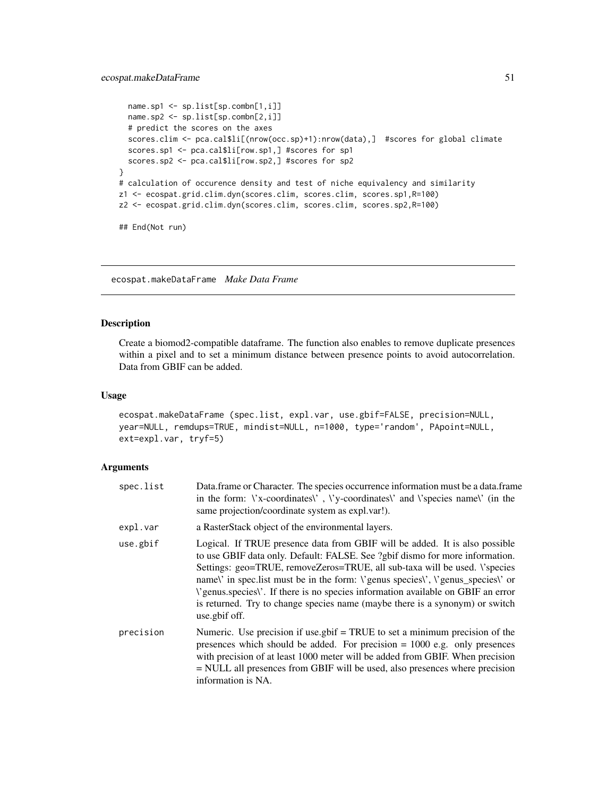```
name.sp1 <- sp.list[sp.combn[1,i]]
  name.sp2 <- sp.list[sp.combn[2,i]]
  # predict the scores on the axes
  scores.clim <- pca.cal$li[(nrow(occ.sp)+1):nrow(data),] #scores for global climate
  scores.sp1 <- pca.cal$li[row.sp1,] #scores for sp1
  scores.sp2 <- pca.cal$li[row.sp2,] #scores for sp2
}
# calculation of occurence density and test of niche equivalency and similarity
z1 <- ecospat.grid.clim.dyn(scores.clim, scores.clim, scores.sp1,R=100)
z2 <- ecospat.grid.clim.dyn(scores.clim, scores.clim, scores.sp2,R=100)
## End(Not run)
```
ecospat.makeDataFrame *Make Data Frame*

### Description

Create a biomod2-compatible dataframe. The function also enables to remove duplicate presences within a pixel and to set a minimum distance between presence points to avoid autocorrelation. Data from GBIF can be added.

#### Usage

ecospat.makeDataFrame (spec.list, expl.var, use.gbif=FALSE, precision=NULL, year=NULL, remdups=TRUE, mindist=NULL, n=1000, type='random', PApoint=NULL, ext=expl.var, tryf=5)

| spec.list | Data.frame or Character. The species occurrence information must be a data.frame<br>in the form: $\forall x$ -coordinates $\forall$ , $\forall y$ -coordinates $\forall$ and $\forall$ species name $\forall$ (in the<br>same projection/coordinate system as expl.var!).                                                                                                                                                                                                                                                                |
|-----------|------------------------------------------------------------------------------------------------------------------------------------------------------------------------------------------------------------------------------------------------------------------------------------------------------------------------------------------------------------------------------------------------------------------------------------------------------------------------------------------------------------------------------------------|
| expl.var  | a RasterStack object of the environmental layers.                                                                                                                                                                                                                                                                                                                                                                                                                                                                                        |
| use.gbif  | Logical. If TRUE presence data from GBIF will be added. It is also possible<br>to use GBIF data only. Default: FALSE. See ?gbif dismo for more information.<br>Settings: geo=TRUE, removeZeros=TRUE, all sub-taxa will be used. Vspecies<br>namel' in spec. list must be in the form: <i>\'genus</i> species\', \'genus_species\' or<br><i>V</i> genus species <i>l</i> . If there is no species information available on GBIF an error<br>is returned. Try to change species name (maybe there is a synonym) or switch<br>use.gbif off. |
| precision | Numeric. Use precision if use $g\text{bif} = \text{TRUE}$ to set a minimum precision of the<br>presences which should be added. For precision $= 1000$ e.g. only presences<br>with precision of at least 1000 meter will be added from GBIF. When precision<br>$=$ NULL all presences from GBIF will be used, also presences where precision<br>information is NA.                                                                                                                                                                       |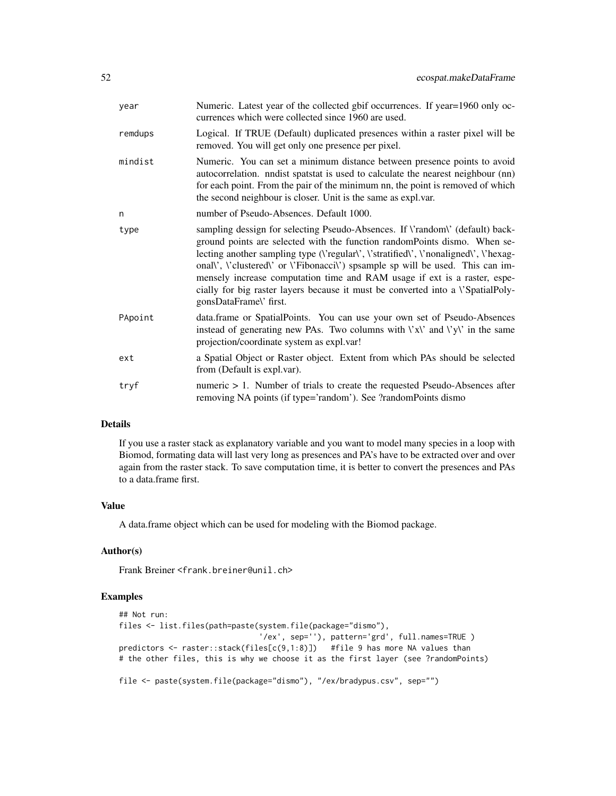| year    | Numeric. Latest year of the collected gbif occurrences. If year=1960 only oc-<br>currences which were collected since 1960 are used.                                                                                                                                                                                                                                                                                                                                                                                                    |
|---------|-----------------------------------------------------------------------------------------------------------------------------------------------------------------------------------------------------------------------------------------------------------------------------------------------------------------------------------------------------------------------------------------------------------------------------------------------------------------------------------------------------------------------------------------|
| remdups | Logical. If TRUE (Default) duplicated presences within a raster pixel will be<br>removed. You will get only one presence per pixel.                                                                                                                                                                                                                                                                                                                                                                                                     |
| mindist | Numeric. You can set a minimum distance between presence points to avoid<br>autocorrelation. nndist spatstat is used to calculate the nearest neighbour (nn)<br>for each point. From the pair of the minimum nn, the point is removed of which<br>the second neighbour is closer. Unit is the same as expl.var.                                                                                                                                                                                                                         |
| n       | number of Pseudo-Absences. Default 1000.                                                                                                                                                                                                                                                                                                                                                                                                                                                                                                |
| type    | sampling dessign for selecting Pseudo-Absences. If \'random\' (default) back-<br>ground points are selected with the function randomPoints dismo. When se-<br>lecting another sampling type ( <i>\'regular\', \'stratified\', \'nonaligned\', \'hexag-</i><br>onall', l'clustered \' or \'Fibonacci\') spsample sp will be used. This can im-<br>mensely increase computation time and RAM usage if ext is a raster, espe-<br>cially for big raster layers because it must be converted into a l'SpatialPoly-<br>gonsDataFrame\' first. |
| PApoint | data.frame or SpatialPoints. You can use your own set of Pseudo-Absences<br>instead of generating new PAs. Two columns with $\forall x \lor$ and $\forall y \lor$ in the same<br>projection/coordinate system as expl.var!                                                                                                                                                                                                                                                                                                              |
| ext     | a Spatial Object or Raster object. Extent from which PAs should be selected<br>from (Default is expl.var).                                                                                                                                                                                                                                                                                                                                                                                                                              |
| tryf    | numeric $> 1$ . Number of trials to create the requested Pseudo-Absences after<br>removing NA points (if type='random'). See ?randomPoints dismo                                                                                                                                                                                                                                                                                                                                                                                        |

If you use a raster stack as explanatory variable and you want to model many species in a loop with Biomod, formating data will last very long as presences and PA's have to be extracted over and over again from the raster stack. To save computation time, it is better to convert the presences and PAs to a data.frame first.

### Value

A data.frame object which can be used for modeling with the Biomod package.

## Author(s)

Frank Breiner <frank.breiner@unil.ch>

# Examples

```
## Not run:
files <- list.files(path=paste(system.file(package="dismo"),
                               '/ex', sep=''), pattern='grd', full.names=TRUE )
predictors <- raster::stack(files[c(9,1:8)]) #file 9 has more NA values than
# the other files, this is why we choose it as the first layer (see ?randomPoints)
file <- paste(system.file(package="dismo"), "/ex/bradypus.csv", sep="")
```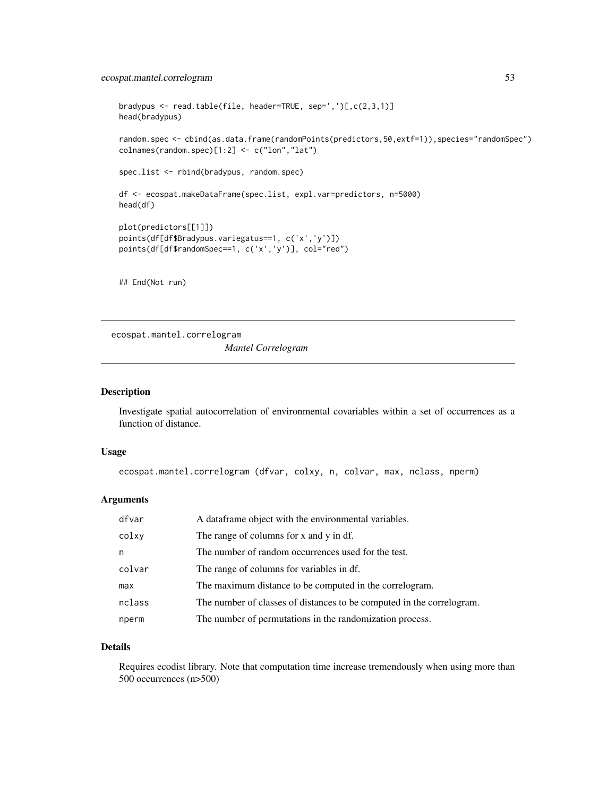# ecospat.mantel.correlogram 53

```
bradypus <- read.table(file, header=TRUE, sep=',')[,c(2,3,1)]
head(bradypus)
random.spec <- cbind(as.data.frame(randomPoints(predictors,50,extf=1)),species="randomSpec")
colnames(random.spec)[1:2] <- c("lon","lat")
spec.list <- rbind(bradypus, random.spec)
df <- ecospat.makeDataFrame(spec.list, expl.var=predictors, n=5000)
head(df)
plot(predictors[[1]])
points(df[df$Bradypus.variegatus==1, c('x','y')])
points(df[df$randomSpec==1, c('x','y')], col="red")
## End(Not run)
```
ecospat.mantel.correlogram *Mantel Correlogram*

## Description

Investigate spatial autocorrelation of environmental covariables within a set of occurrences as a function of distance.

# Usage

```
ecospat.mantel.correlogram (dfvar, colxy, n, colvar, max, nclass, nperm)
```
# Arguments

| dfvar  | A dataframe object with the environmental variables.                  |
|--------|-----------------------------------------------------------------------|
| colxy  | The range of columns for x and y in df.                               |
| n      | The number of random occurrences used for the test.                   |
| colvar | The range of columns for variables in df.                             |
| max    | The maximum distance to be computed in the correlogram.               |
| nclass | The number of classes of distances to be computed in the correlogram. |
| nperm  | The number of permutations in the randomization process.              |

# Details

Requires ecodist library. Note that computation time increase tremendously when using more than 500 occurrences (n>500)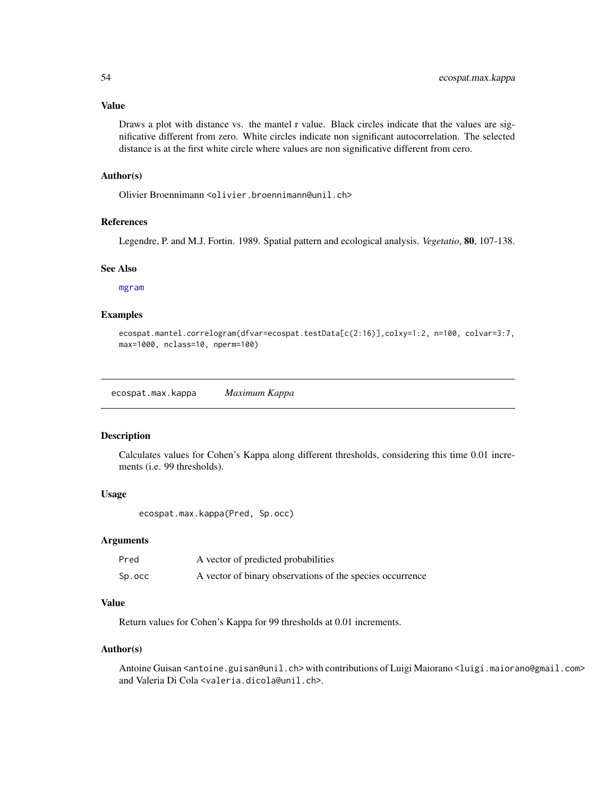#### Value

Draws a plot with distance vs. the mantel r value. Black circles indicate that the values are significative different from zero. White circles indicate non significant autocorrelation. The selected distance is at the first white circle where values are non significative different from cero.

# Author(s)

Olivier Broennimann <olivier.broennimann@unil.ch>

# References

Legendre, P. and M.J. Fortin. 1989. Spatial pattern and ecological analysis. *Vegetatio*, 80, 107-138.

#### See Also

[mgram](#page-0-0)

# Examples

ecospat.mantel.correlogram(dfvar=ecospat.testData[c(2:16)],colxy=1:2, n=100, colvar=3:7, max=1000, nclass=10, nperm=100)

<span id="page-53-0"></span>ecospat.max.kappa *Maximum Kappa*

## Description

Calculates values for Cohen's Kappa along different thresholds, considering this time 0.01 increments (i.e. 99 thresholds).

#### Usage

ecospat.max.kappa(Pred, Sp.occ)

#### Arguments

| Pred   | A vector of predicted probabilities                       |
|--------|-----------------------------------------------------------|
| Sp.occ | A vector of binary observations of the species occurrence |

# Value

Return values for Cohen's Kappa for 99 thresholds at 0.01 increments.

#### Author(s)

Antoine Guisan <antoine.guisan@unil.ch> with contributions of Luigi Maiorano <luigi.maiorano@gmail.com> and Valeria Di Cola <valeria.dicola@unil.ch>.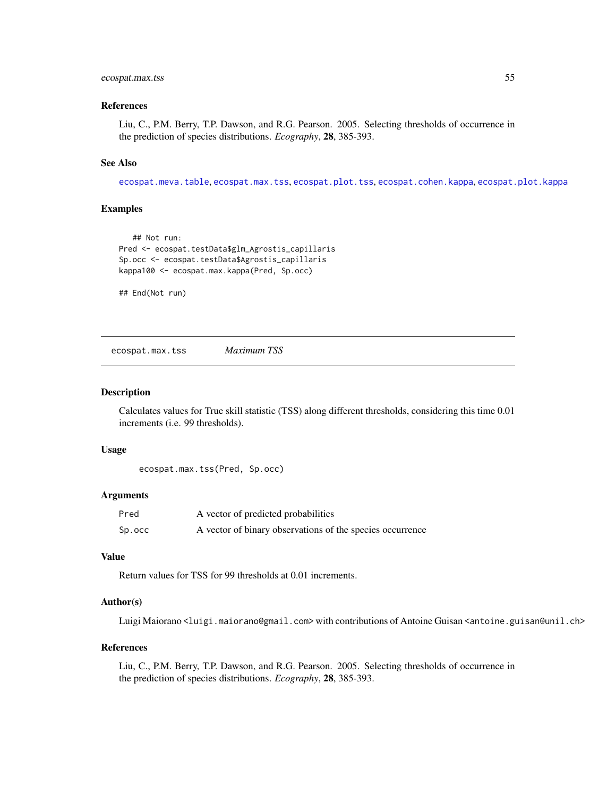# ecospat.max.tss 55

#### References

Liu, C., P.M. Berry, T.P. Dawson, and R.G. Pearson. 2005. Selecting thresholds of occurrence in the prediction of species distributions. *Ecography*, 28, 385-393.

#### See Also

[ecospat.meva.table](#page-59-0), [ecospat.max.tss](#page-54-0), [ecospat.plot.tss](#page-80-0), [ecospat.cohen.kappa](#page-21-0), [ecospat.plot.kappa](#page-76-0)

### Examples

```
## Not run:
Pred <- ecospat.testData$glm_Agrostis_capillaris
Sp.occ <- ecospat.testData$Agrostis_capillaris
kappa100 <- ecospat.max.kappa(Pred, Sp.occ)
```
## End(Not run)

<span id="page-54-0"></span>ecospat.max.tss *Maximum TSS*

## **Description**

Calculates values for True skill statistic (TSS) along different thresholds, considering this time 0.01 increments (i.e. 99 thresholds).

### Usage

```
ecospat.max.tss(Pred, Sp.occ)
```
#### Arguments

| Pred   | A vector of predicted probabilities                       |
|--------|-----------------------------------------------------------|
| Sp.occ | A vector of binary observations of the species occurrence |

#### Value

Return values for TSS for 99 thresholds at 0.01 increments.

# Author(s)

Luigi Maiorano <luigi.maiorano@gmail.com> with contributions of Antoine Guisan <antoine.guisan@unil.ch>

## References

Liu, C., P.M. Berry, T.P. Dawson, and R.G. Pearson. 2005. Selecting thresholds of occurrence in the prediction of species distributions. *Ecography*, 28, 385-393.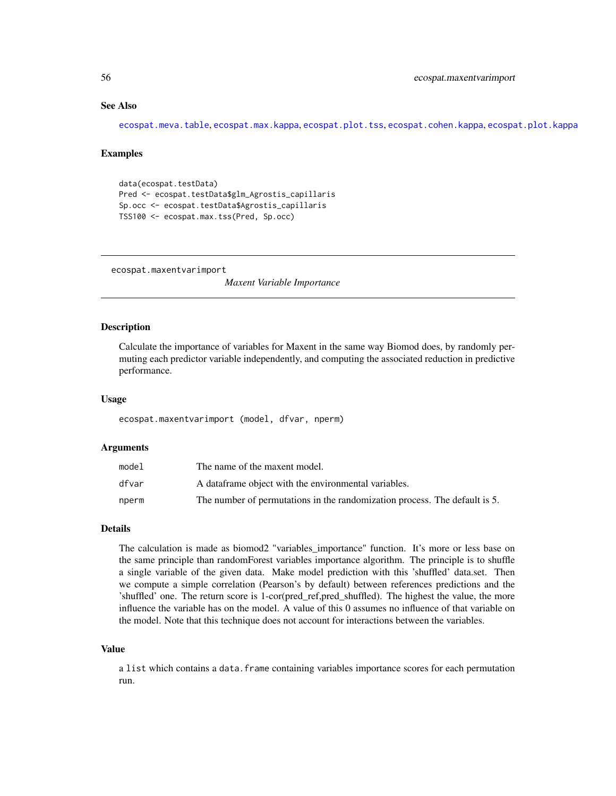# See Also

[ecospat.meva.table](#page-59-0), [ecospat.max.kappa](#page-53-0), [ecospat.plot.tss](#page-80-0), [ecospat.cohen.kappa](#page-21-0), [ecospat.plot.kappa](#page-76-0)

#### Examples

```
data(ecospat.testData)
Pred <- ecospat.testData$glm_Agrostis_capillaris
Sp.occ <- ecospat.testData$Agrostis_capillaris
TSS100 <- ecospat.max.tss(Pred, Sp.occ)
```
ecospat.maxentvarimport

*Maxent Variable Importance*

# Description

Calculate the importance of variables for Maxent in the same way Biomod does, by randomly permuting each predictor variable independently, and computing the associated reduction in predictive performance.

#### Usage

ecospat.maxentvarimport (model, dfvar, nperm)

### Arguments

| model | The name of the maxent model.                                              |
|-------|----------------------------------------------------------------------------|
| dfvar | A data frame object with the environmental variables.                      |
| nperm | The number of permutations in the randomization process. The default is 5. |

## **Details**

The calculation is made as biomod2 "variables\_importance" function. It's more or less base on the same principle than randomForest variables importance algorithm. The principle is to shuffle a single variable of the given data. Make model prediction with this 'shuffled' data.set. Then we compute a simple correlation (Pearson's by default) between references predictions and the 'shuffled' one. The return score is 1-cor(pred\_ref,pred\_shuffled). The highest the value, the more influence the variable has on the model. A value of this 0 assumes no influence of that variable on the model. Note that this technique does not account for interactions between the variables.

### Value

a list which contains a data. frame containing variables importance scores for each permutation run.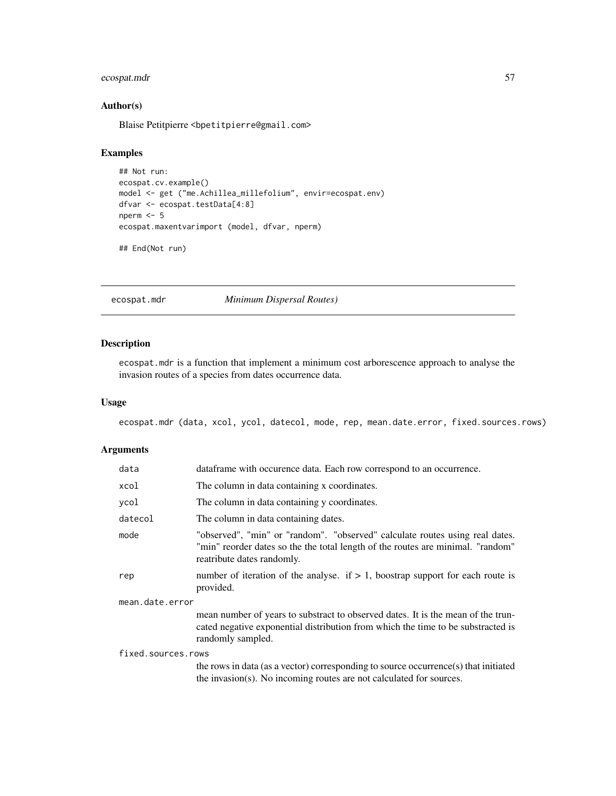# ecospat.mdr 57

# Author(s)

Blaise Petitpierre <bpetitpierre@gmail.com>

# Examples

```
## Not run:
ecospat.cv.example()
model <- get ("me.Achillea_millefolium", envir=ecospat.env)
dfvar <- ecospat.testData[4:8]
nperm <- 5
ecospat.maxentvarimport (model, dfvar, nperm)
```

```
## End(Not run)
```
ecospat.mdr *Minimum Dispersal Routes)*

## Description

ecospat.mdr is a function that implement a minimum cost arborescence approach to analyse the invasion routes of a species from dates occurrence data.

#### Usage

ecospat.mdr (data, xcol, ycol, datecol, mode, rep, mean.date.error, fixed.sources.rows)

| data               | data frame with occurence data. Each row correspond to an occurrence.                                                                                                                         |  |
|--------------------|-----------------------------------------------------------------------------------------------------------------------------------------------------------------------------------------------|--|
| xcol               | The column in data containing x coordinates.                                                                                                                                                  |  |
| ycol               | The column in data containing y coordinates.                                                                                                                                                  |  |
| datecol            | The column in data containing dates.                                                                                                                                                          |  |
| mode               | "observed", "min" or "random". "observed" calculate routes using real dates.<br>"min" reorder dates so the the total length of the routes are minimal. "random"<br>reatribute dates randomly. |  |
| rep                | number of iteration of the analyse. if $> 1$ , boostrap support for each route is<br>provided.                                                                                                |  |
| mean.date.error    |                                                                                                                                                                                               |  |
|                    | mean number of years to substract to observed dates. It is the mean of the trun-<br>cated negative exponential distribution from which the time to be substracted is<br>randomly sampled.     |  |
| fixed.sources.rows |                                                                                                                                                                                               |  |
|                    | the rows in data (as a vector) corresponding to source occurrence(s) that initiated<br>the invasion(s). No incoming routes are not calculated for sources.                                    |  |
|                    |                                                                                                                                                                                               |  |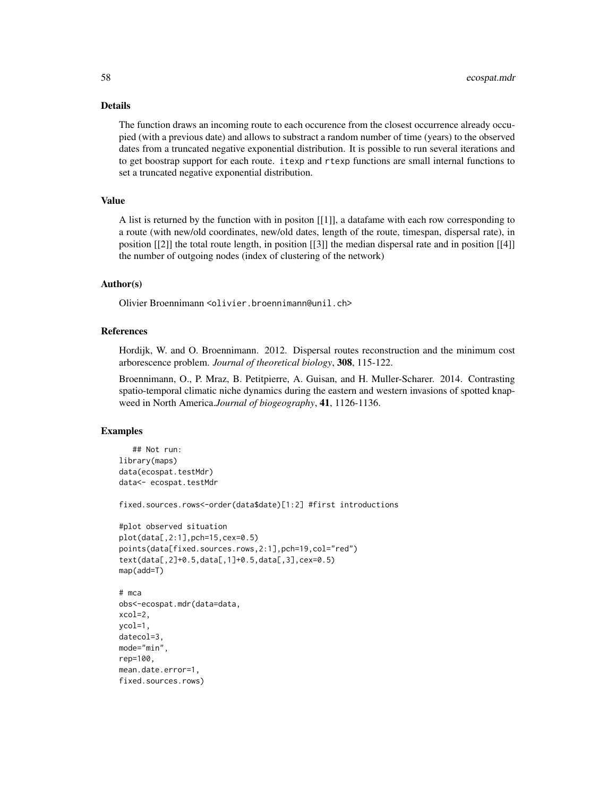The function draws an incoming route to each occurence from the closest occurrence already occupied (with a previous date) and allows to substract a random number of time (years) to the observed dates from a truncated negative exponential distribution. It is possible to run several iterations and to get boostrap support for each route. itexp and rtexp functions are small internal functions to set a truncated negative exponential distribution.

### Value

A list is returned by the function with in positon [[1]], a datafame with each row corresponding to a route (with new/old coordinates, new/old dates, length of the route, timespan, dispersal rate), in position [[2]] the total route length, in position [[3]] the median dispersal rate and in position [[4]] the number of outgoing nodes (index of clustering of the network)

### Author(s)

Olivier Broennimann <olivier.broennimann@unil.ch>

### References

Hordijk, W. and O. Broennimann. 2012. Dispersal routes reconstruction and the minimum cost arborescence problem. *Journal of theoretical biology*, 308, 115-122.

Broennimann, O., P. Mraz, B. Petitpierre, A. Guisan, and H. Muller-Scharer. 2014. Contrasting spatio-temporal climatic niche dynamics during the eastern and western invasions of spotted knapweed in North America.*Journal of biogeography*, 41, 1126-1136.

## Examples

```
## Not run:
library(maps)
data(ecospat.testMdr)
data<- ecospat.testMdr
fixed.sources.rows<-order(data$date)[1:2] #first introductions
#plot observed situation
plot(data[,2:1],pch=15,cex=0.5)
points(data[fixed.sources.rows,2:1],pch=19,col="red")
text(data[,2]+0.5,data[,1]+0.5,data[,3],cex=0.5)
map(add=T)
obs<-ecospat.mdr(data=data,
datecol=3,
mode="min",
rep=100,
```
# mca xcol=2, ycol=1,

mean.date.error=1, fixed.sources.rows)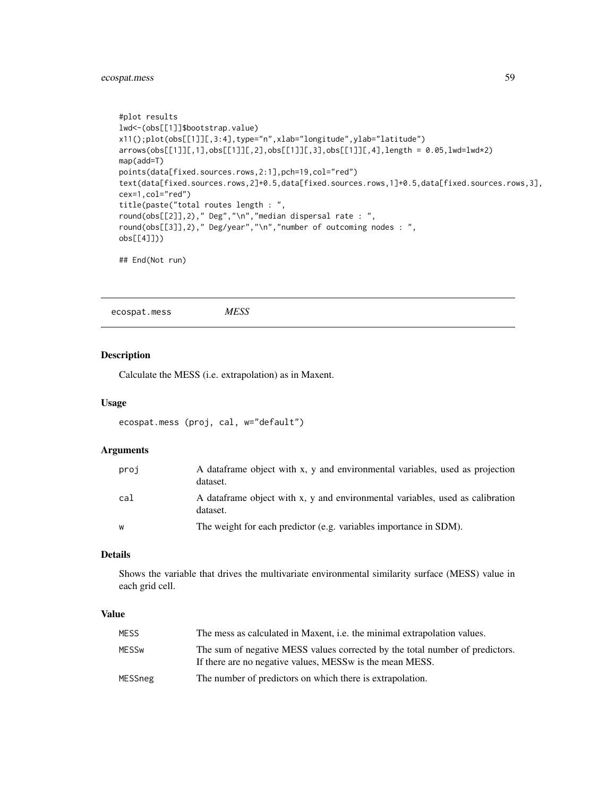# ecospat.mess 59

```
#plot results
lwd<-(obs[[1]]$bootstrap.value)
x11();plot(obs[[1]][,3:4],type="n",xlab="longitude",ylab="latitude")
arrows(obs[[1]][,1],obs[[1]][,2],obs[[1]][,3],obs[[1]][,4],length = 0.05,lwd=lwd*2)
map(add=T)
points(data[fixed.sources.rows,2:1],pch=19,col="red")
text(data[fixed.sources.rows,2]+0.5,data[fixed.sources.rows,1]+0.5,data[fixed.sources.rows,3],
cex=1,col="red")
title(paste("total routes length : ",
round(obs[[2]],2)," Deg","\n","median dispersal rate : ",
round(obs[[3]],2)," Deg/year","\n","number of outcoming nodes : ",
obs[[4]]))
## End(Not run)
```
ecospat.mess *MESS*

## Description

Calculate the MESS (i.e. extrapolation) as in Maxent.

## Usage

```
ecospat.mess (proj, cal, w="default")
```
### Arguments

| proj | A data frame object with x, y and environmental variables, used as projection<br>dataset. |
|------|-------------------------------------------------------------------------------------------|
| cal  | A dataframe object with x, y and environmental variables, used as calibration<br>dataset. |
| W    | The weight for each predictor (e.g. variables importance in SDM).                         |

## Details

Shows the variable that drives the multivariate environmental similarity surface (MESS) value in each grid cell.

## Value

| <b>MESS</b> | The mess as calculated in Maxent, <i>i.e.</i> the minimal extrapolation values.                                                           |
|-------------|-------------------------------------------------------------------------------------------------------------------------------------------|
| MESSw       | The sum of negative MESS values corrected by the total number of predictors.<br>If there are no negative values, MESS w is the mean MESS. |
| MESSneg     | The number of predictors on which there is extrapolation.                                                                                 |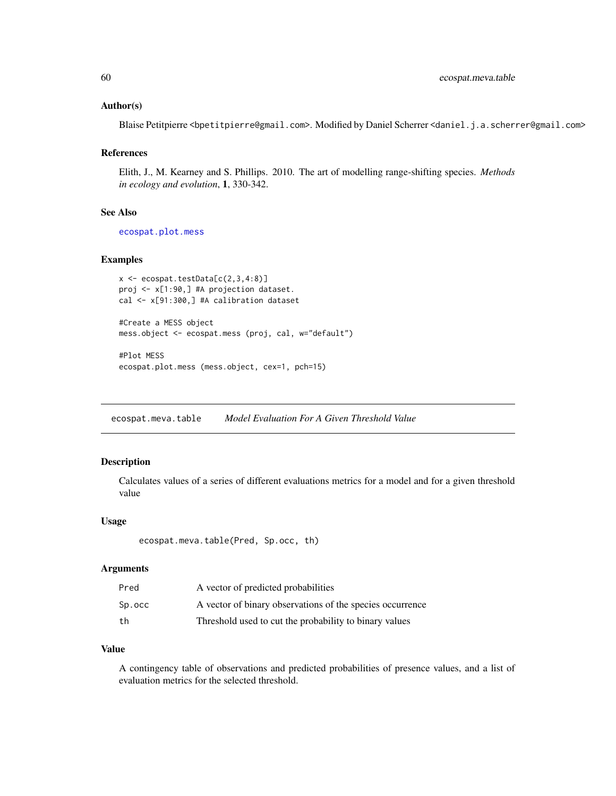### Author(s)

Blaise Petitpierre <bpetitpierre@gmail.com>. Modified by Daniel Scherrer <daniel.j.a.scherrer@gmail.com>

#### References

Elith, J., M. Kearney and S. Phillips. 2010. The art of modelling range-shifting species. *Methods in ecology and evolution*, 1, 330-342.

#### See Also

[ecospat.plot.mess](#page-77-0)

# Examples

```
x \leftarrow e \cos p \cdot t \cdot testData[c(2,3,4:8)]proj <- x[1:90,] #A projection dataset.
cal <- x[91:300,] #A calibration dataset
```

```
#Create a MESS object
mess.object <- ecospat.mess (proj, cal, w="default")
```

```
#Plot MESS
ecospat.plot.mess (mess.object, cex=1, pch=15)
```
<span id="page-59-0"></span>ecospat.meva.table *Model Evaluation For A Given Threshold Value*

### Description

Calculates values of a series of different evaluations metrics for a model and for a given threshold value

### Usage

```
ecospat.meva.table(Pred, Sp.occ, th)
```
### Arguments

| Pred   | A vector of predicted probabilities                       |
|--------|-----------------------------------------------------------|
| Sp.occ | A vector of binary observations of the species occurrence |
| th     | Threshold used to cut the probability to binary values    |

# Value

A contingency table of observations and predicted probabilities of presence values, and a list of evaluation metrics for the selected threshold.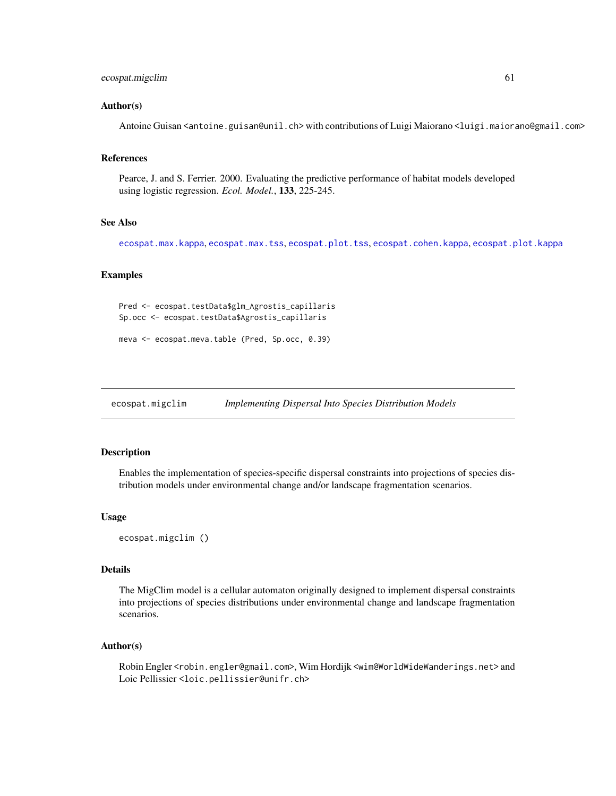### ecospat.migclim 61

### Author(s)

Antoine Guisan <antoine.guisan@unil.ch> with contributions of Luigi Maiorano <luigi.maiorano@gmail.com>

## References

Pearce, J. and S. Ferrier. 2000. Evaluating the predictive performance of habitat models developed using logistic regression. *Ecol. Model.*, 133, 225-245.

### See Also

[ecospat.max.kappa](#page-53-0), [ecospat.max.tss](#page-54-0), [ecospat.plot.tss](#page-80-0), [ecospat.cohen.kappa](#page-21-0), [ecospat.plot.kappa](#page-76-0)

### Examples

```
Pred <- ecospat.testData$glm_Agrostis_capillaris
Sp.occ <- ecospat.testData$Agrostis_capillaris
```

```
meva <- ecospat.meva.table (Pred, Sp.occ, 0.39)
```
ecospat.migclim *Implementing Dispersal Into Species Distribution Models*

## Description

Enables the implementation of species-specific dispersal constraints into projections of species distribution models under environmental change and/or landscape fragmentation scenarios.

#### Usage

ecospat.migclim ()

# Details

The MigClim model is a cellular automaton originally designed to implement dispersal constraints into projections of species distributions under environmental change and landscape fragmentation scenarios.

### Author(s)

Robin Engler <robin.engler@gmail.com>, Wim Hordijk <wim@WorldWideWanderings.net> and Loic Pellissier <loic.pellissier@unifr.ch>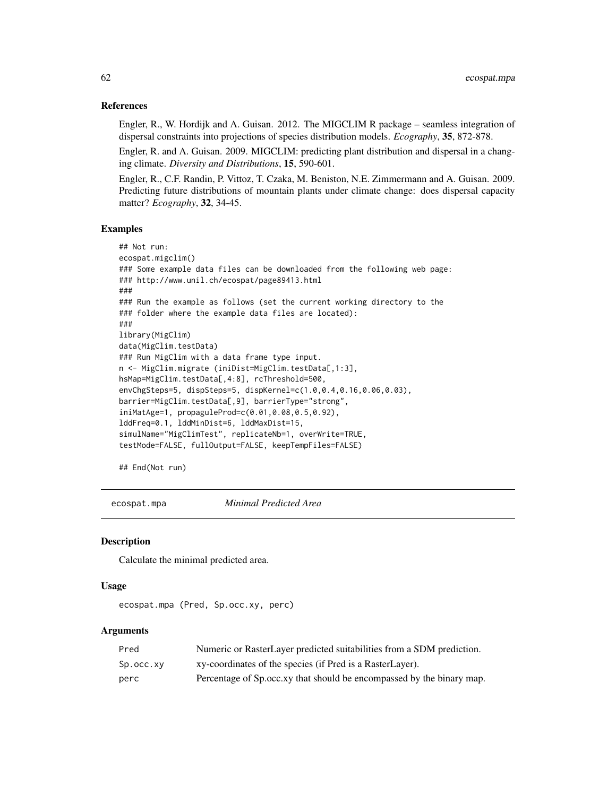### References

Engler, R., W. Hordijk and A. Guisan. 2012. The MIGCLIM R package – seamless integration of dispersal constraints into projections of species distribution models. *Ecography*, 35, 872-878.

Engler, R. and A. Guisan. 2009. MIGCLIM: predicting plant distribution and dispersal in a changing climate. *Diversity and Distributions*, 15, 590-601.

Engler, R., C.F. Randin, P. Vittoz, T. Czaka, M. Beniston, N.E. Zimmermann and A. Guisan. 2009. Predicting future distributions of mountain plants under climate change: does dispersal capacity matter? *Ecography*, 32, 34-45.

#### Examples

```
## Not run:
ecospat.migclim()
### Some example data files can be downloaded from the following web page:
### http://www.unil.ch/ecospat/page89413.html
###
### Run the example as follows (set the current working directory to the
### folder where the example data files are located):
###
library(MigClim)
data(MigClim.testData)
### Run MigClim with a data frame type input.
n <- MigClim.migrate (iniDist=MigClim.testData[,1:3],
hsMap=MigClim.testData[,4:8], rcThreshold=500,
envChgSteps=5, dispSteps=5, dispKernel=c(1.0,0.4,0.16,0.06,0.03),
barrier=MigClim.testData[,9], barrierType="strong",
iniMatAge=1, propaguleProd=c(0.01,0.08,0.5,0.92),
lddFreq=0.1, lddMinDist=6, lddMaxDist=15,
simulName="MigClimTest", replicateNb=1, overWrite=TRUE,
testMode=FALSE, fullOutput=FALSE, keepTempFiles=FALSE)
```
## End(Not run)

ecospat.mpa *Minimal Predicted Area*

#### Description

Calculate the minimal predicted area.

#### Usage

```
ecospat.mpa (Pred, Sp.occ.xy, perc)
```

| Pred      | Numeric or RasterLayer predicted suitabilities from a SDM prediction.   |
|-----------|-------------------------------------------------------------------------|
| Sp.occ.xy | xy-coordinates of the species (if Pred is a RasterLayer).               |
| perc      | Percentage of Sp. occ. xy that should be encompassed by the binary map. |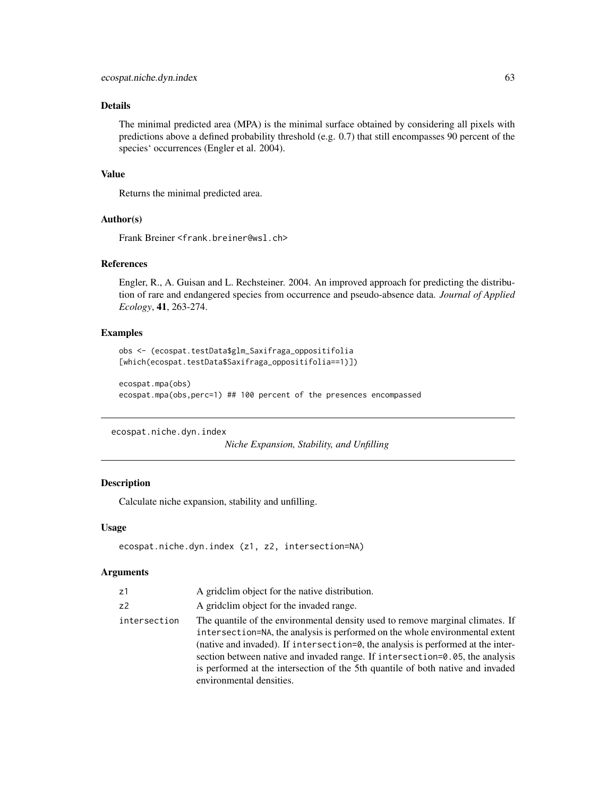The minimal predicted area (MPA) is the minimal surface obtained by considering all pixels with predictions above a defined probability threshold (e.g. 0.7) that still encompasses 90 percent of the species' occurrences (Engler et al. 2004).

### Value

Returns the minimal predicted area.

## Author(s)

Frank Breiner <frank.breiner@wsl.ch>

# References

Engler, R., A. Guisan and L. Rechsteiner. 2004. An improved approach for predicting the distribution of rare and endangered species from occurrence and pseudo-absence data. *Journal of Applied Ecology*, 41, 263-274.

## Examples

```
obs <- (ecospat.testData$glm_Saxifraga_oppositifolia
[which(ecospat.testData$Saxifraga_oppositifolia==1)])
```

```
ecospat.mpa(obs)
ecospat.mpa(obs,perc=1) ## 100 percent of the presences encompassed
```
<span id="page-62-0"></span>ecospat.niche.dyn.index

*Niche Expansion, Stability, and Unfilling*

#### Description

Calculate niche expansion, stability and unfilling.

#### Usage

```
ecospat.niche.dyn.index (z1, z2, intersection=NA)
```

| z1             | A gridclim object for the native distribution.                                                                                                                                                                                                                                                                                                                                                                                                    |
|----------------|---------------------------------------------------------------------------------------------------------------------------------------------------------------------------------------------------------------------------------------------------------------------------------------------------------------------------------------------------------------------------------------------------------------------------------------------------|
| Z <sup>2</sup> | A grid clim object for the invaded range.                                                                                                                                                                                                                                                                                                                                                                                                         |
| intersection   | The quantile of the environmental density used to remove marginal climates. If<br>intersection=NA, the analysis is performed on the whole environmental extent<br>(native and invaded). If intersection=0, the analysis is performed at the inter-<br>section between native and invaded range. If intersection=0.05, the analysis<br>is performed at the intersection of the 5th quantile of both native and invaded<br>environmental densities. |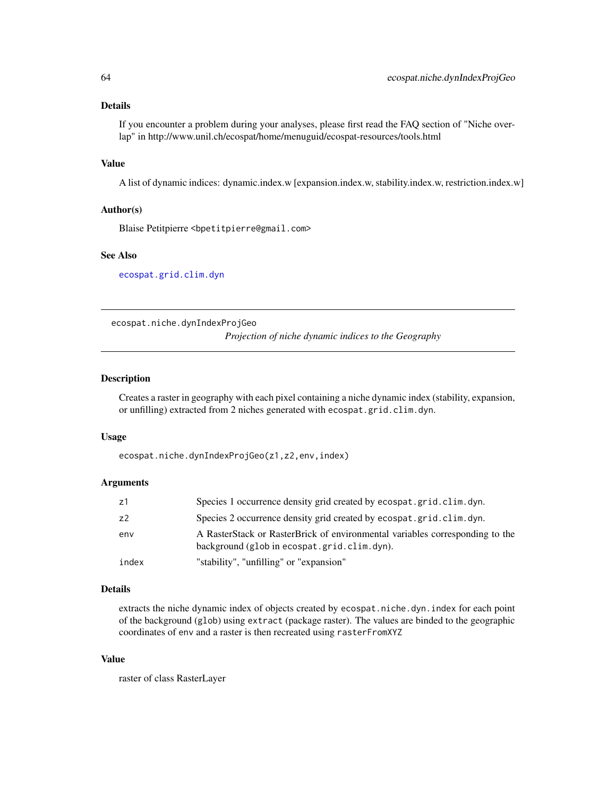If you encounter a problem during your analyses, please first read the FAQ section of "Niche overlap" in http://www.unil.ch/ecospat/home/menuguid/ecospat-resources/tools.html

#### Value

A list of dynamic indices: dynamic.index.w [expansion.index.w, stability.index.w, restriction.index.w]

#### Author(s)

Blaise Petitpierre <bpetitpierre@gmail.com>

#### See Also

[ecospat.grid.clim.dyn](#page-47-0)

<span id="page-63-0"></span>ecospat.niche.dynIndexProjGeo

*Projection of niche dynamic indices to the Geography*

### Description

Creates a raster in geography with each pixel containing a niche dynamic index (stability, expansion, or unfilling) extracted from 2 niches generated with ecospat.grid.clim.dyn.

#### Usage

ecospat.niche.dynIndexProjGeo(z1,z2,env,index)

#### Arguments

| z1    | Species 1 occurrence density grid created by ecospat.grid.clim.dyn.                                                         |
|-------|-----------------------------------------------------------------------------------------------------------------------------|
| z2    | Species 2 occurrence density grid created by ecospat.grid.clim.dyn.                                                         |
| env   | A RasterStack or RasterBrick of environmental variables corresponding to the<br>background (glob in ecospat.grid.clim.dyn). |
| index | "stability", "unfilling" or "expansion"                                                                                     |

#### Details

extracts the niche dynamic index of objects created by ecospat.niche.dyn.index for each point of the background (glob) using extract (package raster). The values are binded to the geographic coordinates of env and a raster is then recreated using rasterFromXYZ

# Value

raster of class RasterLayer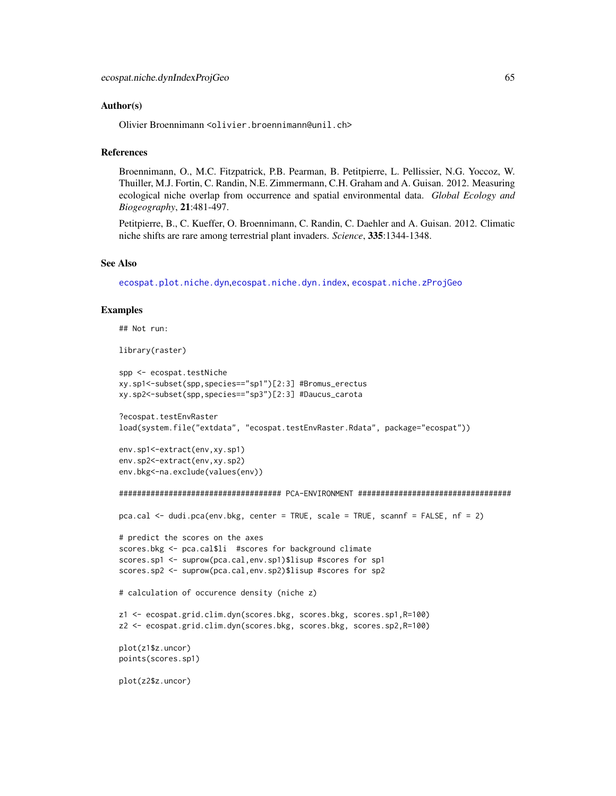### Author(s)

Olivier Broennimann <olivier.broennimann@unil.ch>

### **References**

Broennimann, O., M.C. Fitzpatrick, P.B. Pearman, B. Petitpierre, L. Pellissier, N.G. Yoccoz, W. Thuiller, M.J. Fortin, C. Randin, N.E. Zimmermann, C.H. Graham and A. Guisan. 2012. Measuring ecological niche overlap from occurrence and spatial environmental data. *Global Ecology and Biogeography*, 21:481-497.

Petitpierre, B., C. Kueffer, O. Broennimann, C. Randin, C. Daehler and A. Guisan. 2012. Climatic niche shifts are rare among terrestrial plant invaders. *Science*, 335:1344-1348.

### See Also

[ecospat.plot.niche.dyn](#page-79-0),[ecospat.niche.dyn.index](#page-62-0), [ecospat.niche.zProjGeo](#page-68-0)

### Examples

```
## Not run:
```
library(raster)

```
spp <- ecospat.testNiche
xy.sp1<-subset(spp,species=="sp1")[2:3] #Bromus_erectus
xy.sp2<-subset(spp,species=="sp3")[2:3] #Daucus_carota
```

```
?ecospat.testEnvRaster
load(system.file("extdata", "ecospat.testEnvRaster.Rdata", package="ecospat"))
```

```
env.sp1<-extract(env,xy.sp1)
env.sp2<-extract(env,xy.sp2)
env.bkg<-na.exclude(values(env))
```

```
#################################### PCA-ENVIRONMENT ##################################
```

```
pca.cal <- dudi.pca(env.bkg, center = TRUE, scale = TRUE, scannf = FALSE, nf = 2)
```

```
# predict the scores on the axes
scores.bkg <- pca.cal$li #scores for background climate
scores.sp1 <- suprow(pca.cal,env.sp1)$lisup #scores for sp1
scores.sp2 <- suprow(pca.cal,env.sp2)$lisup #scores for sp2
```

```
# calculation of occurence density (niche z)
```

```
z1 <- ecospat.grid.clim.dyn(scores.bkg, scores.bkg, scores.sp1,R=100)
z2 <- ecospat.grid.clim.dyn(scores.bkg, scores.bkg, scores.sp2,R=100)
```

```
plot(z1$z.uncor)
points(scores.sp1)
```

```
plot(z2$z.uncor)
```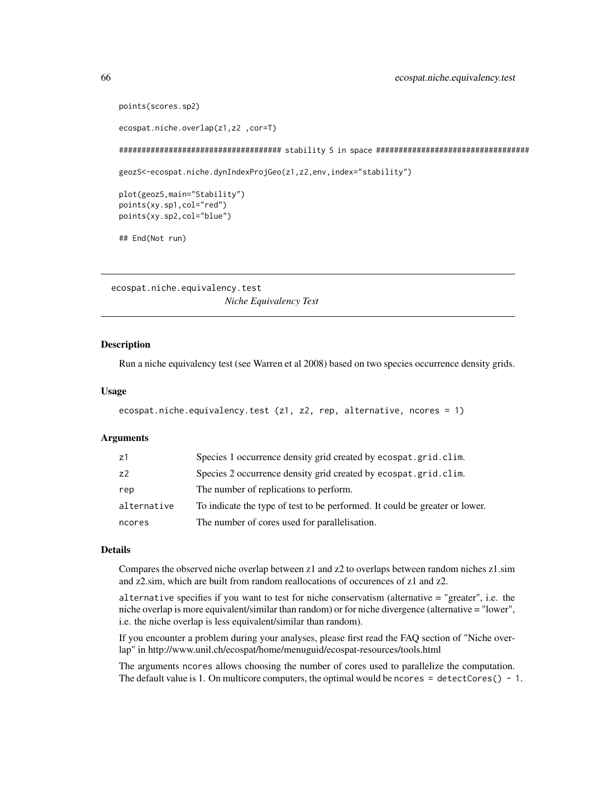```
points(scores.sp2)
```

```
ecospat.niche.overlap(z1,z2 ,cor=T)
```
#################################### stability S in space ##################################

geozS<-ecospat.niche.dynIndexProjGeo(z1,z2,env,index="stability")

```
plot(geozS,main="Stability")
points(xy.sp1,col="red")
points(xy.sp2,col="blue")
```
## End(Not run)

<span id="page-65-0"></span>ecospat.niche.equivalency.test *Niche Equivalency Test*

#### **Description**

Run a niche equivalency test (see Warren et al 2008) based on two species occurrence density grids.

#### Usage

```
ecospat.niche.equivalency.test (z1, z2, rep, alternative, ncores = 1)
```
### Arguments

| z1             | Species 1 occurrence density grid created by ecospat.grid.clim.             |
|----------------|-----------------------------------------------------------------------------|
| Z <sup>2</sup> | Species 2 occurrence density grid created by ecospat.grid.clim.             |
| rep            | The number of replications to perform.                                      |
| alternative    | To indicate the type of test to be performed. It could be greater or lower. |
| ncores         | The number of cores used for parallelisation.                               |

# **Details**

Compares the observed niche overlap between z1 and z2 to overlaps between random niches z1.sim and z2.sim, which are built from random reallocations of occurences of z1 and z2.

alternative specifies if you want to test for niche conservatism (alternative = "greater", i.e. the niche overlap is more equivalent/similar than random) or for niche divergence (alternative = "lower", i.e. the niche overlap is less equivalent/similar than random).

If you encounter a problem during your analyses, please first read the FAQ section of "Niche overlap" in http://www.unil.ch/ecospat/home/menuguid/ecospat-resources/tools.html

The arguments ncores allows choosing the number of cores used to parallelize the computation. The default value is 1. On multicore computers, the optimal would be ncores  $=$  detectCores() - 1.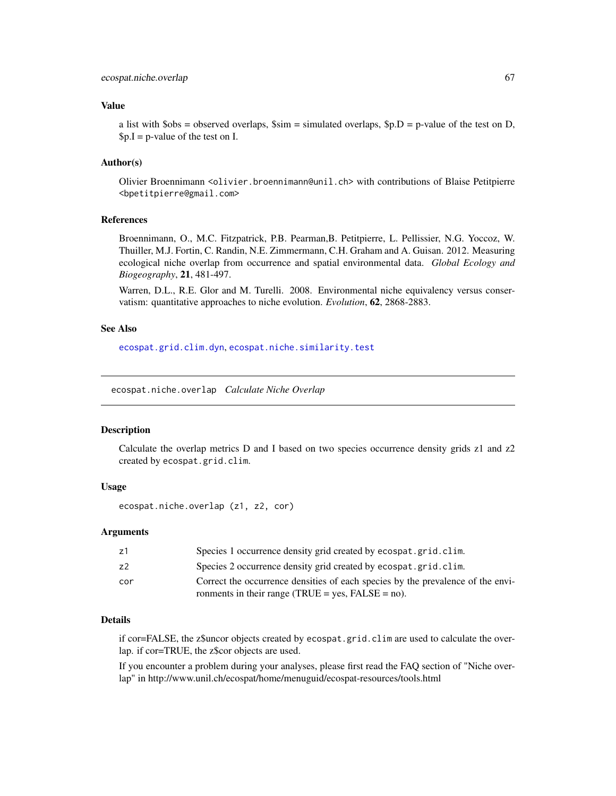## Value

a list with  $\delta$ obs = observed overlaps,  $\delta$ sim = simulated overlaps,  $\delta p$ .  $D = p$ -value of the test on D,  $p.I = p-value of the test on I.$ 

### Author(s)

Olivier Broennimann <olivier.broennimann@unil.ch> with contributions of Blaise Petitpierre <bpetitpierre@gmail.com>

### References

Broennimann, O., M.C. Fitzpatrick, P.B. Pearman,B. Petitpierre, L. Pellissier, N.G. Yoccoz, W. Thuiller, M.J. Fortin, C. Randin, N.E. Zimmermann, C.H. Graham and A. Guisan. 2012. Measuring ecological niche overlap from occurrence and spatial environmental data. *Global Ecology and Biogeography*, 21, 481-497.

Warren, D.L., R.E. Glor and M. Turelli. 2008. Environmental niche equivalency versus conservatism: quantitative approaches to niche evolution. *Evolution*, 62, 2868-2883.

### See Also

[ecospat.grid.clim.dyn](#page-47-0), [ecospat.niche.similarity.test](#page-67-0)

ecospat.niche.overlap *Calculate Niche Overlap*

### Description

Calculate the overlap metrics D and I based on two species occurrence density grids z1 and z2 created by ecospat.grid.clim.

## Usage

```
ecospat.niche.overlap (z1, z2, cor)
```
#### Arguments

| z1  | Species 1 occurrence density grid created by ecospat.grid.clim.                 |
|-----|---------------------------------------------------------------------------------|
| z2  | Species 2 occurrence density grid created by ecospat.grid.clim.                 |
| cor | Correct the occurrence densities of each species by the prevalence of the envi- |
|     | ronments in their range (TRUE = yes, $FALSE = no$ ).                            |

# Details

if cor=FALSE, the z\$uncor objects created by ecospat.grid.clim are used to calculate the overlap. if cor=TRUE, the z\$cor objects are used.

If you encounter a problem during your analyses, please first read the FAQ section of "Niche overlap" in http://www.unil.ch/ecospat/home/menuguid/ecospat-resources/tools.html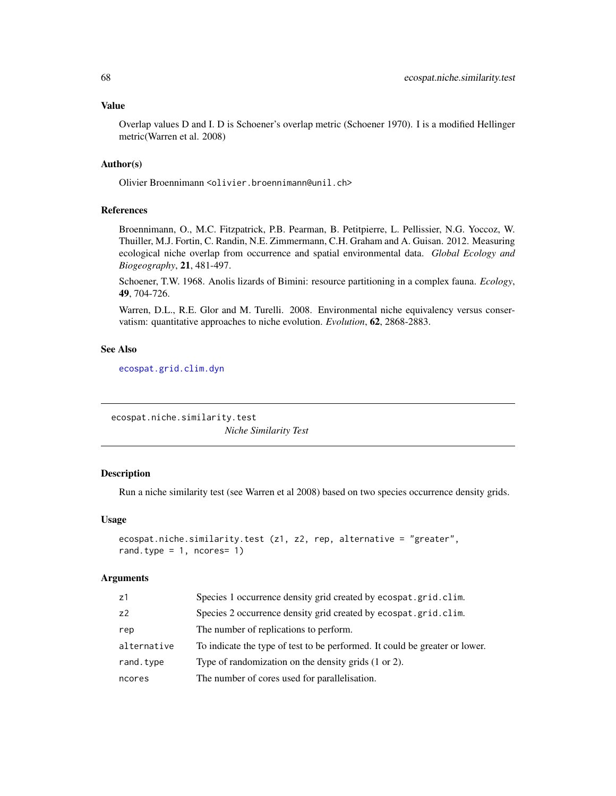## Value

Overlap values D and I. D is Schoener's overlap metric (Schoener 1970). I is a modified Hellinger metric(Warren et al. 2008)

### Author(s)

Olivier Broennimann <olivier.broennimann@unil.ch>

# References

Broennimann, O., M.C. Fitzpatrick, P.B. Pearman, B. Petitpierre, L. Pellissier, N.G. Yoccoz, W. Thuiller, M.J. Fortin, C. Randin, N.E. Zimmermann, C.H. Graham and A. Guisan. 2012. Measuring ecological niche overlap from occurrence and spatial environmental data. *Global Ecology and Biogeography*, 21, 481-497.

Schoener, T.W. 1968. Anolis lizards of Bimini: resource partitioning in a complex fauna. *Ecology*, 49, 704-726.

Warren, D.L., R.E. Glor and M. Turelli. 2008. Environmental niche equivalency versus conservatism: quantitative approaches to niche evolution. *Evolution*, 62, 2868-2883.

## See Also

[ecospat.grid.clim.dyn](#page-47-0)

<span id="page-67-0"></span>ecospat.niche.similarity.test *Niche Similarity Test*

# Description

Run a niche similarity test (see Warren et al 2008) based on two species occurrence density grids.

# Usage

```
ecospat.niche.similarity.test (z1, z2, rep, alternative = "greater",
rand.type = 1, ncores= 1)
```

| z1             | Species 1 occurrence density grid created by ecospat.grid.clim.             |
|----------------|-----------------------------------------------------------------------------|
| z <sub>2</sub> | Species 2 occurrence density grid created by ecospat.grid.clim.             |
| rep            | The number of replications to perform.                                      |
| alternative    | To indicate the type of test to be performed. It could be greater or lower. |
| rand.type      | Type of randomization on the density grids (1 or 2).                        |
| ncores         | The number of cores used for parallelisation.                               |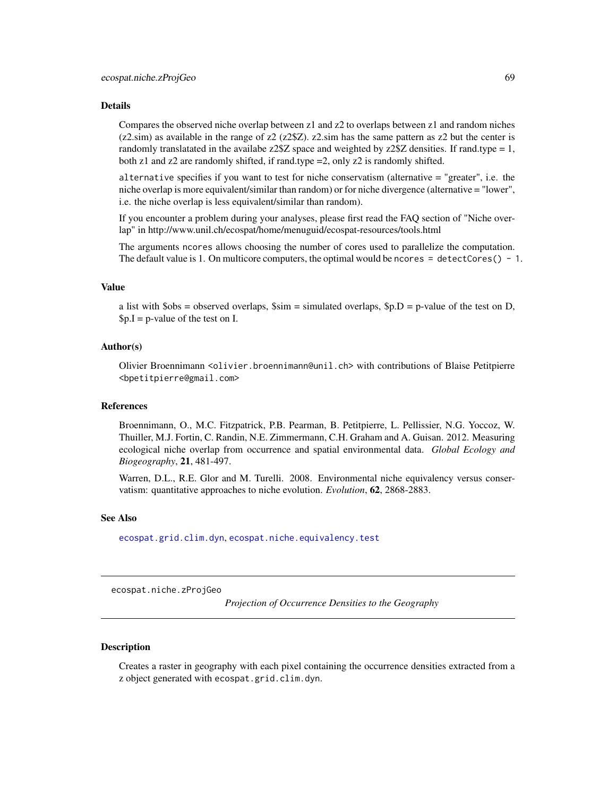Compares the observed niche overlap between z1 and z2 to overlaps between z1 and random niches  $(z2 \text{.sim})$  as available in the range of  $z2$  ( $z2\$  $Z$ ).  $z2 \text{.sim}$  has the same pattern as  $z2$  but the center is randomly translatated in the availabe z2\$Z space and weighted by  $z2$Z$  densities. If rand.type = 1, both z1 and z2 are randomly shifted, if rand.type =2, only z2 is randomly shifted.

alternative specifies if you want to test for niche conservatism (alternative = "greater", i.e. the niche overlap is more equivalent/similar than random) or for niche divergence (alternative = "lower", i.e. the niche overlap is less equivalent/similar than random).

If you encounter a problem during your analyses, please first read the FAQ section of "Niche overlap" in http://www.unil.ch/ecospat/home/menuguid/ecospat-resources/tools.html

The arguments ncores allows choosing the number of cores used to parallelize the computation. The default value is 1. On multicore computers, the optimal would be ncores  $=$  detectCores() - 1.

## Value

a list with  $\text{Sobs} =$  observed overlaps,  $\text{Ssim} = \text{simulated overlaps}, \text{Sp.D} = \text{p-value of the test on D}$ ,  $p.I = p-value of the test on I.$ 

### Author(s)

Olivier Broennimann <olivier.broennimann@unil.ch> with contributions of Blaise Petitpierre <bpetitpierre@gmail.com>

### References

Broennimann, O., M.C. Fitzpatrick, P.B. Pearman, B. Petitpierre, L. Pellissier, N.G. Yoccoz, W. Thuiller, M.J. Fortin, C. Randin, N.E. Zimmermann, C.H. Graham and A. Guisan. 2012. Measuring ecological niche overlap from occurrence and spatial environmental data. *Global Ecology and Biogeography*, 21, 481-497.

Warren, D.L., R.E. Glor and M. Turelli. 2008. Environmental niche equivalency versus conservatism: quantitative approaches to niche evolution. *Evolution*, 62, 2868-2883.

#### See Also

[ecospat.grid.clim.dyn](#page-47-0), [ecospat.niche.equivalency.test](#page-65-0)

<span id="page-68-0"></span>ecospat.niche.zProjGeo

*Projection of Occurrence Densities to the Geography*

### Description

Creates a raster in geography with each pixel containing the occurrence densities extracted from a z object generated with ecospat.grid.clim.dyn.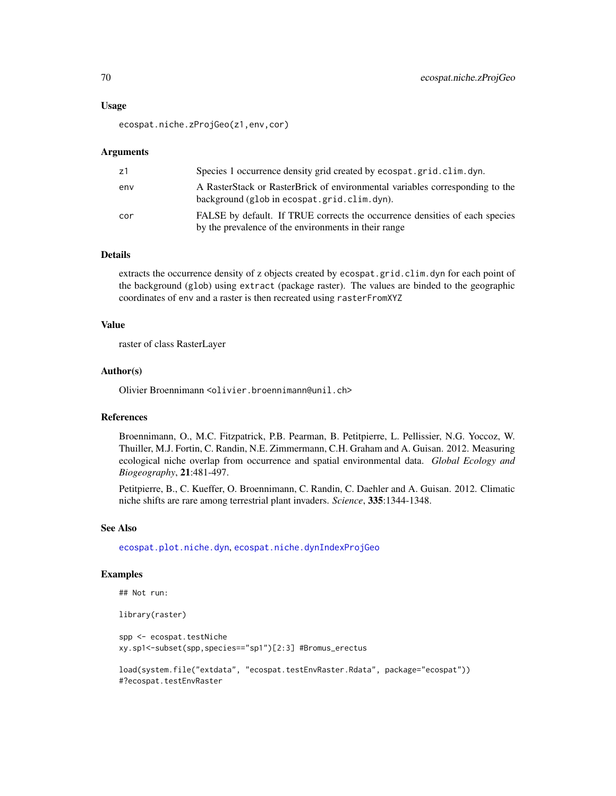### Usage

ecospat.niche.zProjGeo(z1,env,cor)

#### Arguments

| z1  | Species 1 occurrence density grid created by ecospat.grid.clim.dyn.                                                                 |
|-----|-------------------------------------------------------------------------------------------------------------------------------------|
| env | A RasterStack or RasterBrick of environmental variables corresponding to the<br>background (glob in ecospat.grid.clim.dyn).         |
| cor | FALSE by default. If TRUE corrects the occurrence densities of each species<br>by the prevalence of the environments in their range |

### Details

extracts the occurrence density of z objects created by ecospat.grid.clim.dyn for each point of the background (glob) using extract (package raster). The values are binded to the geographic coordinates of env and a raster is then recreated using rasterFromXYZ

## Value

raster of class RasterLayer

### Author(s)

Olivier Broennimann <olivier.broennimann@unil.ch>

#### References

Broennimann, O., M.C. Fitzpatrick, P.B. Pearman, B. Petitpierre, L. Pellissier, N.G. Yoccoz, W. Thuiller, M.J. Fortin, C. Randin, N.E. Zimmermann, C.H. Graham and A. Guisan. 2012. Measuring ecological niche overlap from occurrence and spatial environmental data. *Global Ecology and Biogeography*, 21:481-497.

Petitpierre, B., C. Kueffer, O. Broennimann, C. Randin, C. Daehler and A. Guisan. 2012. Climatic niche shifts are rare among terrestrial plant invaders. *Science*, 335:1344-1348.

### See Also

[ecospat.plot.niche.dyn](#page-79-0), [ecospat.niche.dynIndexProjGeo](#page-63-0)

### Examples

```
## Not run:
```
library(raster)

spp <- ecospat.testNiche xy.sp1<-subset(spp,species=="sp1")[2:3] #Bromus\_erectus

```
load(system.file("extdata", "ecospat.testEnvRaster.Rdata", package="ecospat"))
#?ecospat.testEnvRaster
```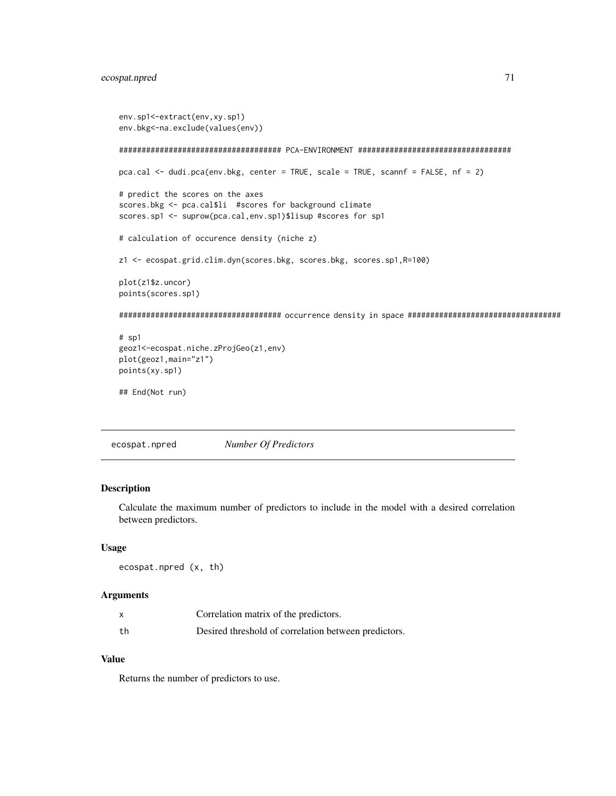```
env.sp1<-extract(env,xy.sp1)
env.bkg<-na.exclude(values(env))
#################################### PCA-ENVIRONMENT ##################################
pca.cal <- dudi.pca(env.bkg, center = TRUE, scale = TRUE, scannf = FALSE, nf = 2)
# predict the scores on the axes
scores.bkg <- pca.cal$li #scores for background climate
scores.sp1 <- suprow(pca.cal,env.sp1)$lisup #scores for sp1
# calculation of occurence density (niche z)
z1 <- ecospat.grid.clim.dyn(scores.bkg, scores.bkg, scores.sp1,R=100)
plot(z1$z.uncor)
points(scores.sp1)
#################################### occurrence density in space ##################################
# sp1
geoz1<-ecospat.niche.zProjGeo(z1,env)
plot(geoz1,main="z1")
points(xy.sp1)
## End(Not run)
```
ecospat.npred *Number Of Predictors*

### Description

Calculate the maximum number of predictors to include in the model with a desired correlation between predictors.

## Usage

```
ecospat.npred (x, th)
```
#### Arguments

|    | Correlation matrix of the predictors.                |
|----|------------------------------------------------------|
| th | Desired threshold of correlation between predictors. |

# Value

Returns the number of predictors to use.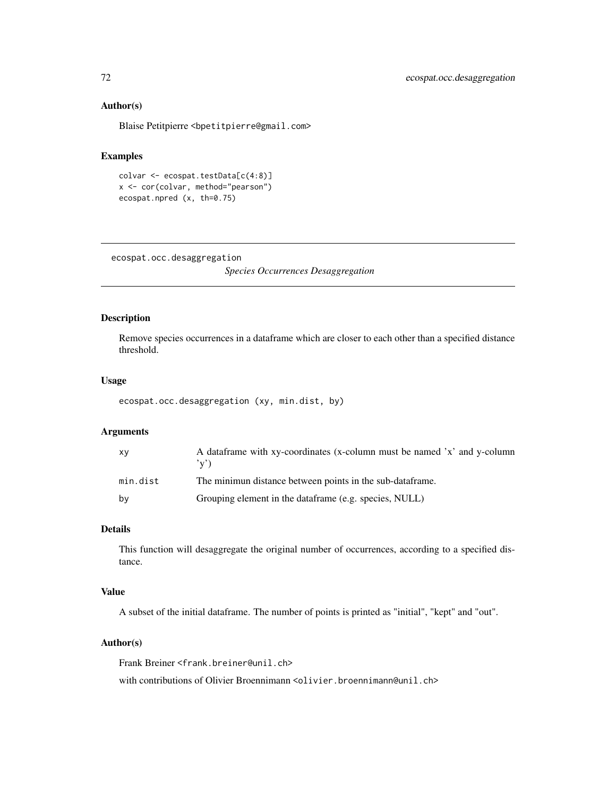### Author(s)

Blaise Petitpierre <bpetitpierre@gmail.com>

## Examples

```
colvar <- ecospat.testData[c(4:8)]
x <- cor(colvar, method="pearson")
ecospat.npred (x, th=0.75)
```
ecospat.occ.desaggregation

*Species Occurrences Desaggregation*

#### Description

Remove species occurrences in a dataframe which are closer to each other than a specified distance threshold.

## Usage

```
ecospat.occ.desaggregation (xy, min.dist, by)
```
## Arguments

| XV       | A data frame with xy-coordinates (x-column must be named 'x' and y-column<br>(v') |
|----------|-----------------------------------------------------------------------------------|
| min.dist | The minimun distance between points in the sub-dataframe.                         |
| bv       | Grouping element in the dataframe (e.g. species, NULL)                            |

# Details

This function will desaggregate the original number of occurrences, according to a specified distance.

## Value

A subset of the initial dataframe. The number of points is printed as "initial", "kept" and "out".

### Author(s)

Frank Breiner <frank.breiner@unil.ch>

with contributions of Olivier Broennimann <olivier.broennimann@unil.ch>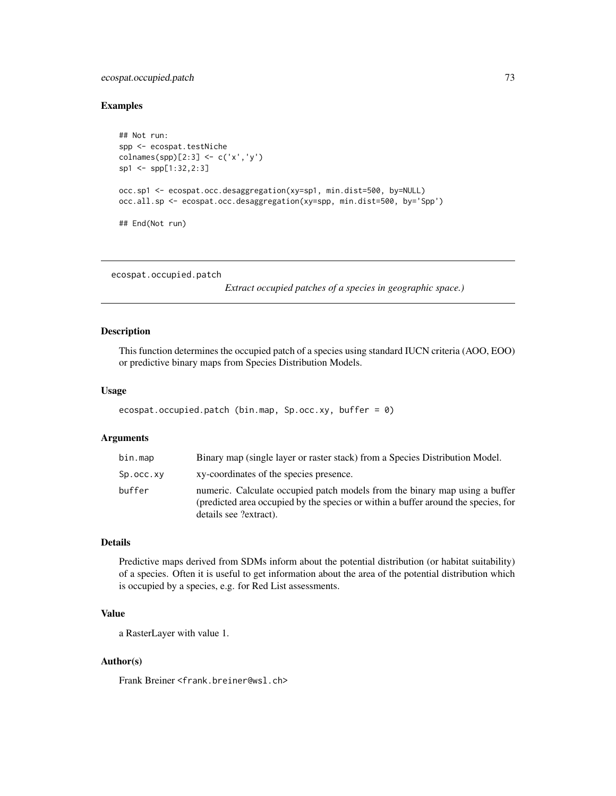# <span id="page-72-1"></span>ecospat.occupied.patch 73

# Examples

```
## Not run:
spp <- ecospat.testNiche
\text{columns}(\text{sp})[2:3] \leftarrow \text{c('x', 'y')}sp1 <- spp[1:32,2:3]
occ.sp1 <- ecospat.occ.desaggregation(xy=sp1, min.dist=500, by=NULL)
occ.all.sp <- ecospat.occ.desaggregation(xy=spp, min.dist=500, by='Spp')
## End(Not run)
```
<span id="page-72-0"></span>ecospat.occupied.patch

*Extract occupied patches of a species in geographic space.)*

# Description

This function determines the occupied patch of a species using standard IUCN criteria (AOO, EOO) or predictive binary maps from Species Distribution Models.

#### Usage

```
ecospat.occupied.patch (bin.map, Sp.occ.xy, buffer = 0)
```
# Arguments

| bin.map    | Binary map (single layer or raster stack) from a Species Distribution Model.                                                                                                                |
|------------|---------------------------------------------------------------------------------------------------------------------------------------------------------------------------------------------|
| Sp.occ. xy | xy-coordinates of the species presence.                                                                                                                                                     |
| buffer     | numeric. Calculate occupied patch models from the binary map using a buffer<br>(predicted area occupied by the species or within a buffer around the species, for<br>details see ?extract). |

# Details

Predictive maps derived from SDMs inform about the potential distribution (or habitat suitability) of a species. Often it is useful to get information about the area of the potential distribution which is occupied by a species, e.g. for Red List assessments.

# Value

a RasterLayer with value 1.

# Author(s)

Frank Breiner <frank.breiner@wsl.ch>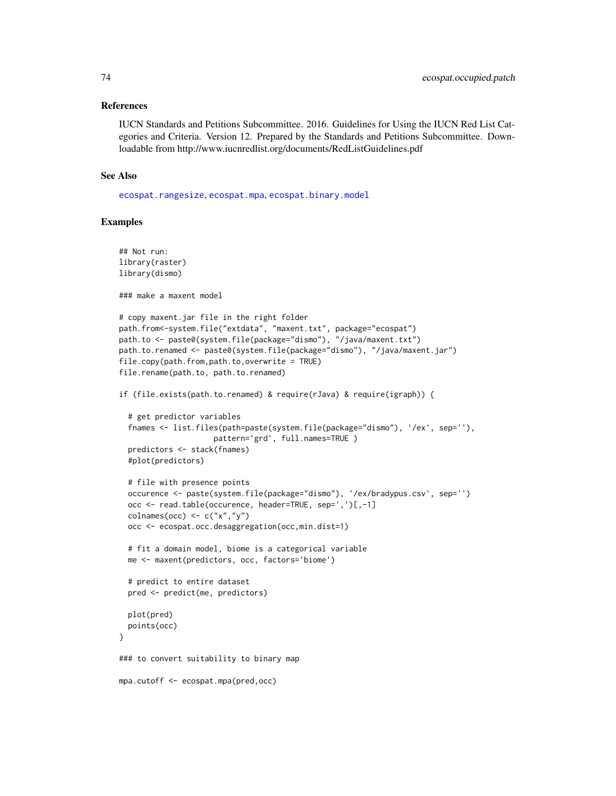#### <span id="page-73-0"></span>References

IUCN Standards and Petitions Subcommittee. 2016. Guidelines for Using the IUCN Red List Categories and Criteria. Version 12. Prepared by the Standards and Petitions Subcommittee. Downloadable from http://www.iucnredlist.org/documents/RedListGuidelines.pdf

# See Also

[ecospat.rangesize](#page-82-0), [ecospat.mpa](#page-61-0), [ecospat.binary.model](#page-5-0)

#### Examples

```
## Not run:
library(raster)
library(dismo)
### make a maxent model
# copy maxent.jar file in the right folder
path.from<-system.file("extdata", "maxent.txt", package="ecospat")
path.to <- paste0(system.file(package="dismo"), "/java/maxent.txt")
path.to.renamed <- paste0(system.file(package="dismo"), "/java/maxent.jar")
file.copy(path.from,path.to,overwrite = TRUE)
file.rename(path.to, path.to.renamed)
if (file.exists(path.to.renamed) & require(rJava) & require(igraph)) {
 # get predictor variables
 fnames <- list.files(path=paste(system.file(package="dismo"), '/ex', sep=''),
                     pattern='grd', full.names=TRUE )
 predictors <- stack(fnames)
 #plot(predictors)
 # file with presence points
 occurence <- paste(system.file(package="dismo"), '/ex/bradypus.csv', sep='')
 occ <- read.table(occurence, header=TRUE, sep=',')[,-1]
 colnames(occ) <- c("x", "y")occ <- ecospat.occ.desaggregation(occ,min.dist=1)
 # fit a domain model, biome is a categorical variable
 me <- maxent(predictors, occ, factors='biome')
 # predict to entire dataset
 pred <- predict(me, predictors)
 plot(pred)
 points(occ)
}
### to convert suitability to binary map
mpa.cutoff <- ecospat.mpa(pred,occ)
```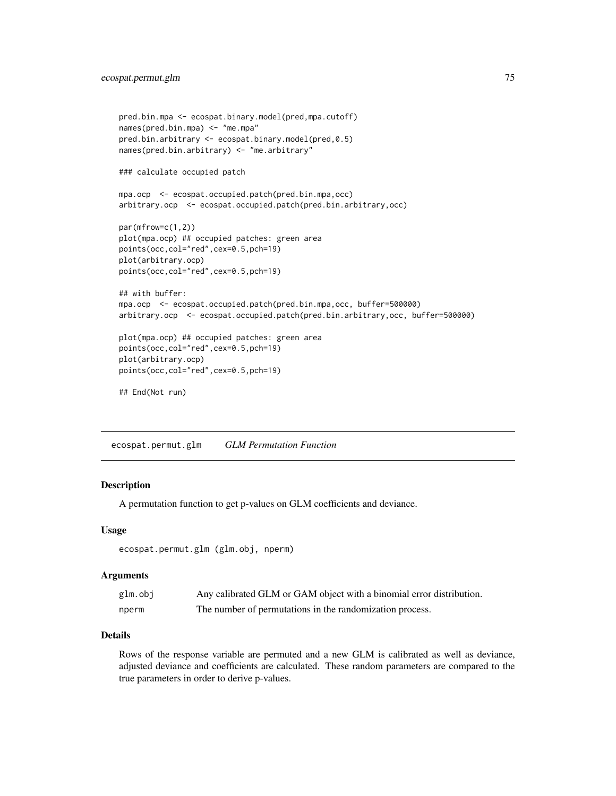```
pred.bin.mpa <- ecospat.binary.model(pred,mpa.cutoff)
names(pred.bin.mpa) <- "me.mpa"
pred.bin.arbitrary <- ecospat.binary.model(pred,0.5)
names(pred.bin.arbitrary) <- "me.arbitrary"
### calculate occupied patch
mpa.ocp <- ecospat.occupied.patch(pred.bin.mpa,occ)
arbitrary.ocp <- ecospat.occupied.patch(pred.bin.arbitrary,occ)
par(mfrow=c(1,2))
plot(mpa.ocp) ## occupied patches: green area
points(occ,col="red",cex=0.5,pch=19)
plot(arbitrary.ocp)
points(occ,col="red",cex=0.5,pch=19)
## with buffer:
mpa.ocp <- ecospat.occupied.patch(pred.bin.mpa,occ, buffer=500000)
arbitrary.ocp <- ecospat.occupied.patch(pred.bin.arbitrary,occ, buffer=500000)
plot(mpa.ocp) ## occupied patches: green area
points(occ,col="red",cex=0.5,pch=19)
plot(arbitrary.ocp)
points(occ,col="red",cex=0.5,pch=19)
## End(Not run)
```
ecospat.permut.glm *GLM Permutation Function*

#### Description

A permutation function to get p-values on GLM coefficients and deviance.

#### Usage

```
ecospat.permut.glm (glm.obj, nperm)
```
#### Arguments

| glm.obj | Any calibrated GLM or GAM object with a binomial error distribution. |
|---------|----------------------------------------------------------------------|
| nperm   | The number of permutations in the randomization process.             |

# Details

Rows of the response variable are permuted and a new GLM is calibrated as well as deviance, adjusted deviance and coefficients are calculated. These random parameters are compared to the true parameters in order to derive p-values.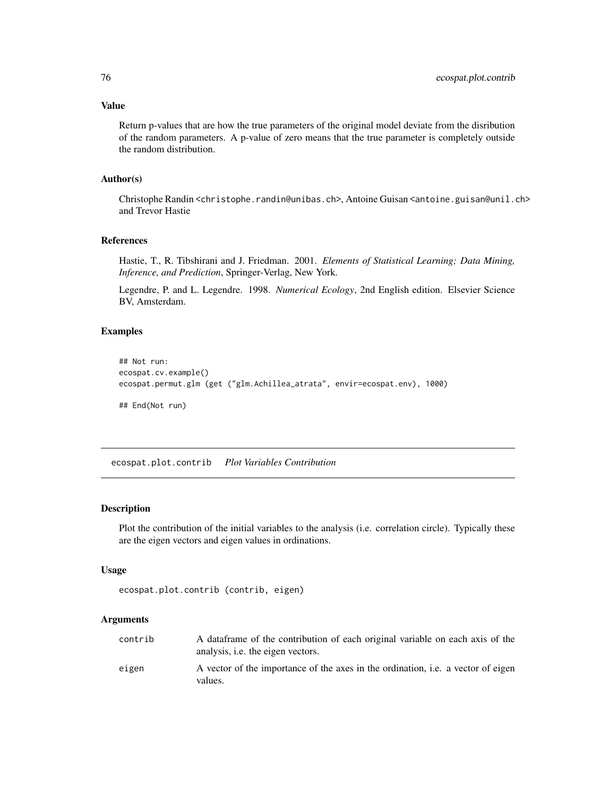# <span id="page-75-0"></span>Value

Return p-values that are how the true parameters of the original model deviate from the disribution of the random parameters. A p-value of zero means that the true parameter is completely outside the random distribution.

#### Author(s)

Christophe Randin <christophe.randin@unibas.ch>, Antoine Guisan <antoine.guisan@unil.ch> and Trevor Hastie

#### References

Hastie, T., R. Tibshirani and J. Friedman. 2001. *Elements of Statistical Learning; Data Mining, Inference, and Prediction*, Springer-Verlag, New York.

Legendre, P. and L. Legendre. 1998. *Numerical Ecology*, 2nd English edition. Elsevier Science BV, Amsterdam.

# Examples

```
## Not run:
ecospat.cv.example()
ecospat.permut.glm (get ("glm.Achillea_atrata", envir=ecospat.env), 1000)
## End(Not run)
```
ecospat.plot.contrib *Plot Variables Contribution*

#### Description

Plot the contribution of the initial variables to the analysis (i.e. correlation circle). Typically these are the eigen vectors and eigen values in ordinations.

#### Usage

```
ecospat.plot.contrib (contrib, eigen)
```
# Arguments

| contrib | A dataframe of the contribution of each original variable on each axis of the<br>analysis, <i>i.e.</i> the eigen vectors. |
|---------|---------------------------------------------------------------------------------------------------------------------------|
| eigen   | A vector of the importance of the axes in the ordination, i.e. a vector of eigen<br>values.                               |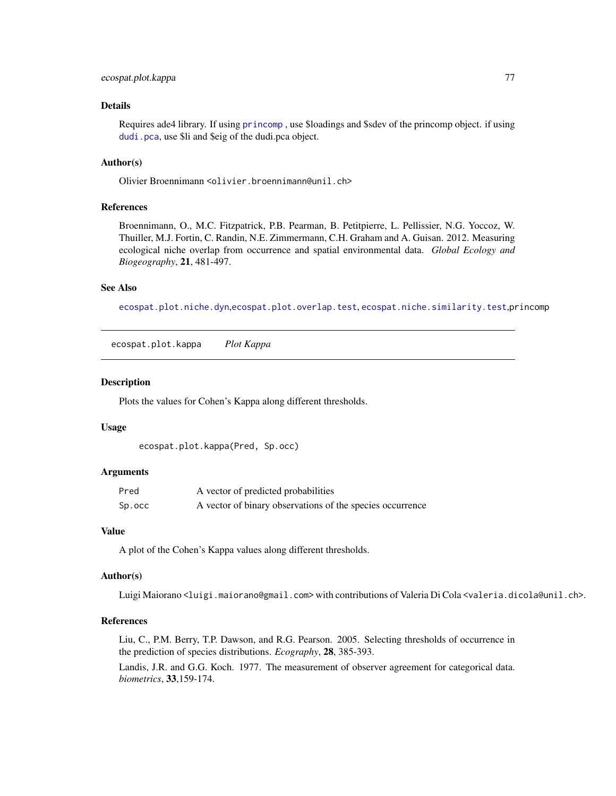# <span id="page-76-1"></span>ecospat.plot.kappa 77

# Details

Requires ade4 library. If using [princomp](#page-0-0) , use \$loadings and \$sdev of the princomp object. if using [dudi.pca](#page-0-0), use \$li and \$eig of the dudi.pca object.

# Author(s)

Olivier Broennimann <olivier.broennimann@unil.ch>

#### References

Broennimann, O., M.C. Fitzpatrick, P.B. Pearman, B. Petitpierre, L. Pellissier, N.G. Yoccoz, W. Thuiller, M.J. Fortin, C. Randin, N.E. Zimmermann, C.H. Graham and A. Guisan. 2012. Measuring ecological niche overlap from occurrence and spatial environmental data. *Global Ecology and Biogeography*, 21, 481-497.

# See Also

[ecospat.plot.niche.dyn](#page-79-0),[ecospat.plot.overlap.test](#page-80-0), [ecospat.niche.similarity.test](#page-67-0),princomp

<span id="page-76-0"></span>ecospat.plot.kappa *Plot Kappa*

# **Description**

Plots the values for Cohen's Kappa along different thresholds.

#### Usage

ecospat.plot.kappa(Pred, Sp.occ)

# Arguments

| Pred   | A vector of predicted probabilities                       |
|--------|-----------------------------------------------------------|
| Sp.occ | A vector of binary observations of the species occurrence |

#### Value

A plot of the Cohen's Kappa values along different thresholds.

#### Author(s)

Luigi Maiorano <luigi.maiorano@gmail.com> with contributions of Valeria Di Cola <valeria.dicola@unil.ch>.

#### References

Liu, C., P.M. Berry, T.P. Dawson, and R.G. Pearson. 2005. Selecting thresholds of occurrence in the prediction of species distributions. *Ecography*, 28, 385-393.

Landis, J.R. and G.G. Koch. 1977. The measurement of observer agreement for categorical data. *biometrics*, 33,159-174.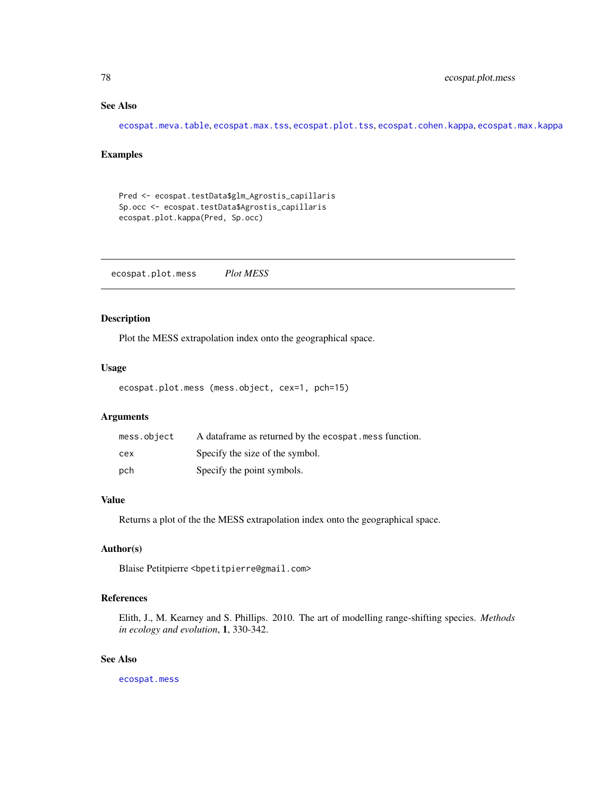# <span id="page-77-0"></span>See Also

[ecospat.meva.table](#page-59-0), [ecospat.max.tss](#page-54-0), [ecospat.plot.tss](#page-80-1), [ecospat.cohen.kappa](#page-21-0), [ecospat.max.kappa](#page-53-0)

# Examples

```
Pred <- ecospat.testData$glm_Agrostis_capillaris
Sp.occ <- ecospat.testData$Agrostis_capillaris
ecospat.plot.kappa(Pred, Sp.occ)
```
ecospat.plot.mess *Plot MESS*

# Description

Plot the MESS extrapolation index onto the geographical space.

# Usage

```
ecospat.plot.mess (mess.object, cex=1, pch=15)
```
# Arguments

| mess.object | A data frame as returned by the ecospat. mess function. |
|-------------|---------------------------------------------------------|
| cex         | Specify the size of the symbol.                         |
| pch         | Specify the point symbols.                              |

# Value

Returns a plot of the the MESS extrapolation index onto the geographical space.

# Author(s)

Blaise Petitpierre <bpetitpierre@gmail.com>

# References

Elith, J., M. Kearney and S. Phillips. 2010. The art of modelling range-shifting species. *Methods in ecology and evolution*, 1, 330-342.

# See Also

[ecospat.mess](#page-58-0)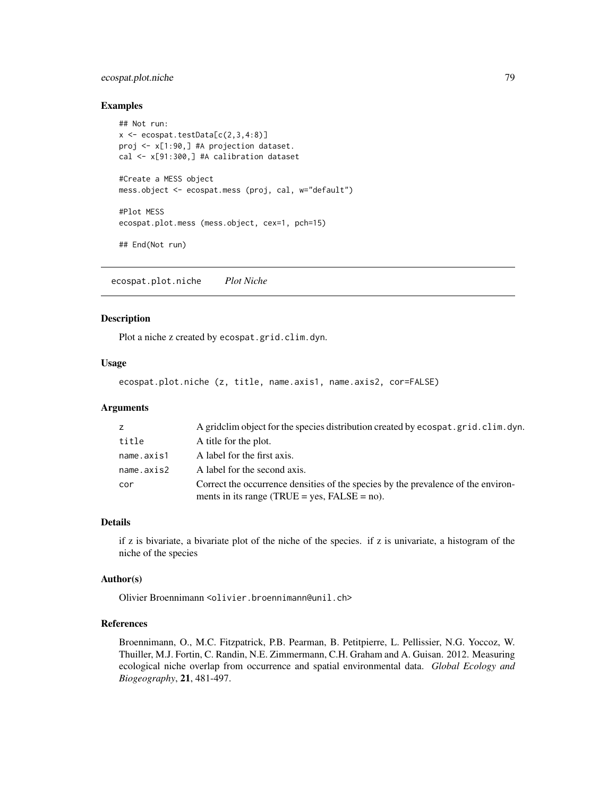# <span id="page-78-0"></span>ecospat.plot.niche 79

#### Examples

```
## Not run:
x \leftarrow e \cos p \cdot t \cdot \text{testData}[c(2,3,4:8)]proj <- x[1:90,] #A projection dataset.
cal <- x[91:300,] #A calibration dataset
#Create a MESS object
mess.object <- ecospat.mess (proj, cal, w="default")
#Plot MESS
ecospat.plot.mess (mess.object, cex=1, pch=15)
## End(Not run)
```
ecospat.plot.niche *Plot Niche*

# Description

Plot a niche z created by ecospat.grid.clim.dyn.

# Usage

ecospat.plot.niche (z, title, name.axis1, name.axis2, cor=FALSE)

#### Arguments

| z          | A gridclim object for the species distribution created by ecospat.grid.clim.dyn.                                                     |
|------------|--------------------------------------------------------------------------------------------------------------------------------------|
| title      | A title for the plot.                                                                                                                |
| name.axis1 | A label for the first axis.                                                                                                          |
| name.axis2 | A label for the second axis.                                                                                                         |
| cor        | Correct the occurrence densities of the species by the prevalence of the environ-<br>ments in its range (TRUE = yes, $FALSE = no$ ). |

#### Details

if z is bivariate, a bivariate plot of the niche of the species. if z is univariate, a histogram of the niche of the species

#### Author(s)

Olivier Broennimann <olivier.broennimann@unil.ch>

# References

Broennimann, O., M.C. Fitzpatrick, P.B. Pearman, B. Petitpierre, L. Pellissier, N.G. Yoccoz, W. Thuiller, M.J. Fortin, C. Randin, N.E. Zimmermann, C.H. Graham and A. Guisan. 2012. Measuring ecological niche overlap from occurrence and spatial environmental data. *Global Ecology and Biogeography*, 21, 481-497.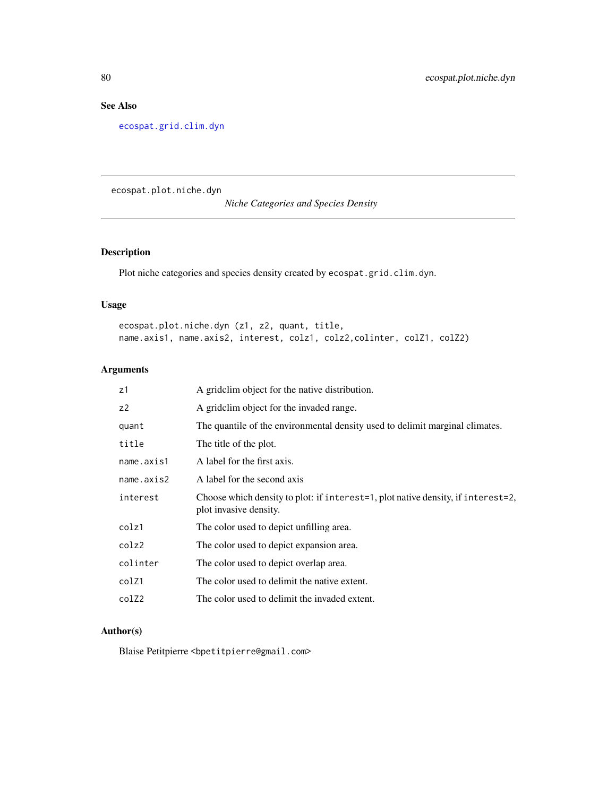# <span id="page-79-1"></span>See Also

[ecospat.grid.clim.dyn](#page-47-0)

<span id="page-79-0"></span>ecospat.plot.niche.dyn

*Niche Categories and Species Density*

# Description

Plot niche categories and species density created by ecospat.grid.clim.dyn.

# Usage

ecospat.plot.niche.dyn (z1, z2, quant, title, name.axis1, name.axis2, interest, colz1, colz2,colinter, colZ1, colZ2)

# Arguments

| z1         | A grid clim object for the native distribution.                                                            |
|------------|------------------------------------------------------------------------------------------------------------|
| z2         | A gridclim object for the invaded range.                                                                   |
| quant      | The quantile of the environmental density used to delimit marginal climates.                               |
| title      | The title of the plot.                                                                                     |
| name.axis1 | A label for the first axis.                                                                                |
| name.axis2 | A label for the second axis                                                                                |
| interest   | Choose which density to plot: if interest=1, plot native density, if interest=2,<br>plot invasive density. |
| colz1      | The color used to depict unfilling area.                                                                   |
| colz2      | The color used to depict expansion area.                                                                   |
| colinter   | The color used to depict overlap area.                                                                     |
| colZ1      | The color used to delimit the native extent.                                                               |
| colZ2      | The color used to delimit the invaded extent.                                                              |

# Author(s)

Blaise Petitpierre <br/>bpetitpierre@gmail.com>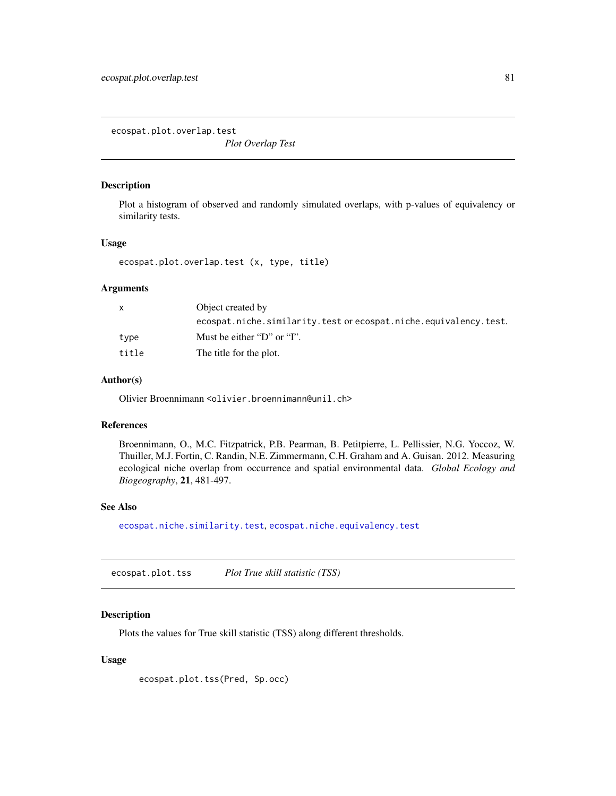<span id="page-80-2"></span><span id="page-80-0"></span>ecospat.plot.overlap.test

*Plot Overlap Test*

#### Description

Plot a histogram of observed and randomly simulated overlaps, with p-values of equivalency or similarity tests.

# Usage

ecospat.plot.overlap.test (x, type, title)

# **Arguments**

|       | Object created by                                                |  |
|-------|------------------------------------------------------------------|--|
|       | ecospat.niche.similarity.test or ecospat.niche.equivalency.test. |  |
| type  | Must be either "D" or "I".                                       |  |
| title | The title for the plot.                                          |  |

# Author(s)

Olivier Broennimann <olivier.broennimann@unil.ch>

# References

Broennimann, O., M.C. Fitzpatrick, P.B. Pearman, B. Petitpierre, L. Pellissier, N.G. Yoccoz, W. Thuiller, M.J. Fortin, C. Randin, N.E. Zimmermann, C.H. Graham and A. Guisan. 2012. Measuring ecological niche overlap from occurrence and spatial environmental data. *Global Ecology and Biogeography*, 21, 481-497.

#### See Also

[ecospat.niche.similarity.test](#page-67-0), [ecospat.niche.equivalency.test](#page-65-0)

<span id="page-80-1"></span>ecospat.plot.tss *Plot True skill statistic (TSS)*

#### Description

Plots the values for True skill statistic (TSS) along different thresholds.

#### Usage

ecospat.plot.tss(Pred, Sp.occ)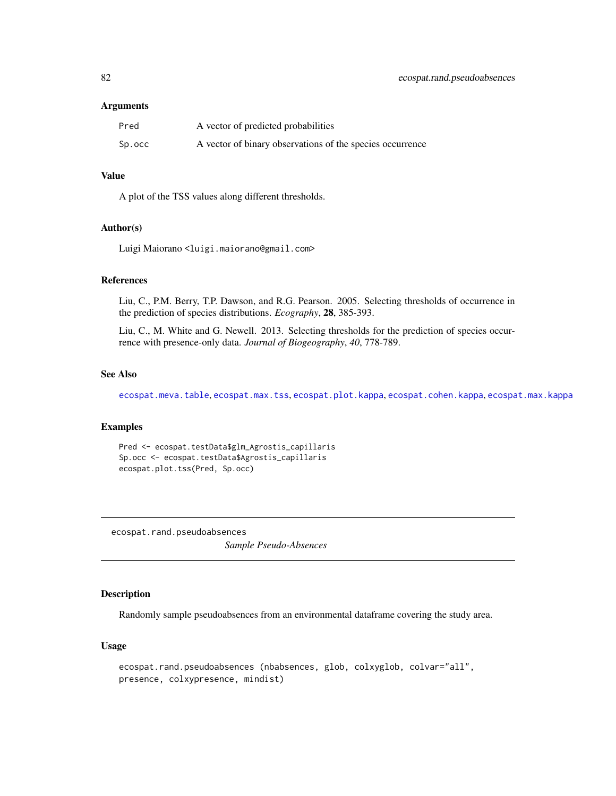#### <span id="page-81-0"></span>**Arguments**

| Pred   | A vector of predicted probabilities                       |
|--------|-----------------------------------------------------------|
| Sp.occ | A vector of binary observations of the species occurrence |

# Value

A plot of the TSS values along different thresholds.

#### Author(s)

Luigi Maiorano <luigi.maiorano@gmail.com>

# References

Liu, C., P.M. Berry, T.P. Dawson, and R.G. Pearson. 2005. Selecting thresholds of occurrence in the prediction of species distributions. *Ecography*, 28, 385-393.

Liu, C., M. White and G. Newell. 2013. Selecting thresholds for the prediction of species occurrence with presence-only data. *Journal of Biogeography*, *40*, 778-789.

#### See Also

[ecospat.meva.table](#page-59-0), [ecospat.max.tss](#page-54-0), [ecospat.plot.kappa](#page-76-0), [ecospat.cohen.kappa](#page-21-0), [ecospat.max.kappa](#page-53-0)

# Examples

```
Pred <- ecospat.testData$glm_Agrostis_capillaris
Sp.occ <- ecospat.testData$Agrostis_capillaris
ecospat.plot.tss(Pred, Sp.occ)
```
ecospat.rand.pseudoabsences *Sample Pseudo-Absences*

### Description

Randomly sample pseudoabsences from an environmental dataframe covering the study area.

# Usage

```
ecospat.rand.pseudoabsences (nbabsences, glob, colxyglob, colvar="all",
presence, colxypresence, mindist)
```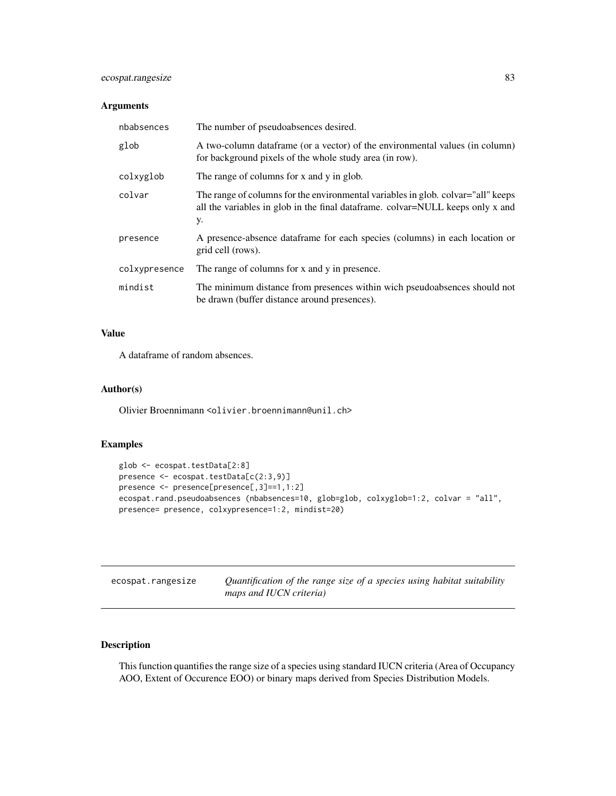# <span id="page-82-1"></span>ecospat.rangesize 83

# Arguments

| nbabsences    | The number of pseudoabsences desired.                                                                                                                                     |
|---------------|---------------------------------------------------------------------------------------------------------------------------------------------------------------------------|
| glob          | A two-column data frame (or a vector) of the environmental values (in column)<br>for background pixels of the whole study area (in row).                                  |
| colxyglob     | The range of columns for x and y in glob.                                                                                                                                 |
| colvar        | The range of columns for the environmental variables in glob. colvar="all" keeps<br>all the variables in glob in the final data frame. colvar=NULL keeps only x and<br>у. |
| presence      | A presence-absence dataframe for each species (columns) in each location or<br>grid cell (rows).                                                                          |
| colxypresence | The range of columns for x and y in presence.                                                                                                                             |
| mindist       | The minimum distance from presences within wich pseudoabsences should not<br>be drawn (buffer distance around presences).                                                 |

# Value

A dataframe of random absences.

# Author(s)

Olivier Broennimann <olivier.broennimann@unil.ch>

#### Examples

```
glob <- ecospat.testData[2:8]
presence <- ecospat.testData[c(2:3,9)]
presence <- presence[presence[,3]==1,1:2]
ecospat.rand.pseudoabsences (nbabsences=10, glob=glob, colxyglob=1:2, colvar = "all",
presence= presence, colxypresence=1:2, mindist=20)
```
<span id="page-82-0"></span>

| ecospat.rangesize | Quantification of the range size of a species using habitat suitability |
|-------------------|-------------------------------------------------------------------------|
|                   | maps and IUCN criteria)                                                 |

# Description

This function quantifies the range size of a species using standard IUCN criteria (Area of Occupancy AOO, Extent of Occurence EOO) or binary maps derived from Species Distribution Models.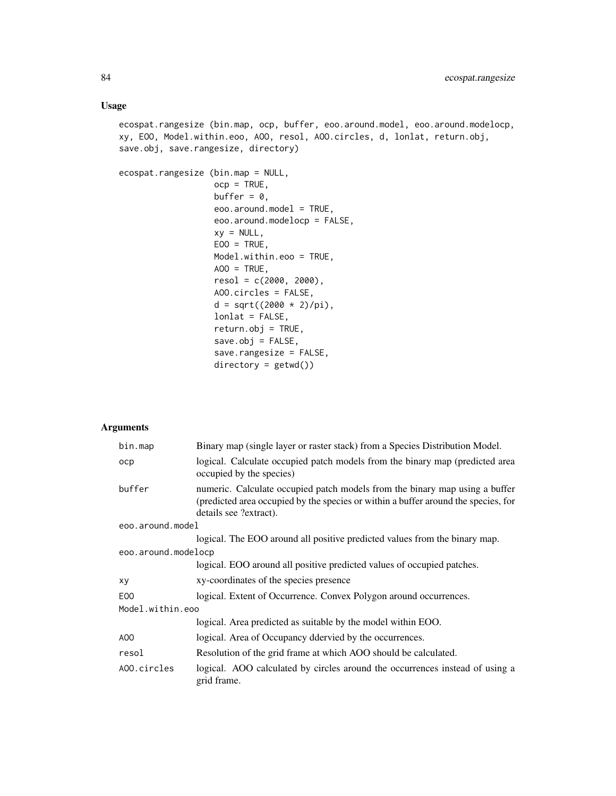# Usage

ecospat.rangesize (bin.map, ocp, buffer, eoo.around.model, eoo.around.modelocp, xy, EOO, Model.within.eoo, AOO, resol, AOO.circles, d, lonlat, return.obj, save.obj, save.rangesize, directory)

```
ecospat.rangesize (bin.map = NULL,
                   ocp = TRUE,buffer = 0,
                   eoo.around.model = TRUE,
                   eoo.around.modelocp = FALSE,
                   xy = NULL,EOO = TRUE,Model.within.eoo = TRUE,
                   AOO = TRUE,resol = c(2000, 2000),
                   AOO.circles = FALSE,
                   d = sqrt((2000 * 2)/pi),lonlat = FALSE,
                   return. obj = TRUE,save.obj = FALSE,save.rangesize = FALSE,
                   directory = getwd())
```
# Arguments

| bin.map             | Binary map (single layer or raster stack) from a Species Distribution Model.                                                                                                                |  |
|---------------------|---------------------------------------------------------------------------------------------------------------------------------------------------------------------------------------------|--|
| ocp                 | logical. Calculate occupied patch models from the binary map (predicted area<br>occupied by the species)                                                                                    |  |
| buffer              | numeric. Calculate occupied patch models from the binary map using a buffer<br>(predicted area occupied by the species or within a buffer around the species, for<br>details see ?extract). |  |
| eoo.around.model    |                                                                                                                                                                                             |  |
|                     | logical. The EOO around all positive predicted values from the binary map.                                                                                                                  |  |
| eoo.around.modelocp |                                                                                                                                                                                             |  |
|                     | logical. EOO around all positive predicted values of occupied patches.                                                                                                                      |  |
| xy                  | xy-coordinates of the species presence                                                                                                                                                      |  |
| E <sub>00</sub>     | logical. Extent of Occurrence. Convex Polygon around occurrences.                                                                                                                           |  |
| Model.within.eoo    |                                                                                                                                                                                             |  |
|                     | logical. Area predicted as suitable by the model within EOO.                                                                                                                                |  |
| AOO                 | logical. Area of Occupancy ddervied by the occurrences.                                                                                                                                     |  |
| resol               | Resolution of the grid frame at which AOO should be calculated.                                                                                                                             |  |
| AOO.circles         | logical. AOO calculated by circles around the occurrences instead of using a<br>grid frame.                                                                                                 |  |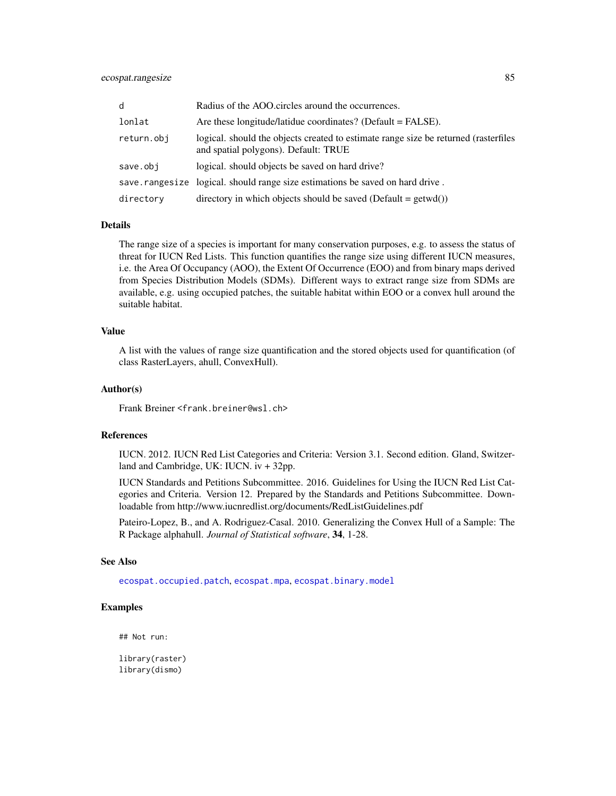<span id="page-84-0"></span>

| d          | Radius of the AOO.circles around the occurrences.                                                                           |
|------------|-----------------------------------------------------------------------------------------------------------------------------|
| lonlat     | Are these longitude/latidue coordinates? (Default $=$ FALSE).                                                               |
| return.obj | logical, should the objects created to estimate range size be returned (rasterfiles<br>and spatial polygons). Default: TRUE |
| save.obj   | logical, should objects be saved on hard drive?                                                                             |
|            | save.rangesize logical. should range size estimations be saved on hard drive.                                               |
| directory  | directory in which objects should be saved (Default = $getwd()$ )                                                           |

#### Details

The range size of a species is important for many conservation purposes, e.g. to assess the status of threat for IUCN Red Lists. This function quantifies the range size using different IUCN measures, i.e. the Area Of Occupancy (AOO), the Extent Of Occurrence (EOO) and from binary maps derived from Species Distribution Models (SDMs). Different ways to extract range size from SDMs are available, e.g. using occupied patches, the suitable habitat within EOO or a convex hull around the suitable habitat.

#### Value

A list with the values of range size quantification and the stored objects used for quantification (of class RasterLayers, ahull, ConvexHull).

#### Author(s)

Frank Breiner <frank.breiner@wsl.ch>

#### References

IUCN. 2012. IUCN Red List Categories and Criteria: Version 3.1. Second edition. Gland, Switzerland and Cambridge, UK: IUCN. iv + 32pp.

IUCN Standards and Petitions Subcommittee. 2016. Guidelines for Using the IUCN Red List Categories and Criteria. Version 12. Prepared by the Standards and Petitions Subcommittee. Downloadable from http://www.iucnredlist.org/documents/RedListGuidelines.pdf

Pateiro-Lopez, B., and A. Rodriguez-Casal. 2010. Generalizing the Convex Hull of a Sample: The R Package alphahull. *Journal of Statistical software*, 34, 1-28.

# See Also

[ecospat.occupied.patch](#page-72-0), [ecospat.mpa](#page-61-0), [ecospat.binary.model](#page-5-0)

#### Examples

## Not run:

library(raster) library(dismo)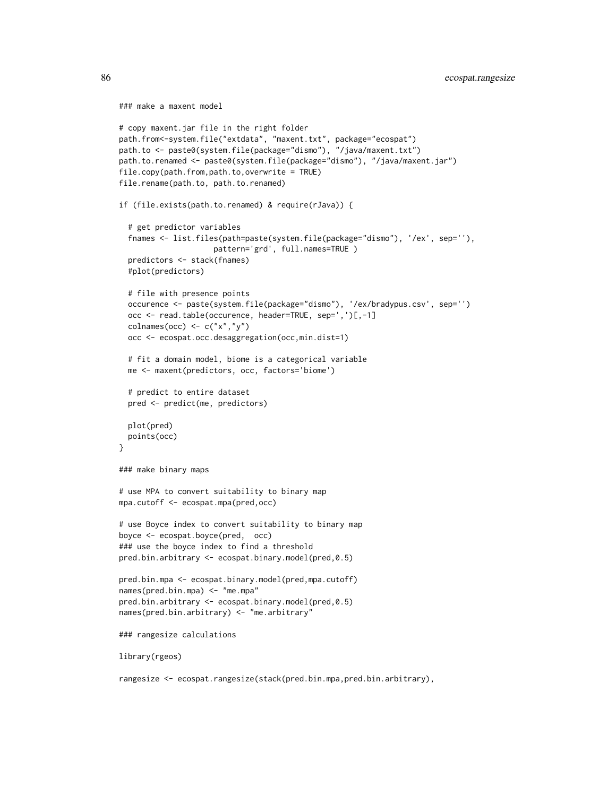```
### make a maxent model
# copy maxent.jar file in the right folder
path.from<-system.file("extdata", "maxent.txt", package="ecospat")
path.to <- paste0(system.file(package="dismo"), "/java/maxent.txt")
path.to.renamed <- paste0(system.file(package="dismo"), "/java/maxent.jar")
file.copy(path.from,path.to,overwrite = TRUE)
file.rename(path.to, path.to.renamed)
if (file.exists(path.to.renamed) & require(rJava)) {
 # get predictor variables
 fnames <- list.files(path=paste(system.file(package="dismo"), '/ex', sep=''),
                     pattern='grd', full.names=TRUE )
 predictors <- stack(fnames)
 #plot(predictors)
 # file with presence points
 occurence <- paste(system.file(package="dismo"), '/ex/bradypus.csv', sep='')
 occ <- read.table(occurence, header=TRUE, sep=',')[,-1]
 colnames(occ) \leq c("x","y")
 occ <- ecospat.occ.desaggregation(occ,min.dist=1)
 # fit a domain model, biome is a categorical variable
 me <- maxent(predictors, occ, factors='biome')
 # predict to entire dataset
 pred <- predict(me, predictors)
 plot(pred)
 points(occ)
}
### make binary maps
# use MPA to convert suitability to binary map
mpa.cutoff <- ecospat.mpa(pred,occ)
# use Boyce index to convert suitability to binary map
boyce <- ecospat.boyce(pred, occ)
### use the boyce index to find a threshold
pred.bin.arbitrary <- ecospat.binary.model(pred,0.5)
pred.bin.mpa <- ecospat.binary.model(pred,mpa.cutoff)
names(pred.bin.mpa) <- "me.mpa"
pred.bin.arbitrary <- ecospat.binary.model(pred,0.5)
names(pred.bin.arbitrary) <- "me.arbitrary"
### rangesize calculations
library(rgeos)
```
rangesize <- ecospat.rangesize(stack(pred.bin.mpa,pred.bin.arbitrary),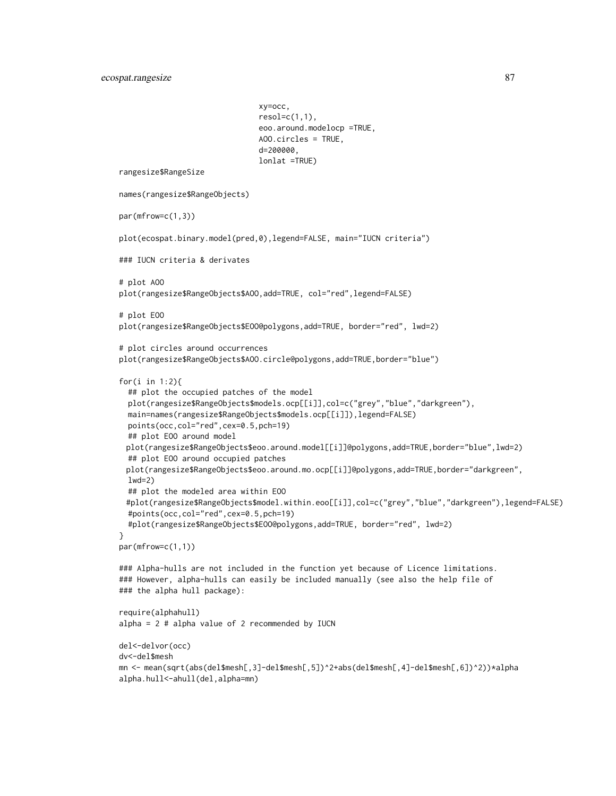```
xy=occ,
                               resol=c(1,1),eoo.around.modelocp =TRUE,
                               AOO.circles = TRUE,
                               d=200000,
                               lonlat =TRUE)
rangesize$RangeSize
names(rangesize$RangeObjects)
par(mfrow=c(1,3))
plot(ecospat.binary.model(pred,0),legend=FALSE, main="IUCN criteria")
### IUCN criteria & derivates
# plot AOO
plot(rangesize$RangeObjects$AOO,add=TRUE, col="red",legend=FALSE)
# plot EOO
plot(rangesize$RangeObjects$EOO@polygons,add=TRUE, border="red", lwd=2)
# plot circles around occurrences
plot(rangesize$RangeObjects$AOO.circle@polygons,add=TRUE,border="blue")
for(i in 1:2){
 ## plot the occupied patches of the model
 plot(rangesize$RangeObjects$models.ocp[[i]],col=c("grey","blue","darkgreen"),
 main=names(rangesize$RangeObjects$models.ocp[[i]]),legend=FALSE)
 points(occ,col="red",cex=0.5,pch=19)
 ## plot EOO around model
 plot(rangesize$RangeObjects$eoo.around.model[[i]]@polygons,add=TRUE,border="blue",lwd=2)
 ## plot EOO around occupied patches
 plot(rangesize$RangeObjects$eoo.around.mo.ocp[[i]]@polygons,add=TRUE,border="darkgreen",
 lwd=2)
 ## plot the modeled area within EOO
 #plot(rangesize$RangeObjects$model.within.eoo[[i]],col=c("grey","blue","darkgreen"),legend=FALSE)
 #points(occ,col="red",cex=0.5,pch=19)
  #plot(rangesize$RangeObjects$EOO@polygons,add=TRUE, border="red", lwd=2)
}
par(mfrow=c(1,1))
### Alpha-hulls are not included in the function yet because of Licence limitations.
### However, alpha-hulls can easily be included manually (see also the help file of
### the alpha hull package):
require(alphahull)
alpha = 2 # alpha value of 2 recommended by IUCN
del<-delvor(occ)
dv<-del$mesh
mn <- mean(sqrt(abs(del$mesh[,3]-del$mesh[,5])^2+abs(del$mesh[,4]-del$mesh[,6])^2))*alpha
alpha.hull<-ahull(del,alpha=mn)
```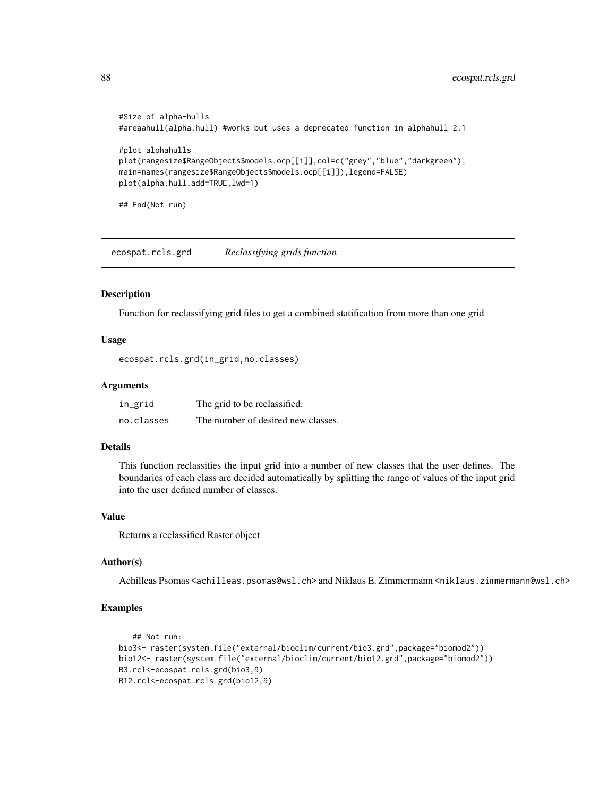```
#Size of alpha-hulls
#areaahull(alpha.hull) #works but uses a deprecated function in alphahull 2.1
#plot alphahulls
plot(rangesize$RangeObjects$models.ocp[[i]],col=c("grey","blue","darkgreen"),
main=names(rangesize$RangeObjects$models.ocp[[i]]),legend=FALSE)
plot(alpha.hull,add=TRUE,lwd=1)
```
## End(Not run)

<span id="page-87-0"></span>ecospat.rcls.grd *Reclassifying grids function*

#### Description

Function for reclassifying grid files to get a combined statification from more than one grid

# Usage

```
ecospat.rcls.grd(in_grid,no.classes)
```
#### Arguments

| in_grid    | The grid to be reclassified.       |
|------------|------------------------------------|
| no.classes | The number of desired new classes. |

# Details

This function reclassifies the input grid into a number of new classes that the user defines. The boundaries of each class are decided automatically by splitting the range of values of the input grid into the user defined number of classes.

#### Value

Returns a reclassified Raster object

#### Author(s)

Achilleas Psomas <achilleas.psomas@wsl.ch> and Niklaus E. Zimmermann <niklaus.zimmermann@wsl.ch>

#### Examples

```
## Not run:
bio3<- raster(system.file("external/bioclim/current/bio3.grd",package="biomod2"))
bio12<- raster(system.file("external/bioclim/current/bio12.grd",package="biomod2"))
B3.rcl<-ecospat.rcls.grd(bio3,9)
B12.rcl<-ecospat.rcls.grd(bio12,9)
```
<span id="page-87-1"></span>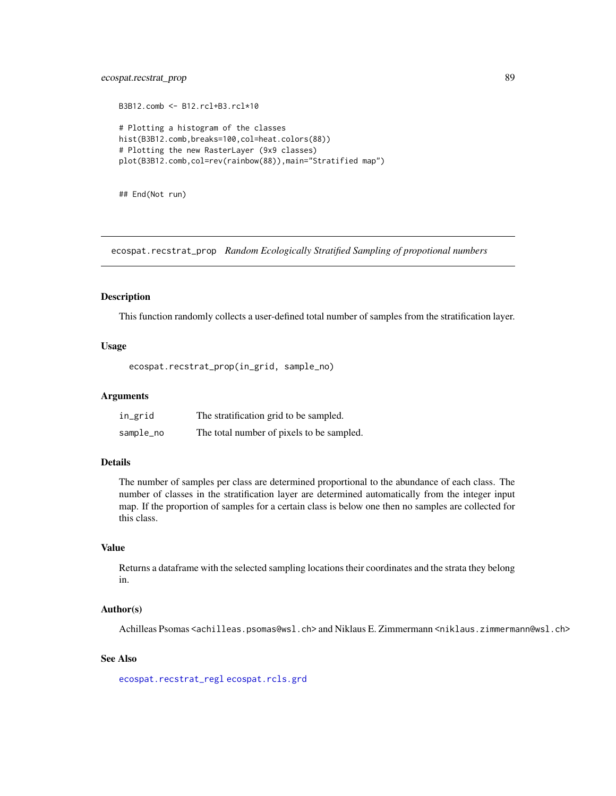# <span id="page-88-1"></span>ecospat.recstrat\_prop 89

```
B3B12.comb <- B12.rcl+B3.rcl*10
# Plotting a histogram of the classes
hist(B3B12.comb,breaks=100,col=heat.colors(88))
# Plotting the new RasterLayer (9x9 classes)
plot(B3B12.comb,col=rev(rainbow(88)),main="Stratified map")
```
## End(Not run)

<span id="page-88-0"></span>ecospat.recstrat\_prop *Random Ecologically Stratified Sampling of propotional numbers*

#### Description

This function randomly collects a user-defined total number of samples from the stratification layer.

# Usage

ecospat.recstrat\_prop(in\_grid, sample\_no)

#### Arguments

| in_grid   | The stratification grid to be sampled.    |
|-----------|-------------------------------------------|
| sample_no | The total number of pixels to be sampled. |

#### Details

The number of samples per class are determined proportional to the abundance of each class. The number of classes in the stratification layer are determined automatically from the integer input map. If the proportion of samples for a certain class is below one then no samples are collected for this class.

# Value

Returns a dataframe with the selected sampling locations their coordinates and the strata they belong in.

#### Author(s)

Achilleas Psomas <achilleas.psomas@wsl.ch> and Niklaus E. Zimmermann <niklaus.zimmermann@wsl.ch>

# See Also

[ecospat.recstrat\\_regl](#page-89-0) [ecospat.rcls.grd](#page-87-0)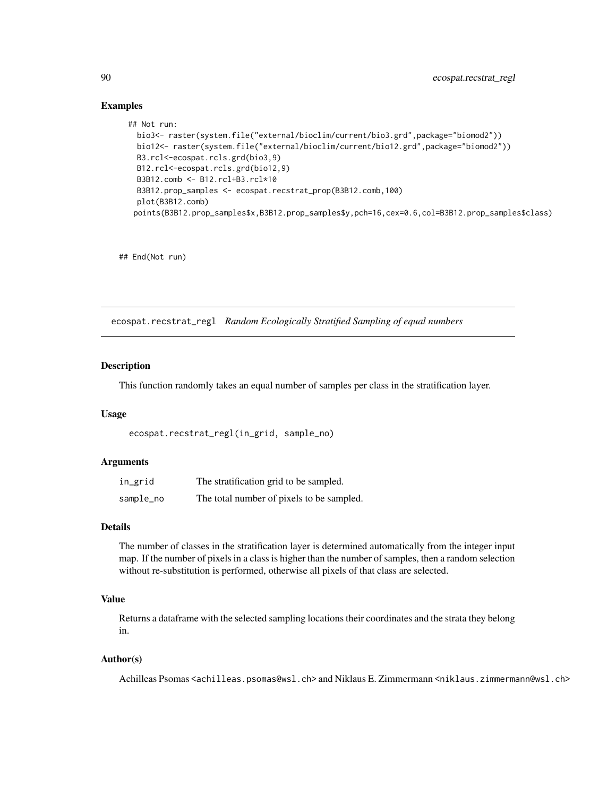# Examples

```
## Not run:
 bio3<- raster(system.file("external/bioclim/current/bio3.grd",package="biomod2"))
 bio12<- raster(system.file("external/bioclim/current/bio12.grd",package="biomod2"))
 B3.rcl<-ecospat.rcls.grd(bio3,9)
 B12.rcl<-ecospat.rcls.grd(bio12,9)
 B3B12.comb <- B12.rcl+B3.rcl*10
 B3B12.prop_samples <- ecospat.recstrat_prop(B3B12.comb,100)
 plot(B3B12.comb)
 points(B3B12.prop_samples$x,B3B12.prop_samples$y,pch=16,cex=0.6,col=B3B12.prop_samples$class)
```
## End(Not run)

<span id="page-89-0"></span>ecospat.recstrat\_regl *Random Ecologically Stratified Sampling of equal numbers*

#### Description

This function randomly takes an equal number of samples per class in the stratification layer.

# Usage

```
ecospat.recstrat_regl(in_grid, sample_no)
```
#### Arguments

| in_grid   | The stratification grid to be sampled.    |
|-----------|-------------------------------------------|
| sample_no | The total number of pixels to be sampled. |

# Details

The number of classes in the stratification layer is determined automatically from the integer input map. If the number of pixels in a class is higher than the number of samples, then a random selection without re-substitution is performed, otherwise all pixels of that class are selected.

# Value

Returns a dataframe with the selected sampling locations their coordinates and the strata they belong in.

#### Author(s)

Achilleas Psomas <achilleas.psomas@wsl.ch> and Niklaus E. Zimmermann <niklaus.zimmermann@wsl.ch>

<span id="page-89-1"></span>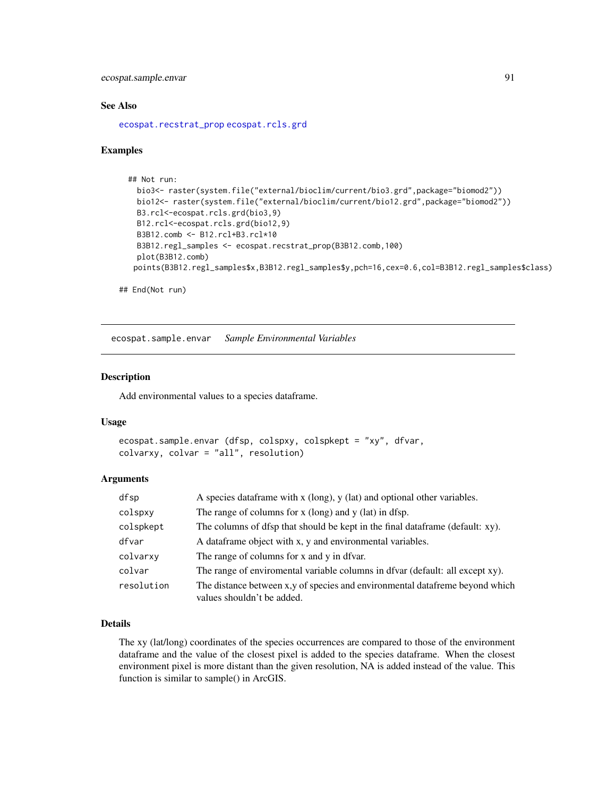<span id="page-90-0"></span>ecospat.sample.envar 91

#### See Also

[ecospat.recstrat\\_prop](#page-88-0) [ecospat.rcls.grd](#page-87-0)

#### Examples

```
## Not run:
 bio3<- raster(system.file("external/bioclim/current/bio3.grd",package="biomod2"))
 bio12<- raster(system.file("external/bioclim/current/bio12.grd",package="biomod2"))
 B3.rcl<-ecospat.rcls.grd(bio3,9)
 B12.rcl<-ecospat.rcls.grd(bio12,9)
 B3B12.comb <- B12.rcl+B3.rcl*10
 B3B12.regl_samples <- ecospat.recstrat_prop(B3B12.comb,100)
 plot(B3B12.comb)
 points(B3B12.regl_samples$x,B3B12.regl_samples$y,pch=16,cex=0.6,col=B3B12.regl_samples$class)
```
## End(Not run)

ecospat.sample.envar *Sample Environmental Variables*

# Description

Add environmental values to a species dataframe.

#### Usage

```
ecospat.sample.envar (dfsp, colspxy, colspkept = "xy", dfvar,
colvarxy, colvar = "all", resolution)
```
#### **Arguments**

| dfsp       | A species data frame with $x$ (long), $y$ (lat) and optional other variables.                              |
|------------|------------------------------------------------------------------------------------------------------------|
| colspxy    | The range of columns for $x$ (long) and $y$ (lat) in dfsp.                                                 |
| colspkept  | The columns of dfsp that should be kept in the final dataframe (default: xy).                              |
| dfvar      | A data frame object with x, y and environmental variables.                                                 |
| colvarxy   | The range of columns for x and y in dfvar.                                                                 |
| colvar     | The range of enviromental variable columns in dfvar (default: all except xy).                              |
| resolution | The distance between x,y of species and environmental datafreme beyond which<br>values shouldn't be added. |

#### Details

The xy (lat/long) coordinates of the species occurrences are compared to those of the environment dataframe and the value of the closest pixel is added to the species dataframe. When the closest environment pixel is more distant than the given resolution, NA is added instead of the value. This function is similar to sample() in ArcGIS.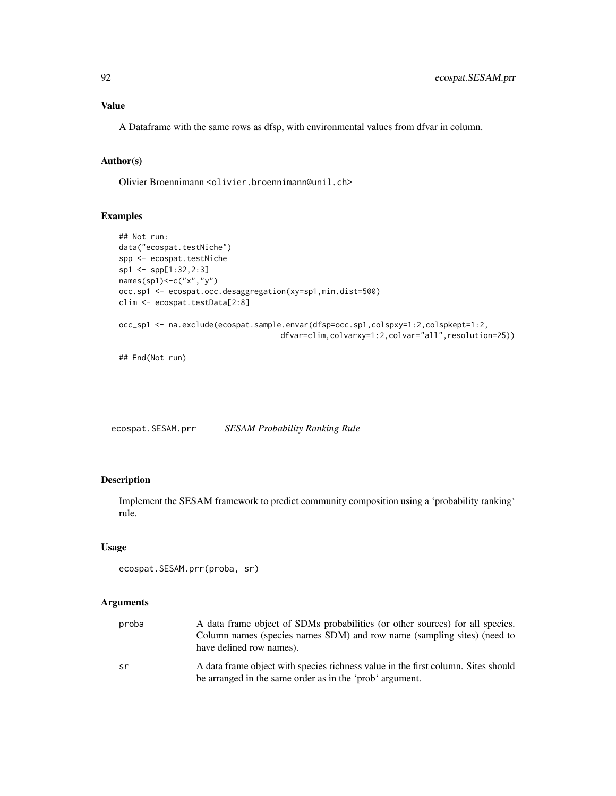# <span id="page-91-0"></span>Value

A Dataframe with the same rows as dfsp, with environmental values from dfvar in column.

# Author(s)

Olivier Broennimann <olivier.broennimann@unil.ch>

# Examples

```
## Not run:
data("ecospat.testNiche")
spp <- ecospat.testNiche
sp1 <- spp[1:32,2:3]
names(sp1)<-c("x","y")
occ.sp1 <- ecospat.occ.desaggregation(xy=sp1,min.dist=500)
clim <- ecospat.testData[2:8]
occ_sp1 <- na.exclude(ecospat.sample.envar(dfsp=occ.sp1,colspxy=1:2,colspkept=1:2,
                                    dfvar=clim,colvarxy=1:2,colvar="all",resolution=25))
## End(Not run)
```
ecospat.SESAM.prr *SESAM Probability Ranking Rule*

# Description

Implement the SESAM framework to predict community composition using a 'probability ranking' rule.

# Usage

```
ecospat.SESAM.prr(proba, sr)
```
# Arguments

| proba | A data frame object of SDMs probabilities (or other sources) for all species.<br>Column names (species names SDM) and row name (sampling sites) (need to<br>have defined row names). |
|-------|--------------------------------------------------------------------------------------------------------------------------------------------------------------------------------------|
| sr    | A data frame object with species richness value in the first column. Sites should<br>be arranged in the same order as in the 'prob' argument.                                        |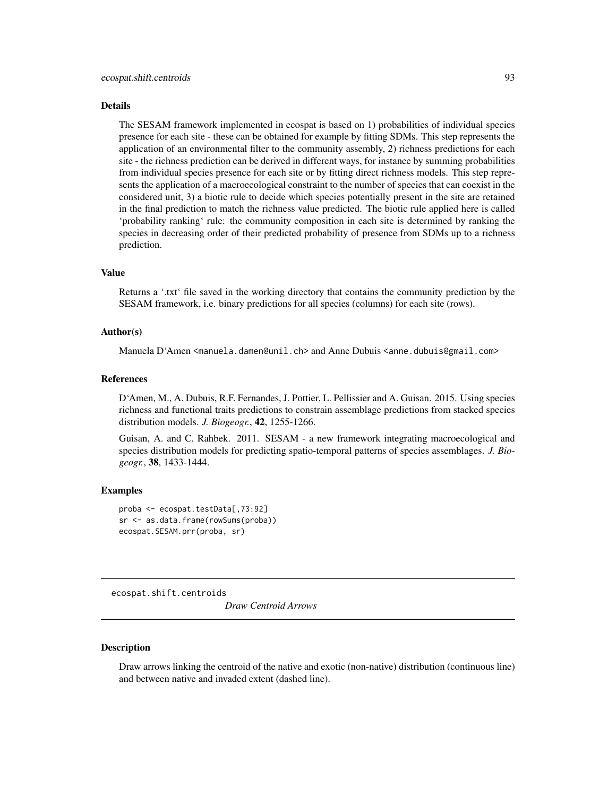#### <span id="page-92-0"></span>Details

The SESAM framework implemented in ecospat is based on 1) probabilities of individual species presence for each site - these can be obtained for example by fitting SDMs. This step represents the application of an environmental filter to the community assembly, 2) richness predictions for each site - the richness prediction can be derived in different ways, for instance by summing probabilities from individual species presence for each site or by fitting direct richness models. This step represents the application of a macroecological constraint to the number of species that can coexist in the considered unit, 3) a biotic rule to decide which species potentially present in the site are retained in the final prediction to match the richness value predicted. The biotic rule applied here is called 'probability ranking' rule: the community composition in each site is determined by ranking the species in decreasing order of their predicted probability of presence from SDMs up to a richness prediction.

#### Value

Returns a '.txt' file saved in the working directory that contains the community prediction by the SESAM framework, i.e. binary predictions for all species (columns) for each site (rows).

#### Author(s)

Manuela D'Amen <manuela.damen@unil.ch> and Anne Dubuis <anne.dubuis@gmail.com>

#### References

D'Amen, M., A. Dubuis, R.F. Fernandes, J. Pottier, L. Pellissier and A. Guisan. 2015. Using species richness and functional traits predictions to constrain assemblage predictions from stacked species distribution models. *J. Biogeogr.*, 42, 1255-1266.

Guisan, A. and C. Rahbek. 2011. SESAM - a new framework integrating macroecological and species distribution models for predicting spatio-temporal patterns of species assemblages. *J. Biogeogr.*, 38, 1433-1444.

#### Examples

```
proba <- ecospat.testData[,73:92]
sr <- as.data.frame(rowSums(proba))
ecospat.SESAM.prr(proba, sr)
```
ecospat.shift.centroids

*Draw Centroid Arrows*

# Description

Draw arrows linking the centroid of the native and exotic (non-native) distribution (continuous line) and between native and invaded extent (dashed line).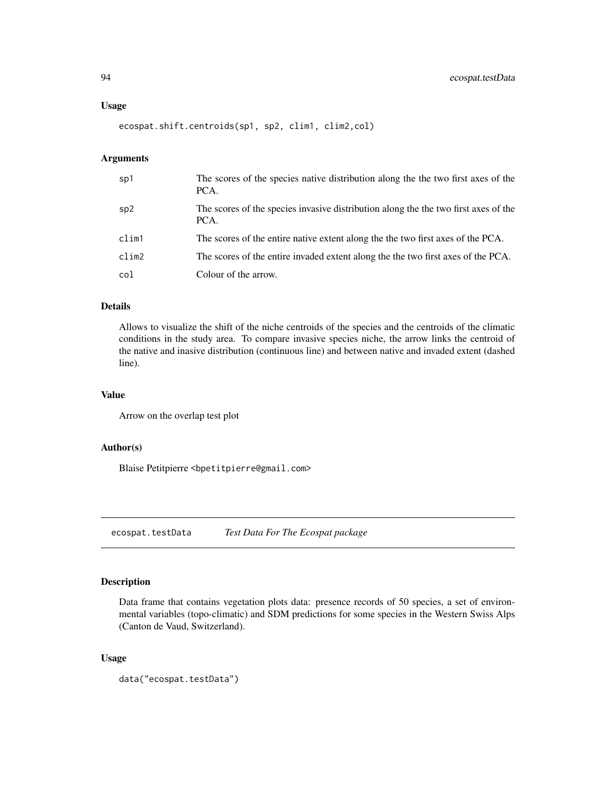<span id="page-93-1"></span>ecospat.shift.centroids(sp1, sp2, clim1, clim2,col)

# Arguments

| sp1   | The scores of the species native distribution along the the two first axes of the<br>PCA.   |
|-------|---------------------------------------------------------------------------------------------|
| sp2   | The scores of the species invasive distribution along the the two first axes of the<br>PCA. |
| clim1 | The scores of the entire native extent along the the two first axes of the PCA.             |
| clim2 | The scores of the entire invaded extent along the the two first axes of the PCA.            |
| col   | Colour of the arrow.                                                                        |

# Details

Allows to visualize the shift of the niche centroids of the species and the centroids of the climatic conditions in the study area. To compare invasive species niche, the arrow links the centroid of the native and inasive distribution (continuous line) and between native and invaded extent (dashed line).

#### Value

Arrow on the overlap test plot

# Author(s)

Blaise Petitpierre <bpetitpierre@gmail.com>

<span id="page-93-0"></span>ecospat.testData *Test Data For The Ecospat package*

# Description

Data frame that contains vegetation plots data: presence records of 50 species, a set of environmental variables (topo-climatic) and SDM predictions for some species in the Western Swiss Alps (Canton de Vaud, Switzerland).

# Usage

data("ecospat.testData")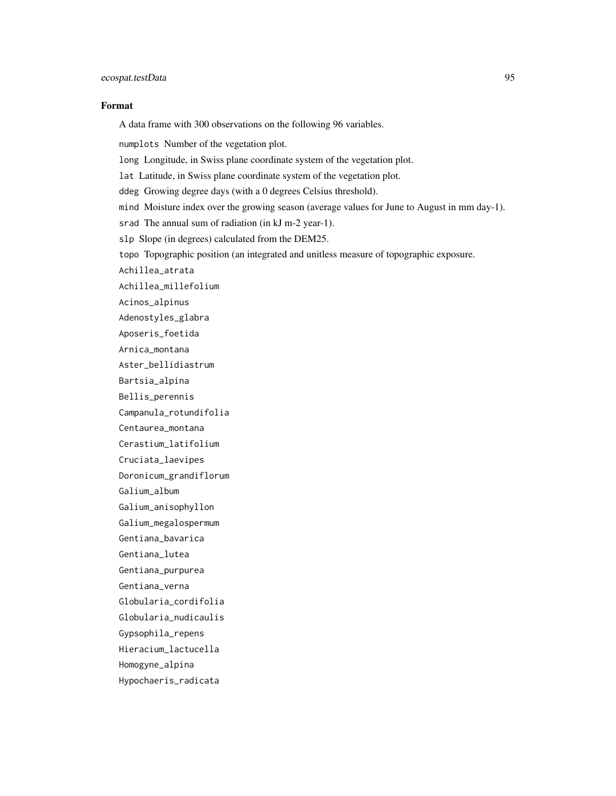# ecospat.testData 95

#### Format

A data frame with 300 observations on the following 96 variables.

numplots Number of the vegetation plot.

long Longitude, in Swiss plane coordinate system of the vegetation plot.

lat Latitude, in Swiss plane coordinate system of the vegetation plot.

ddeg Growing degree days (with a 0 degrees Celsius threshold).

mind Moisture index over the growing season (average values for June to August in mm day-1).

srad The annual sum of radiation (in kJ m-2 year-1).

slp Slope (in degrees) calculated from the DEM25.

topo Topographic position (an integrated and unitless measure of topographic exposure.

Achillea\_atrata

Achillea\_millefolium

Acinos\_alpinus

Adenostyles\_glabra

Aposeris\_foetida

Arnica\_montana

Aster\_bellidiastrum

Bartsia\_alpina

Bellis\_perennis

Campanula\_rotundifolia

Centaurea\_montana

Cerastium\_latifolium

Cruciata\_laevipes

Doronicum\_grandiflorum

Galium\_album

Galium\_anisophyllon

Galium\_megalospermum

Gentiana\_bavarica

Gentiana\_lutea

Gentiana\_purpurea

Gentiana\_verna

Globularia\_cordifolia

Globularia\_nudicaulis

Gypsophila\_repens

Hieracium\_lactucella

Homogyne\_alpina

Hypochaeris\_radicata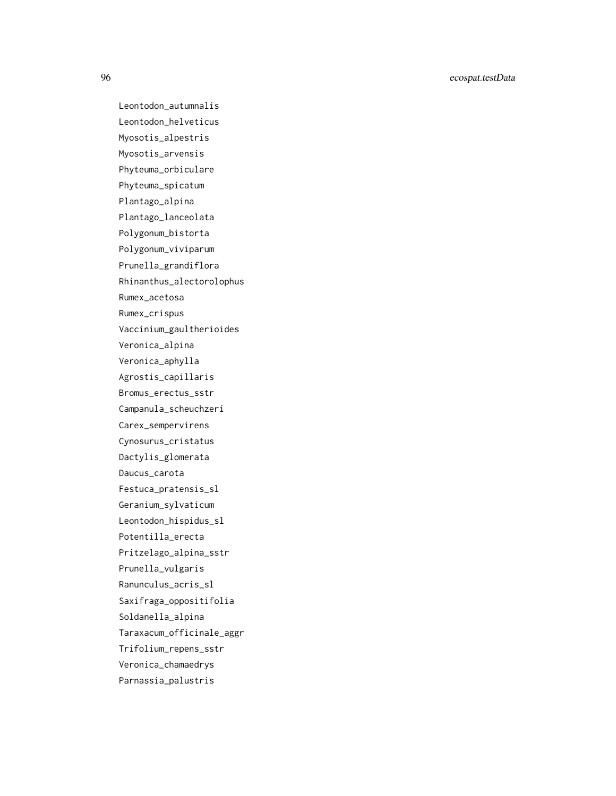96 ecospat.testData

Leontodon\_autumnalis Leontodon\_helveticus Myosotis\_alpestris Myosotis\_arvensis Phyteuma\_orbiculare Phyteuma\_spicatum Plantago\_alpina Plantago\_lanceolata Polygonum\_bistorta Polygonum\_viviparum Prunella\_grandiflora Rhinanthus\_alectorolophus Rumex\_acetosa Rumex\_crispus Vaccinium\_gaultherioides Veronica\_alpina Veronica\_aphylla Agrostis\_capillaris Bromus\_erectus\_sstr Campanula\_scheuchzeri Carex\_sempervirens Cynosurus\_cristatus Dactylis\_glomerata Daucus\_carota Festuca\_pratensis\_sl Geranium\_sylvaticum Leontodon\_hispidus\_sl Potentilla\_erecta Pritzelago\_alpina\_sstr Prunella\_vulgaris Ranunculus\_acris\_sl Saxifraga\_oppositifolia Soldanella\_alpina Taraxacum\_officinale\_aggr Trifolium\_repens\_sstr Veronica\_chamaedrys Parnassia\_palustris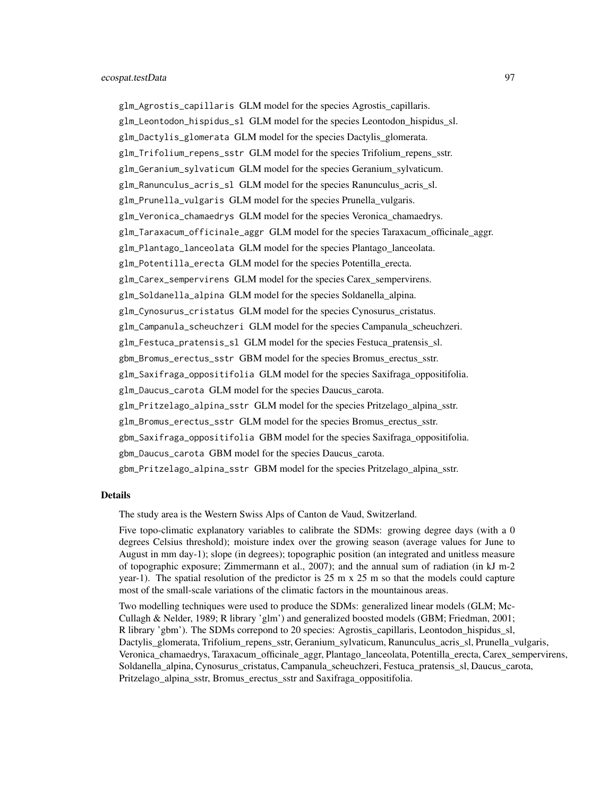glm\_Agrostis\_capillaris GLM model for the species Agrostis\_capillaris. glm\_Leontodon\_hispidus\_sl GLM model for the species Leontodon\_hispidus\_sl. glm\_Dactylis\_glomerata GLM model for the species Dactylis\_glomerata. glm\_Trifolium\_repens\_sstr GLM model for the species Trifolium\_repens\_sstr. glm\_Geranium\_sylvaticum GLM model for the species Geranium\_sylvaticum. glm\_Ranunculus\_acris\_sl GLM model for the species Ranunculus\_acris\_sl. glm\_Prunella\_vulgaris GLM model for the species Prunella\_vulgaris. glm\_Veronica\_chamaedrys GLM model for the species Veronica\_chamaedrys. glm\_Taraxacum\_officinale\_aggr GLM model for the species Taraxacum\_officinale\_aggr. glm\_Plantago\_lanceolata GLM model for the species Plantago\_lanceolata. glm\_Potentilla\_erecta GLM model for the species Potentilla\_erecta. glm\_Carex\_sempervirens GLM model for the species Carex\_sempervirens. glm\_Soldanella\_alpina GLM model for the species Soldanella\_alpina. glm\_Cynosurus\_cristatus GLM model for the species Cynosurus\_cristatus. glm\_Campanula\_scheuchzeri GLM model for the species Campanula\_scheuchzeri. glm\_Festuca\_pratensis\_sl GLM model for the species Festuca\_pratensis\_sl. gbm\_Bromus\_erectus\_sstr GBM model for the species Bromus\_erectus\_sstr. glm\_Saxifraga\_oppositifolia GLM model for the species Saxifraga\_oppositifolia. glm\_Daucus\_carota GLM model for the species Daucus\_carota. glm\_Pritzelago\_alpina\_sstr GLM model for the species Pritzelago\_alpina\_sstr. glm\_Bromus\_erectus\_sstr GLM model for the species Bromus\_erectus\_sstr. gbm\_Saxifraga\_oppositifolia GBM model for the species Saxifraga\_oppositifolia. gbm\_Daucus\_carota GBM model for the species Daucus\_carota. gbm\_Pritzelago\_alpina\_sstr GBM model for the species Pritzelago\_alpina\_sstr.

#### Details

The study area is the Western Swiss Alps of Canton de Vaud, Switzerland.

Five topo-climatic explanatory variables to calibrate the SDMs: growing degree days (with a 0 degrees Celsius threshold); moisture index over the growing season (average values for June to August in mm day-1); slope (in degrees); topographic position (an integrated and unitless measure of topographic exposure; Zimmermann et al., 2007); and the annual sum of radiation (in kJ m-2 year-1). The spatial resolution of the predictor is 25 m x 25 m so that the models could capture most of the small-scale variations of the climatic factors in the mountainous areas.

Two modelling techniques were used to produce the SDMs: generalized linear models (GLM; Mc-Cullagh & Nelder, 1989; R library 'glm') and generalized boosted models (GBM; Friedman, 2001; R library 'gbm'). The SDMs correpond to 20 species: Agrostis\_capillaris, Leontodon\_hispidus\_sl, Dactylis\_glomerata, Trifolium\_repens\_sstr, Geranium\_sylvaticum, Ranunculus\_acris\_sl, Prunella\_vulgaris, Veronica\_chamaedrys, Taraxacum\_officinale\_aggr, Plantago\_lanceolata, Potentilla\_erecta, Carex\_sempervirens, Soldanella\_alpina, Cynosurus\_cristatus, Campanula\_scheuchzeri, Festuca\_pratensis\_sl, Daucus\_carota, Pritzelago\_alpina\_sstr, Bromus\_erectus\_sstr and Saxifraga\_oppositifolia.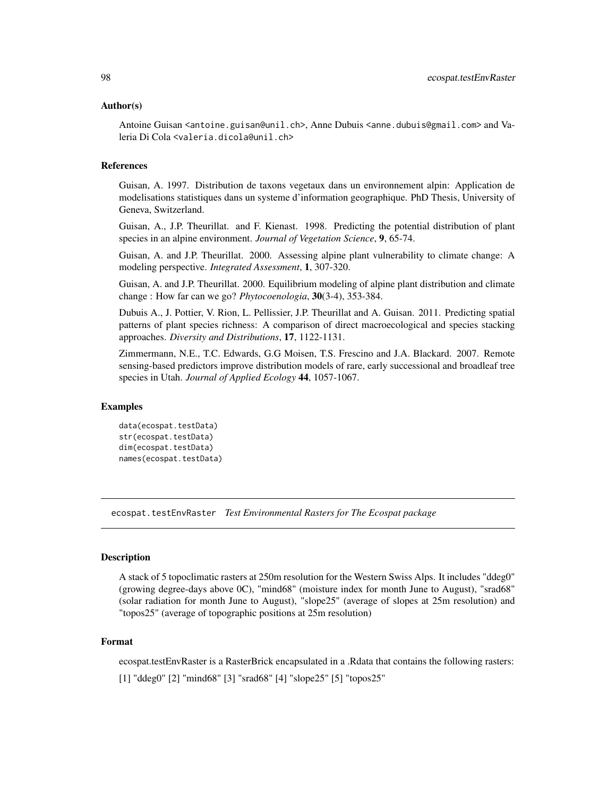#### <span id="page-97-0"></span>Author(s)

Antoine Guisan <antoine.guisan@unil.ch>, Anne Dubuis <anne.dubuis@gmail.com> and Valeria Di Cola <valeria.dicola@unil.ch>

#### References

Guisan, A. 1997. Distribution de taxons vegetaux dans un environnement alpin: Application de modelisations statistiques dans un systeme d'information geographique. PhD Thesis, University of Geneva, Switzerland.

Guisan, A., J.P. Theurillat. and F. Kienast. 1998. Predicting the potential distribution of plant species in an alpine environment. *Journal of Vegetation Science*, 9, 65-74.

Guisan, A. and J.P. Theurillat. 2000. Assessing alpine plant vulnerability to climate change: A modeling perspective. *Integrated Assessment*, 1, 307-320.

Guisan, A. and J.P. Theurillat. 2000. Equilibrium modeling of alpine plant distribution and climate change : How far can we go? *Phytocoenologia*, 30(3-4), 353-384.

Dubuis A., J. Pottier, V. Rion, L. Pellissier, J.P. Theurillat and A. Guisan. 2011. Predicting spatial patterns of plant species richness: A comparison of direct macroecological and species stacking approaches. *Diversity and Distributions*, 17, 1122-1131.

Zimmermann, N.E., T.C. Edwards, G.G Moisen, T.S. Frescino and J.A. Blackard. 2007. Remote sensing-based predictors improve distribution models of rare, early successional and broadleaf tree species in Utah. *Journal of Applied Ecology* 44, 1057-1067.

# Examples

```
data(ecospat.testData)
str(ecospat.testData)
dim(ecospat.testData)
names(ecospat.testData)
```
ecospat.testEnvRaster *Test Environmental Rasters for The Ecospat package*

# **Description**

A stack of 5 topoclimatic rasters at 250m resolution for the Western Swiss Alps. It includes "ddeg0" (growing degree-days above 0C), "mind68" (moisture index for month June to August), "srad68" (solar radiation for month June to August), "slope25" (average of slopes at 25m resolution) and "topos25" (average of topographic positions at 25m resolution)

#### Format

ecospat.testEnvRaster is a RasterBrick encapsulated in a .Rdata that contains the following rasters: [1] "ddeg0" [2] "mind68" [3] "srad68" [4] "slope25" [5] "topos25"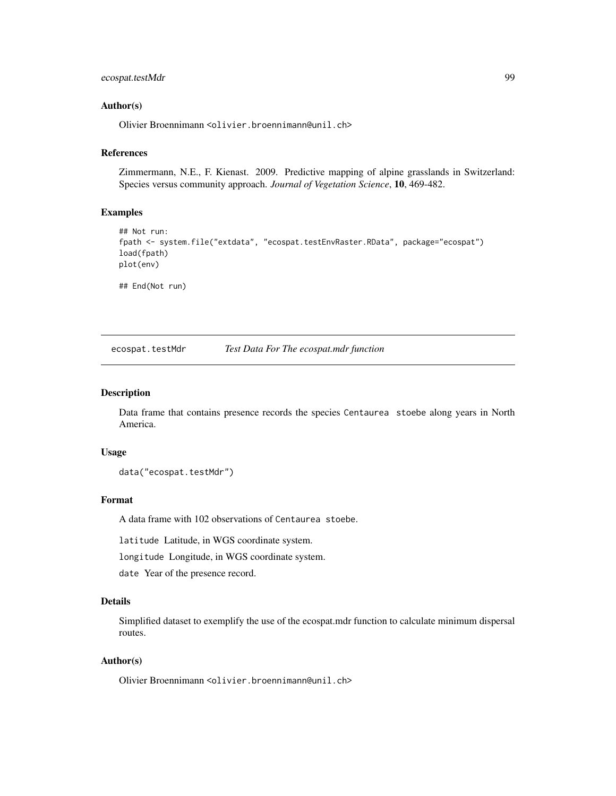# <span id="page-98-0"></span>ecospat.testMdr 99

#### Author(s)

Olivier Broennimann <olivier.broennimann@unil.ch>

# References

Zimmermann, N.E., F. Kienast. 2009. Predictive mapping of alpine grasslands in Switzerland: Species versus community approach. *Journal of Vegetation Science*, 10, 469-482.

#### Examples

```
## Not run:
fpath <- system.file("extdata", "ecospat.testEnvRaster.RData", package="ecospat")
load(fpath)
plot(env)
```
## End(Not run)

ecospat.testMdr *Test Data For The ecospat.mdr function*

# Description

Data frame that contains presence records the species Centaurea stoebe along years in North America.

#### Usage

data("ecospat.testMdr")

# Format

A data frame with 102 observations of Centaurea stoebe.

latitude Latitude, in WGS coordinate system.

longitude Longitude, in WGS coordinate system.

date Year of the presence record.

# Details

Simplified dataset to exemplify the use of the ecospat.mdr function to calculate minimum dispersal routes.

#### Author(s)

Olivier Broennimann <olivier.broennimann@unil.ch>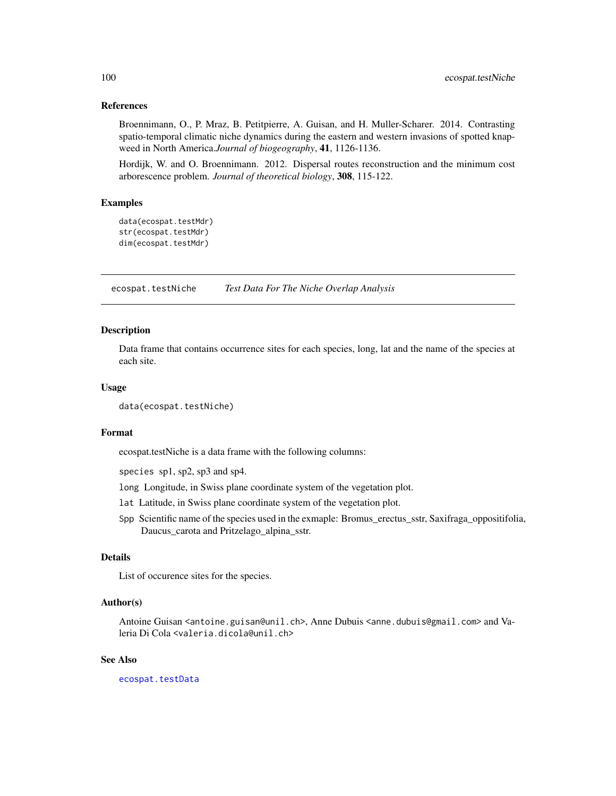#### <span id="page-99-0"></span>References

Broennimann, O., P. Mraz, B. Petitpierre, A. Guisan, and H. Muller-Scharer. 2014. Contrasting spatio-temporal climatic niche dynamics during the eastern and western invasions of spotted knapweed in North America.*Journal of biogeography*, 41, 1126-1136.

Hordijk, W. and O. Broennimann. 2012. Dispersal routes reconstruction and the minimum cost arborescence problem. *Journal of theoretical biology*, 308, 115-122.

# Examples

```
data(ecospat.testMdr)
str(ecospat.testMdr)
dim(ecospat.testMdr)
```
ecospat.testNiche *Test Data For The Niche Overlap Analysis*

#### Description

Data frame that contains occurrence sites for each species, long, lat and the name of the species at each site.

#### Usage

```
data(ecospat.testNiche)
```
#### Format

ecospat.testNiche is a data frame with the following columns:

species sp1, sp2, sp3 and sp4.

long Longitude, in Swiss plane coordinate system of the vegetation plot.

- lat Latitude, in Swiss plane coordinate system of the vegetation plot.
- Spp Scientific name of the species used in the exmaple: Bromus\_erectus\_sstr, Saxifraga\_oppositifolia, Daucus\_carota and Pritzelago\_alpina\_sstr.

# Details

List of occurence sites for the species.

# Author(s)

Antoine Guisan <antoine.guisan@unil.ch>, Anne Dubuis <anne.dubuis@gmail.com> and Valeria Di Cola <valeria.dicola@unil.ch>

#### See Also

[ecospat.testData](#page-93-0)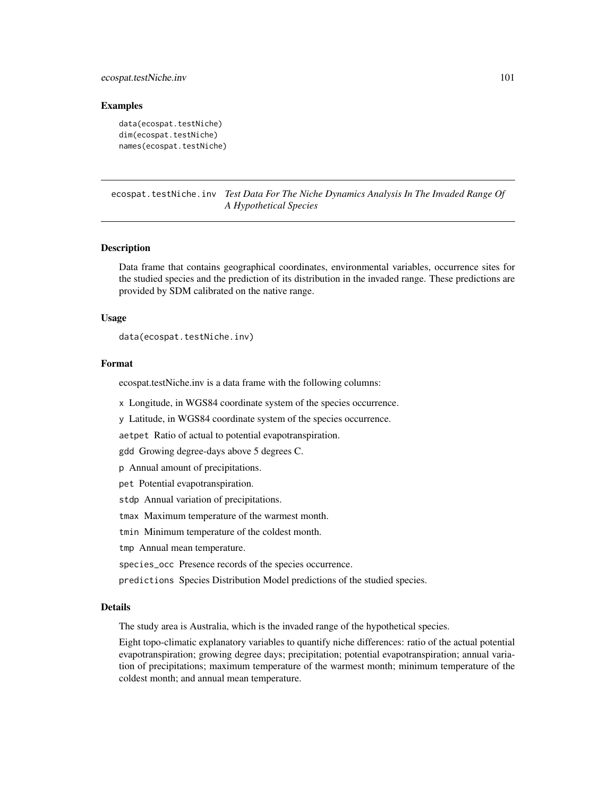# <span id="page-100-1"></span>ecospat.testNiche.inv 101

#### Examples

```
data(ecospat.testNiche)
dim(ecospat.testNiche)
names(ecospat.testNiche)
```
<span id="page-100-0"></span>ecospat.testNiche.inv *Test Data For The Niche Dynamics Analysis In The Invaded Range Of A Hypothetical Species*

# Description

Data frame that contains geographical coordinates, environmental variables, occurrence sites for the studied species and the prediction of its distribution in the invaded range. These predictions are provided by SDM calibrated on the native range.

#### Usage

```
data(ecospat.testNiche.inv)
```
# Format

ecospat.testNiche.inv is a data frame with the following columns:

x Longitude, in WGS84 coordinate system of the species occurrence.

y Latitude, in WGS84 coordinate system of the species occurrence.

aetpet Ratio of actual to potential evapotranspiration.

gdd Growing degree-days above 5 degrees C.

p Annual amount of precipitations.

pet Potential evapotranspiration.

stdp Annual variation of precipitations.

tmax Maximum temperature of the warmest month.

tmin Minimum temperature of the coldest month.

tmp Annual mean temperature.

species\_occ Presence records of the species occurrence.

predictions Species Distribution Model predictions of the studied species.

#### Details

The study area is Australia, which is the invaded range of the hypothetical species.

Eight topo-climatic explanatory variables to quantify niche differences: ratio of the actual potential evapotranspiration; growing degree days; precipitation; potential evapotranspiration; annual variation of precipitations; maximum temperature of the warmest month; minimum temperature of the coldest month; and annual mean temperature.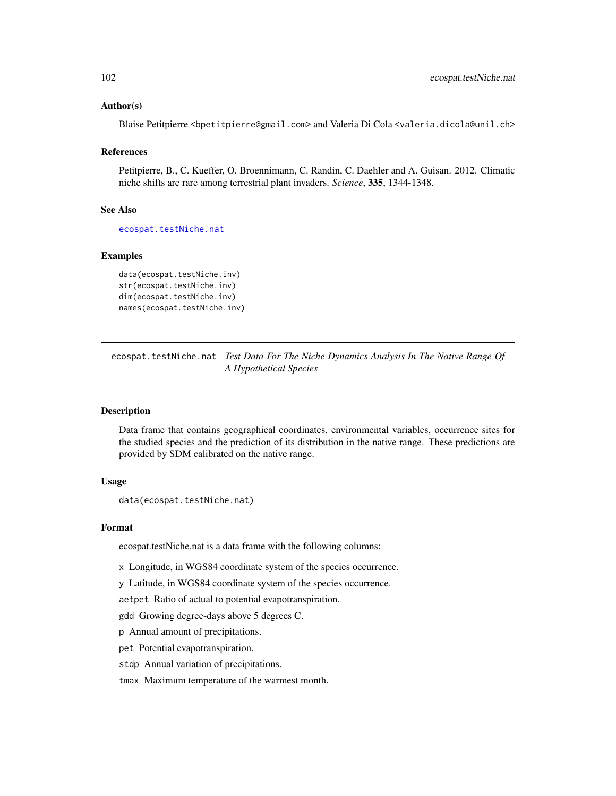### <span id="page-101-1"></span>Author(s)

Blaise Petitpierre <br/>betitpierre@gmail.com> and Valeria Di Cola <valeria.dicola@unil.ch>

#### References

Petitpierre, B., C. Kueffer, O. Broennimann, C. Randin, C. Daehler and A. Guisan. 2012. Climatic niche shifts are rare among terrestrial plant invaders. *Science*, 335, 1344-1348.

# See Also

[ecospat.testNiche.nat](#page-101-0)

#### Examples

```
data(ecospat.testNiche.inv)
str(ecospat.testNiche.inv)
dim(ecospat.testNiche.inv)
names(ecospat.testNiche.inv)
```
<span id="page-101-0"></span>ecospat.testNiche.nat *Test Data For The Niche Dynamics Analysis In The Native Range Of A Hypothetical Species*

#### Description

Data frame that contains geographical coordinates, environmental variables, occurrence sites for the studied species and the prediction of its distribution in the native range. These predictions are provided by SDM calibrated on the native range.

# Usage

```
data(ecospat.testNiche.nat)
```
#### Format

ecospat.testNiche.nat is a data frame with the following columns:

x Longitude, in WGS84 coordinate system of the species occurrence.

y Latitude, in WGS84 coordinate system of the species occurrence.

aetpet Ratio of actual to potential evapotranspiration.

gdd Growing degree-days above 5 degrees C.

p Annual amount of precipitations.

pet Potential evapotranspiration.

stdp Annual variation of precipitations.

tmax Maximum temperature of the warmest month.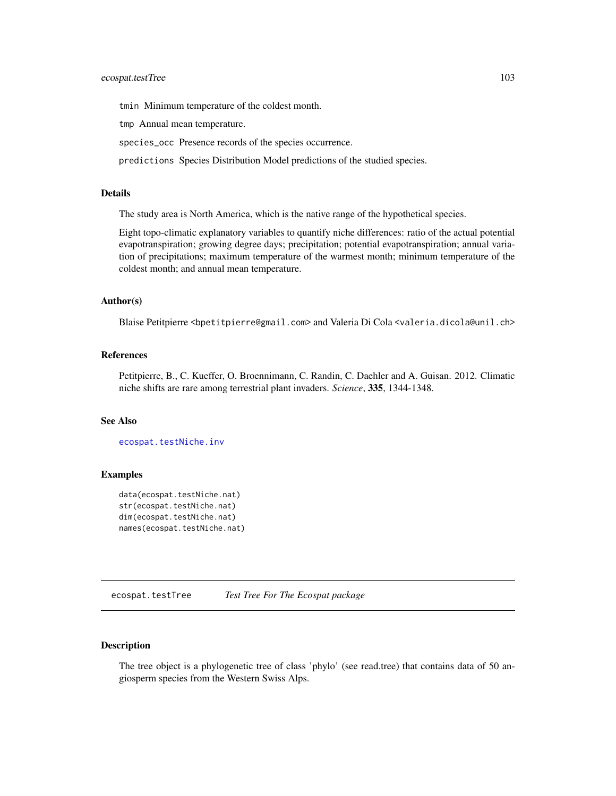<span id="page-102-0"></span>tmin Minimum temperature of the coldest month.

tmp Annual mean temperature.

species\_occ Presence records of the species occurrence.

predictions Species Distribution Model predictions of the studied species.

#### Details

The study area is North America, which is the native range of the hypothetical species.

Eight topo-climatic explanatory variables to quantify niche differences: ratio of the actual potential evapotranspiration; growing degree days; precipitation; potential evapotranspiration; annual variation of precipitations; maximum temperature of the warmest month; minimum temperature of the coldest month; and annual mean temperature.

#### Author(s)

Blaise Petitpierre <br/>bpetitpierre@gmail.com> and Valeria Di Cola <valeria.dicola@unil.ch>

#### References

Petitpierre, B., C. Kueffer, O. Broennimann, C. Randin, C. Daehler and A. Guisan. 2012. Climatic niche shifts are rare among terrestrial plant invaders. *Science*, 335, 1344-1348.

#### See Also

[ecospat.testNiche.inv](#page-100-0)

#### Examples

```
data(ecospat.testNiche.nat)
str(ecospat.testNiche.nat)
dim(ecospat.testNiche.nat)
names(ecospat.testNiche.nat)
```
ecospat.testTree *Test Tree For The Ecospat package*

# Description

The tree object is a phylogenetic tree of class 'phylo' (see read.tree) that contains data of 50 angiosperm species from the Western Swiss Alps.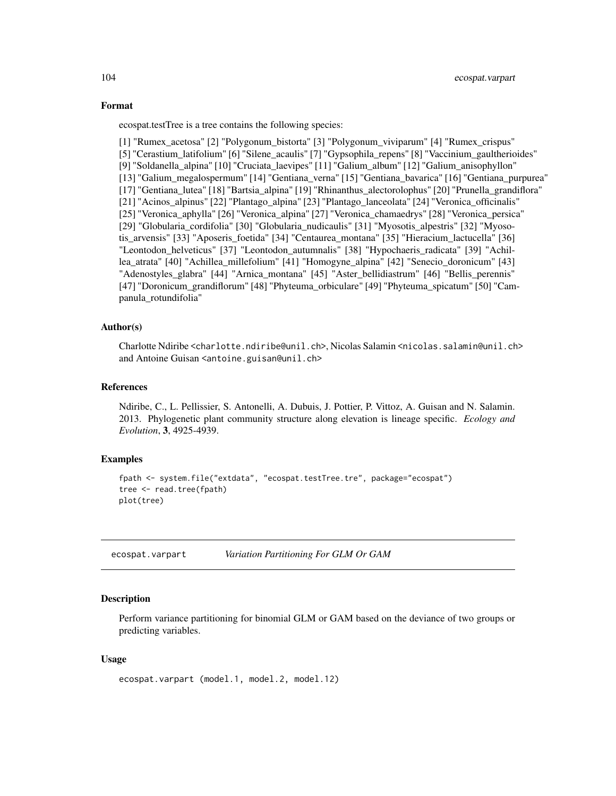#### <span id="page-103-0"></span>Format

ecospat.testTree is a tree contains the following species:

[1] "Rumex\_acetosa" [2] "Polygonum\_bistorta" [3] "Polygonum\_viviparum" [4] "Rumex\_crispus" [5] "Cerastium\_latifolium" [6] "Silene\_acaulis" [7] "Gypsophila\_repens" [8] "Vaccinium\_gaultherioides" [9] "Soldanella\_alpina" [10] "Cruciata\_laevipes" [11] "Galium\_album" [12] "Galium\_anisophyllon" [13] "Galium\_megalospermum" [14] "Gentiana\_verna" [15] "Gentiana\_bavarica" [16] "Gentiana\_purpurea" [17] "Gentiana\_lutea" [18] "Bartsia\_alpina" [19] "Rhinanthus\_alectorolophus" [20] "Prunella\_grandiflora" [21] "Acinos\_alpinus" [22] "Plantago\_alpina" [23] "Plantago\_lanceolata" [24] "Veronica\_officinalis" [25] "Veronica\_aphylla" [26] "Veronica\_alpina" [27] "Veronica\_chamaedrys" [28] "Veronica\_persica" [29] "Globularia\_cordifolia" [30] "Globularia\_nudicaulis" [31] "Myosotis\_alpestris" [32] "Myosotis\_arvensis" [33] "Aposeris\_foetida" [34] "Centaurea\_montana" [35] "Hieracium\_lactucella" [36] "Leontodon\_helveticus" [37] "Leontodon\_autumnalis" [38] "Hypochaeris\_radicata" [39] "Achillea\_atrata" [40] "Achillea\_millefolium" [41] "Homogyne\_alpina" [42] "Senecio\_doronicum" [43] "Adenostyles\_glabra" [44] "Arnica\_montana" [45] "Aster\_bellidiastrum" [46] "Bellis\_perennis" [47] "Doronicum\_grandiflorum" [48] "Phyteuma\_orbiculare" [49] "Phyteuma\_spicatum" [50] "Campanula\_rotundifolia"

# Author(s)

Charlotte Ndiribe <charlotte.ndiribe@unil.ch>, Nicolas Salamin <nicolas.salamin@unil.ch> and Antoine Guisan <antoine.guisan@unil.ch>

#### References

Ndiribe, C., L. Pellissier, S. Antonelli, A. Dubuis, J. Pottier, P. Vittoz, A. Guisan and N. Salamin. 2013. Phylogenetic plant community structure along elevation is lineage specific. *Ecology and Evolution*, 3, 4925-4939.

#### Examples

```
fpath <- system.file("extdata", "ecospat.testTree.tre", package="ecospat")
tree <- read.tree(fpath)
plot(tree)
```
ecospat.varpart *Variation Partitioning For GLM Or GAM*

#### **Description**

Perform variance partitioning for binomial GLM or GAM based on the deviance of two groups or predicting variables.

#### Usage

```
ecospat.varpart (model.1, model.2, model.12)
```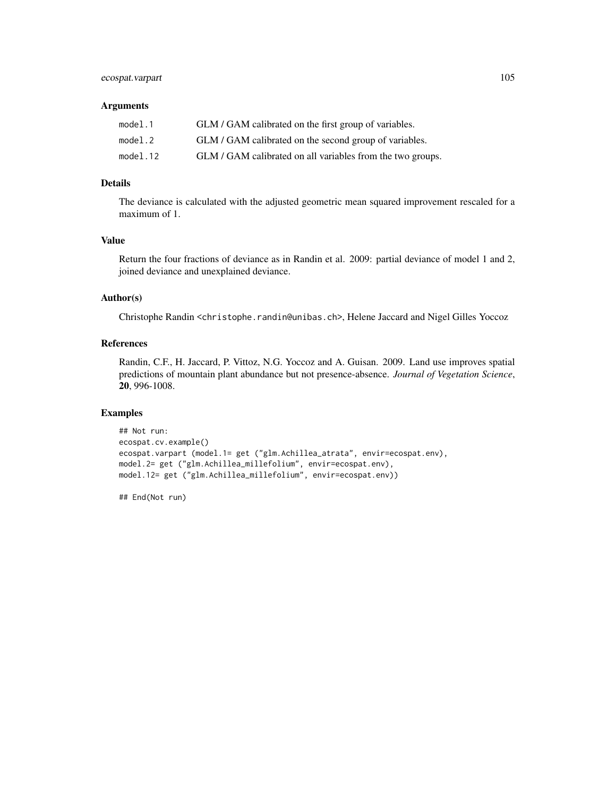# ecospat.varpart 105

# Arguments

| model.1  | GLM / GAM calibrated on the first group of variables.      |
|----------|------------------------------------------------------------|
| model.2  | GLM / GAM calibrated on the second group of variables.     |
| model.12 | GLM / GAM calibrated on all variables from the two groups. |

# Details

The deviance is calculated with the adjusted geometric mean squared improvement rescaled for a maximum of 1.

# Value

Return the four fractions of deviance as in Randin et al. 2009: partial deviance of model 1 and 2, joined deviance and unexplained deviance.

# Author(s)

Christophe Randin <christophe.randin@unibas.ch>, Helene Jaccard and Nigel Gilles Yoccoz

# References

Randin, C.F., H. Jaccard, P. Vittoz, N.G. Yoccoz and A. Guisan. 2009. Land use improves spatial predictions of mountain plant abundance but not presence-absence. *Journal of Vegetation Science*, 20, 996-1008.

#### Examples

```
## Not run:
ecospat.cv.example()
ecospat.varpart (model.1= get ("glm.Achillea_atrata", envir=ecospat.env),
model.2= get ("glm.Achillea_millefolium", envir=ecospat.env),
model.12= get ("glm.Achillea_millefolium", envir=ecospat.env))
```
## End(Not run)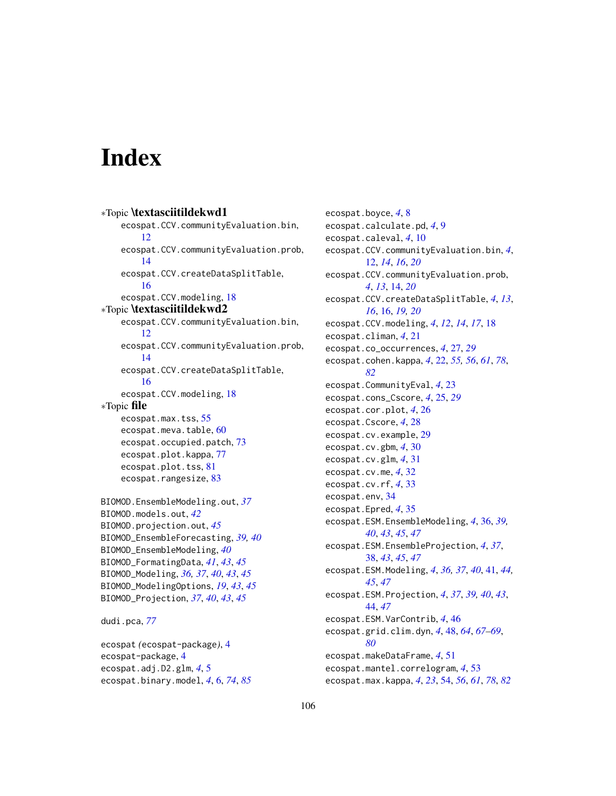# **Index**

```
∗Topic \textasciitildekwd1
    ecospat.CCV.communityEvaluation.bin,
        12
    ecospat.CCV.communityEvaluation.prob,
        14
    ecospat.CCV.createDataSplitTable,
        16
    ecospat.CCV.modeling, 18
∗Topic \textasciitildekwd2
    ecospat.CCV.communityEvaluation.bin,
        12
    ecospat.CCV.communityEvaluation.prob,
        14
    ecospat.CCV.createDataSplitTable,
        16
    ecospat.CCV.modeling, 18
∗Topic file
    ecospat.max.tss, 55
    60
    ecospat.occupied.patch, 73
    ecospat.plot.kappa, 77
    ecospat.plot.tss, 81
    ecospat.rangesize, 83
BIOMOD.EnsembleModeling.out, 37
BIOMOD.models.out, 42
BIOMOD.projection.out, 45
BIOMOD_EnsembleForecasting, 39, 40
BIOMOD_EnsembleModeling, 40
BIOMOD_FormatingData, 41, 43, 45
BIOMOD_Modeling, 36, 37, 40, 43, 45
BIOMOD_ModelingOptions, 19, 43, 45
BIOMOD_Projection, 37, 40, 43, 45
```

```
dudi.pca, 77
```

```
ecospat (ecospat-package), 4
ecospat-package, 4
ecospat.adj.D2.glm, 4, 5
ecospat.binary.model, 4, 6, 74, 85
```
ecospat.boyce, *[4](#page-3-0)*, [8](#page-7-0) ecospat.calculate.pd, *[4](#page-3-0)*, [9](#page-8-0) ecospat.caleval, *[4](#page-3-0)*, [10](#page-9-0) ecospat.CCV.communityEvaluation.bin, *[4](#page-3-0)*, [12,](#page-11-0) *[14](#page-13-0)*, *[16](#page-15-0)*, *[20](#page-19-0)* ecospat.CCV.communityEvaluation.prob, *[4](#page-3-0)*, *[13](#page-12-0)*, [14,](#page-13-0) *[20](#page-19-0)* ecospat.CCV.createDataSplitTable, *[4](#page-3-0)*, *[13](#page-12-0)*, *[16](#page-15-0)*, [16,](#page-15-0) *[19,](#page-18-0) [20](#page-19-0)* ecospat.CCV.modeling, *[4](#page-3-0)*, *[12](#page-11-0)*, *[14](#page-13-0)*, *[17](#page-16-0)*, [18](#page-17-0) ecospat.climan, *[4](#page-3-0)*, [21](#page-20-0) ecospat.co\_occurrences, *[4](#page-3-0)*, [27,](#page-26-0) *[29](#page-28-0)* ecospat.cohen.kappa, *[4](#page-3-0)*, [22,](#page-21-1) *[55,](#page-54-1) [56](#page-55-0)*, *[61](#page-60-0)*, *[78](#page-77-0)*, *[82](#page-81-0)* ecospat.CommunityEval, *[4](#page-3-0)*, [23](#page-22-0) ecospat.cons\_Cscore, *[4](#page-3-0)*, [25,](#page-24-0) *[29](#page-28-0)* ecospat.cor.plot, *[4](#page-3-0)*, [26](#page-25-0) ecospat.Cscore, *[4](#page-3-0)*, [28](#page-27-0) ecospat.cv.example, [29](#page-28-0) ecospat.cv.gbm, *[4](#page-3-0)*, [30](#page-29-0) ecospat.cv.glm, *[4](#page-3-0)*, [31](#page-30-0) ecospat.cv.me, *[4](#page-3-0)*, [32](#page-31-0) ecospat.cv.rf, *[4](#page-3-0)*, [33](#page-32-0) ecospat.env, [34](#page-33-0) ecospat.Epred, *[4](#page-3-0)*, [35](#page-34-0) ecospat.ESM.EnsembleModeling, *[4](#page-3-0)*, [36,](#page-35-0) *[39,](#page-38-0) [40](#page-39-0)*, *[43](#page-42-0)*, *[45](#page-44-0)*, *[47](#page-46-0)* ecospat.ESM.EnsembleProjection, *[4](#page-3-0)*, *[37](#page-36-0)*, [38,](#page-37-0) *[43](#page-42-0)*, *[45](#page-44-0)*, *[47](#page-46-0)* ecospat.ESM.Modeling, *[4](#page-3-0)*, *[36,](#page-35-0) [37](#page-36-0)*, *[40](#page-39-0)*, [41,](#page-40-0) *[44,](#page-43-0) [45](#page-44-0)*, *[47](#page-46-0)* ecospat.ESM.Projection, *[4](#page-3-0)*, *[37](#page-36-0)*, *[39,](#page-38-0) [40](#page-39-0)*, *[43](#page-42-0)*, [44,](#page-43-0) *[47](#page-46-0)* ecospat.ESM.VarContrib, *[4](#page-3-0)*, [46](#page-45-0) ecospat.grid.clim.dyn, *[4](#page-3-0)*, [48,](#page-47-1) *[64](#page-63-0)*, *[67](#page-66-0)[–69](#page-68-0)*, *[80](#page-79-1)* ecospat.makeDataFrame, *[4](#page-3-0)*, [51](#page-50-0) ecospat.mantel.correlogram, *[4](#page-3-0)*, [53](#page-52-0) ecospat.max.kappa, *[4](#page-3-0)*, *[23](#page-22-0)*, [54,](#page-53-1) *[56](#page-55-0)*, *[61](#page-60-0)*, *[78](#page-77-0)*, *[82](#page-81-0)*